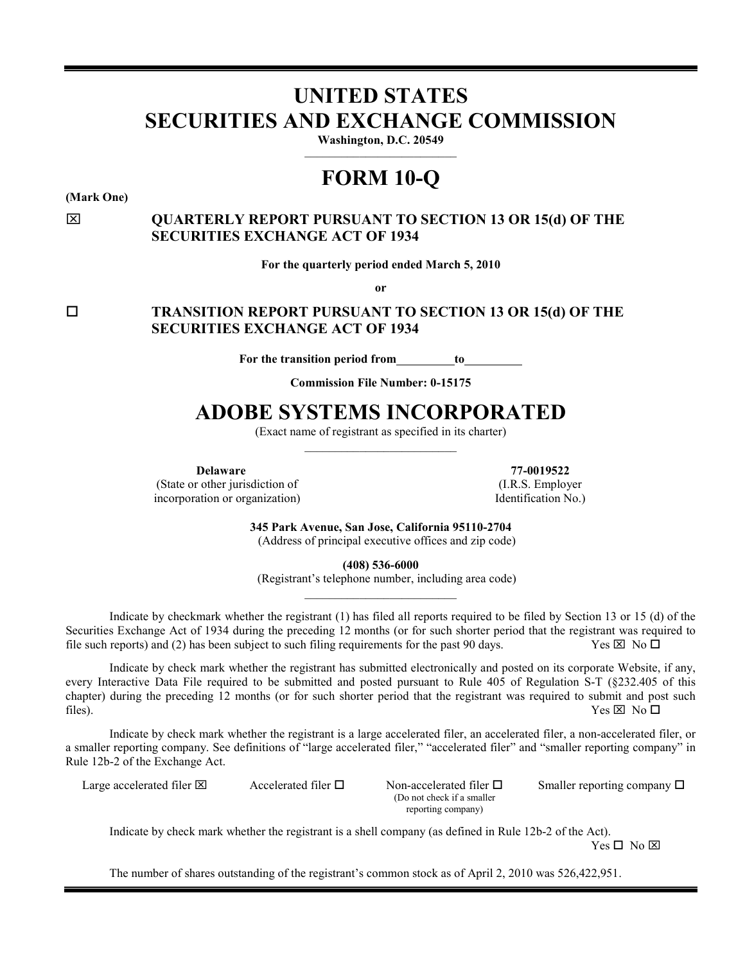# **UNITED STATES SECURITIES AND EXCHANGE COMMISSION**

Washington, D.C. 20549

# **FORM 10-Q**

**(Mark One)**

# **QUARTERLY REPORT PURSUANT TO SECTION 13 OR 15(d) OF THE SECURITIES EXCHANGE ACT OF 1934**

**For the quarterly period ended March 5, 2010**

**or**

 **TRANSITION REPORT PURSUANT TO SECTION 13 OR 15(d) OF THE SECURITIES EXCHANGE ACT OF 1934**

**For the transition period from to** 

**Commission File Number: 0-15175**

# **ADOBE SYSTEMS INCORPORATED**

(Exact name of registrant as specified in its charter) \_\_\_\_\_\_\_\_\_\_\_\_\_\_\_\_\_\_\_\_\_\_\_\_\_

**Delaware**

(State or other jurisdiction of incorporation or organization)

**77-0019522** (I.R.S. Employer Identification No.)

**345 Park Avenue, San Jose, California 95110-2704** (Address of principal executive offices and zip code)

**(408) 536-6000**

(Registrant's telephone number, including area code) \_\_\_\_\_\_\_\_\_\_\_\_\_\_\_\_\_\_\_\_\_\_\_\_\_

Indicate by checkmark whether the registrant (1) has filed all reports required to be filed by Section 13 or 15 (d) of the Securities Exchange Act of 1934 during the preceding 12 months (or for such shorter period that the registrant was required to file such reports) and (2) has been subject to such filing requirements for the past 90 days. file such reports) and  $(2)$  has been subject to such filing requirements for the past 90 days.

Indicate by check mark whether the registrant has submitted electronically and posted on its corporate Website, if any, every Interactive Data File required to be submitted and posted pursuant to Rule 405 of Regulation S-T (§232.405 of this chapter) during the preceding 12 months (or for such shorter period that the registrant was required to submit and post such files).  $\forall$  es  $\boxtimes$  No  $\Box$ 

Indicate by check mark whether the registrant is a large accelerated filer, an accelerated filer, a non-accelerated filer, or a smaller reporting company. See definitions of "large accelerated filer," "accelerated filer" and "smaller reporting company" in Rule 12b-2 of the Exchange Act.

Large accelerated filer  $\boxtimes$  Accelerated filer  $\square$  Non-accelerated filer  $\square$ 

(Do not check if a smaller reporting company)

Smaller reporting company  $\Box$ 

Indicate by check mark whether the registrant is a shell company (as defined in Rule 12b-2 of the Act).  $Yes \Box No \boxtimes$ 

The number of shares outstanding of the registrant's common stock as of April 2, 2010 was 526,422,951.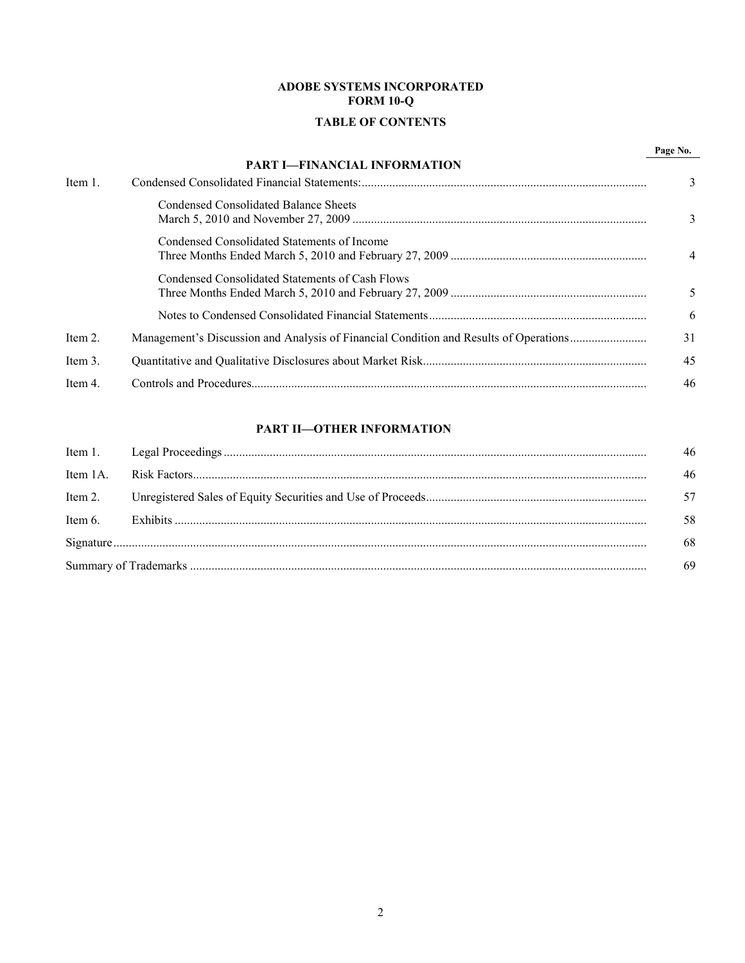# **ADOBE SYSTEMS INCORPORATED FORM 10-Q**

# **TABLE OF CONTENTS**

|         |                                                                                       | Page No. |
|---------|---------------------------------------------------------------------------------------|----------|
|         | <b>PART I-FINANCIAL INFORMATION</b>                                                   |          |
| Item 1. |                                                                                       | 3        |
|         | Condensed Consolidated Balance Sheets                                                 |          |
|         | Condensed Consolidated Statements of Income                                           | 4        |
|         | Condensed Consolidated Statements of Cash Flows                                       |          |
|         |                                                                                       | 6        |
| Item 2. | Management's Discussion and Analysis of Financial Condition and Results of Operations | 31       |
| Item 3. |                                                                                       | 45       |
| Item 4. |                                                                                       | 46       |

# **[PART II—OTHER INFORMATION](#page-45-0)**

|          | 46 |
|----------|----|
| Item 1A. | 46 |
| Item 2.  | 57 |
| Item 6.  | 58 |
|          | 68 |
|          | 69 |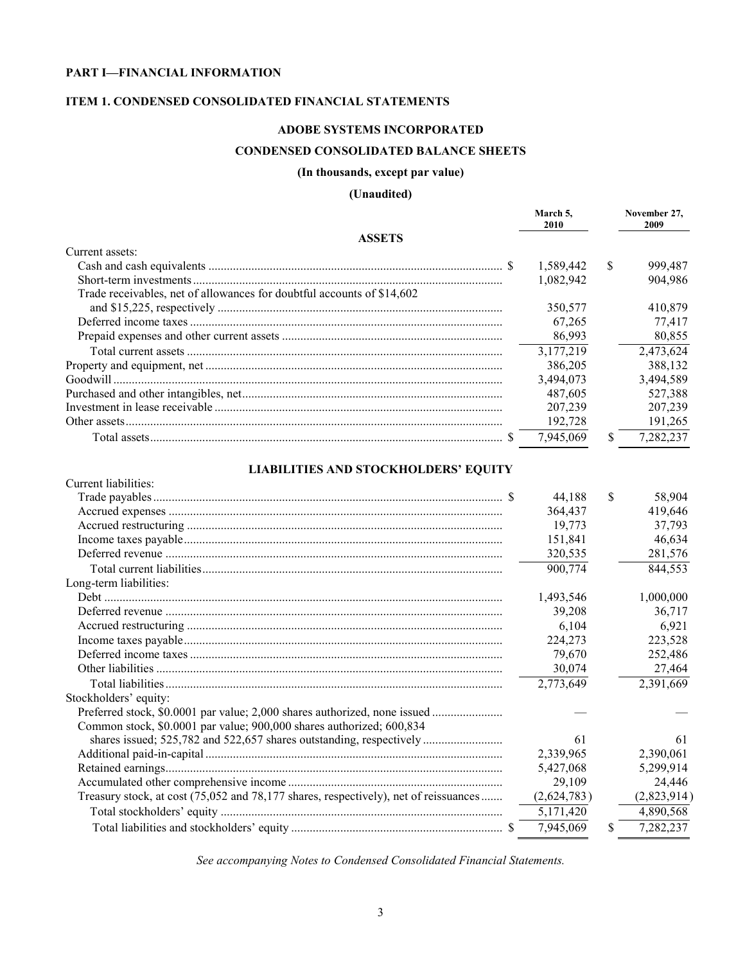# <span id="page-2-0"></span>**PART I—FINANCIAL INFORMATION**

# **ITEM 1. CONDENSED CONSOLIDATED FINANCIAL STATEMENTS**

# **ADOBE SYSTEMS INCORPORATED**

# **CONDENSED CONSOLIDATED BALANCE SHEETS**

### **(In thousands, except par value)**

# **(Unaudited)**

|                                                                                      | March 5,<br>2010 | November 27,<br>2009 |
|--------------------------------------------------------------------------------------|------------------|----------------------|
| <b>ASSETS</b>                                                                        |                  |                      |
| Current assets:                                                                      |                  |                      |
|                                                                                      | 1,589,442        | \$<br>999,487        |
|                                                                                      | 1,082,942        | 904,986              |
| Trade receivables, net of allowances for doubtful accounts of \$14,602               |                  |                      |
|                                                                                      | 350,577          | 410,879              |
|                                                                                      | 67,265           | 77,417               |
|                                                                                      | 86,993           | 80,855               |
|                                                                                      | 3,177,219        | 2,473,624            |
|                                                                                      | 386,205          | 388,132              |
|                                                                                      | 3,494,073        | 3,494,589            |
|                                                                                      | 487,605          | 527,388              |
|                                                                                      | 207,239          | 207,239              |
|                                                                                      | 192,728          | 191,265              |
|                                                                                      | 7,945,069        | \$<br>7,282,237      |
| <b>LIABILITIES AND STOCKHOLDERS' EQUITY</b>                                          |                  |                      |
| Current liabilities:                                                                 |                  |                      |
|                                                                                      | 44.188           | \$<br>58,904         |
|                                                                                      | 364,437          | 419,646              |
|                                                                                      | 19,773           | 37,793               |
|                                                                                      | 151,841          | 46,634               |
|                                                                                      | 320,535          | 281,576              |
|                                                                                      | 900,774          | 844,553              |
| Long-term liabilities:                                                               |                  |                      |
|                                                                                      | 1,493,546        | 1,000,000            |
|                                                                                      | 39,208           | 36,717               |
|                                                                                      | 6,104            | 6,921                |
|                                                                                      | 224,273          | 223,528              |
|                                                                                      | 79,670           | 252,486              |
|                                                                                      | 30,074           | 27,464               |
|                                                                                      | 2,773,649        | 2,391,669            |
| Stockholders' equity:                                                                |                  |                      |
| Preferred stock, \$0.0001 par value; 2,000 shares authorized, none issued            |                  |                      |
| Common stock, \$0.0001 par value; 900,000 shares authorized; 600,834                 |                  |                      |
|                                                                                      | 61               | 61                   |
|                                                                                      | 2,339,965        | 2,390,061            |
|                                                                                      | 5,427,068        | 5,299,914            |
|                                                                                      | 29,109           | 24,446               |
| Treasury stock, at cost (75,052 and 78,177 shares, respectively), net of reissuances | (2,624,783)      | (2,823,914)          |

*See accompanying Notes to Condensed Consolidated Financial Statements.*

Total stockholders' equity ............................................................................................ 5,171,420 4,890,568 Total liabilities and stockholders' equity ..................................................................... \$ 7,945,069 \$ 7,282,237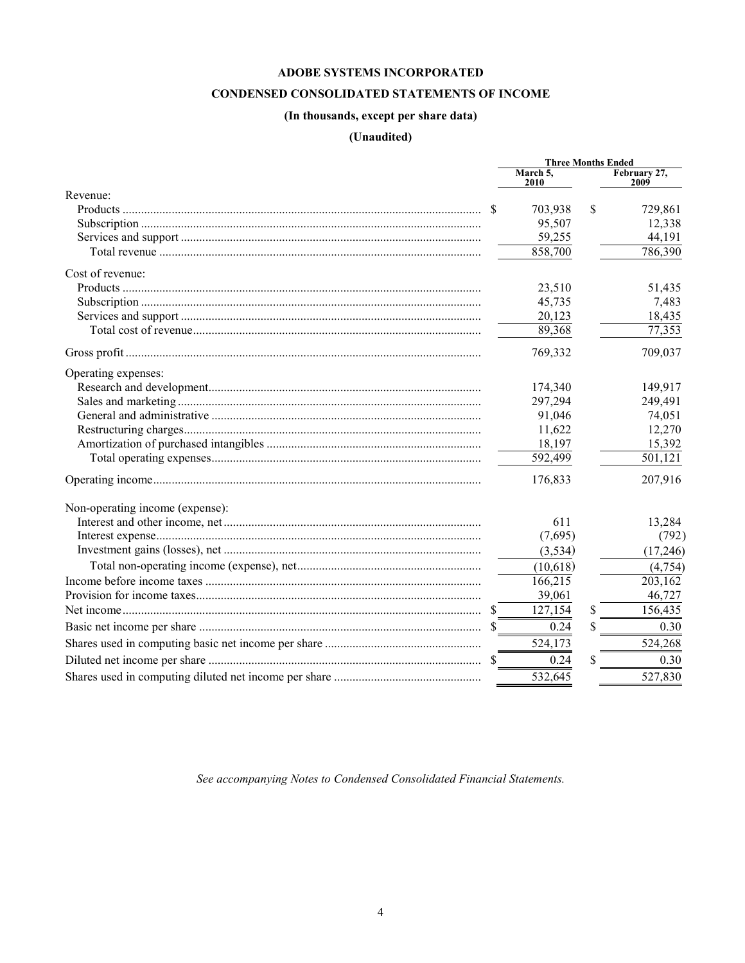# CONDENSED CONSOLIDATED STATEMENTS OF INCOME

# (In thousands, except per share data)

# (Unaudited)

<span id="page-3-0"></span>

|                                 |              | <b>Three Months Ended</b> |   |                      |
|---------------------------------|--------------|---------------------------|---|----------------------|
|                                 |              | March 5,<br>2010          |   | February 27,<br>2009 |
| Revenue:                        |              |                           |   |                      |
|                                 | <sup>S</sup> | 703,938                   | S | 729,861              |
|                                 |              | 95,507                    |   | 12,338               |
|                                 |              | 59,255                    |   | 44,191               |
|                                 |              | 858,700                   |   | 786,390              |
| Cost of revenue:                |              |                           |   |                      |
|                                 |              | 23,510                    |   | 51,435               |
|                                 |              | 45,735                    |   | 7,483                |
|                                 |              | 20,123                    |   | 18,435               |
|                                 |              | 89,368                    |   | 77,353               |
|                                 |              | 769,332                   |   | 709,037              |
| Operating expenses:             |              |                           |   |                      |
|                                 |              | 174,340                   |   | 149,917              |
|                                 |              | 297,294                   |   | 249,491              |
|                                 |              | 91,046                    |   | 74,051               |
|                                 |              | 11,622                    |   | 12,270               |
|                                 |              | 18,197                    |   | 15,392               |
|                                 |              | 592,499                   |   | 501,121              |
|                                 |              | 176,833                   |   | 207,916              |
| Non-operating income (expense): |              |                           |   |                      |
|                                 |              | 611                       |   | 13,284               |
|                                 |              | (7,695)                   |   | (792)                |
|                                 |              | (3, 534)                  |   | (17,246)             |
|                                 |              | (10,618)                  |   | (4,754)              |
|                                 |              | 166,215                   |   | 203,162              |
|                                 |              | 39,061                    |   | 46,727               |
|                                 |              | 127,154                   | S | 156,435              |
|                                 |              | 0.24                      |   | 0.30                 |
|                                 |              | 524,173                   |   | 524,268              |
|                                 |              | 0.24                      | S | 0.30                 |
|                                 |              | 532,645                   |   | 527,830              |

See accompanying Notes to Condensed Consolidated Financial Statements.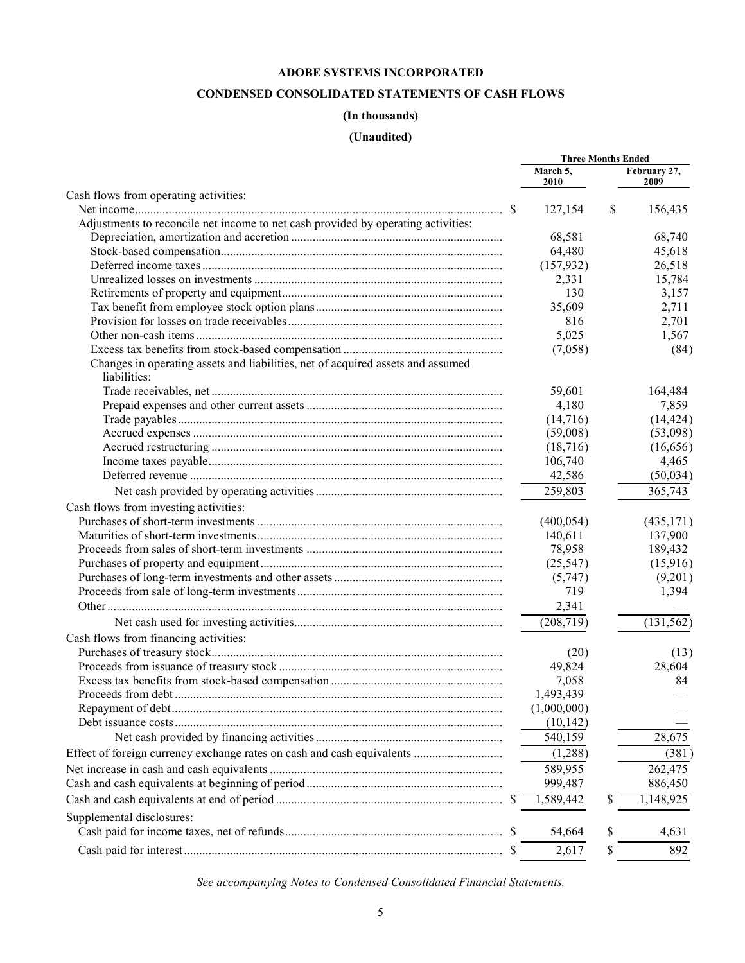# **CONDENSED CONSOLIDATED STATEMENTS OF CASH FLOWS**

# **(In thousands)**

# **(Unaudited)**

<span id="page-4-0"></span>

| February 27,<br>March 5,<br>2010<br>2009<br>Cash flows from operating activities:<br>127,154<br>\$<br>156,435<br>Adjustments to reconcile net income to net cash provided by operating activities:<br>68,740<br>68,581<br>64,480<br>45,618<br>(157, 932)<br>26,518<br>15,784<br>2,331<br>130<br>3,157<br>2,711<br>35,609<br>2,701<br>816<br>5,025<br>1,567<br>(7,058)<br>Changes in operating assets and liabilities, net of acquired assets and assumed<br>liabilities:<br>164,484<br>59,601<br>7,859<br>4,180<br>(14,716)<br>(59,008)<br>(53,098)<br>(18,716)<br>(16, 656)<br>106,740<br>4,465<br>42,586<br>(50,034)<br>365,743<br>259,803<br>Cash flows from investing activities:<br>(400, 054)<br>(435, 171)<br>140,611<br>137,900<br>78,958<br>189,432<br>(25, 547)<br>(15,916)<br>(9,201)<br>(5,747)<br>719<br>1,394<br>2,341<br>(208, 719)<br>(131, 562)<br>Cash flows from financing activities:<br>(20)<br>28,604<br>49,824<br>7,058<br>84<br>1,493,439<br>Proceeds from debt.<br>(1,000,000)<br>(10, 142)<br>28,675<br>540,159<br>(1,288)<br>(381)<br>589,955<br>262,475<br>999,487<br>886,450<br>1,589,442<br>1,148,925<br>\$<br>Supplemental disclosures:<br>54,664<br>S<br>4,631<br>2,617<br><sup>S</sup><br>892<br>\$ |  | <b>Three Months Ended</b> |  |           |
|--------------------------------------------------------------------------------------------------------------------------------------------------------------------------------------------------------------------------------------------------------------------------------------------------------------------------------------------------------------------------------------------------------------------------------------------------------------------------------------------------------------------------------------------------------------------------------------------------------------------------------------------------------------------------------------------------------------------------------------------------------------------------------------------------------------------------------------------------------------------------------------------------------------------------------------------------------------------------------------------------------------------------------------------------------------------------------------------------------------------------------------------------------------------------------------------------------------------------------------|--|---------------------------|--|-----------|
|                                                                                                                                                                                                                                                                                                                                                                                                                                                                                                                                                                                                                                                                                                                                                                                                                                                                                                                                                                                                                                                                                                                                                                                                                                      |  |                           |  |           |
|                                                                                                                                                                                                                                                                                                                                                                                                                                                                                                                                                                                                                                                                                                                                                                                                                                                                                                                                                                                                                                                                                                                                                                                                                                      |  |                           |  |           |
|                                                                                                                                                                                                                                                                                                                                                                                                                                                                                                                                                                                                                                                                                                                                                                                                                                                                                                                                                                                                                                                                                                                                                                                                                                      |  |                           |  |           |
|                                                                                                                                                                                                                                                                                                                                                                                                                                                                                                                                                                                                                                                                                                                                                                                                                                                                                                                                                                                                                                                                                                                                                                                                                                      |  |                           |  |           |
|                                                                                                                                                                                                                                                                                                                                                                                                                                                                                                                                                                                                                                                                                                                                                                                                                                                                                                                                                                                                                                                                                                                                                                                                                                      |  |                           |  |           |
|                                                                                                                                                                                                                                                                                                                                                                                                                                                                                                                                                                                                                                                                                                                                                                                                                                                                                                                                                                                                                                                                                                                                                                                                                                      |  |                           |  |           |
|                                                                                                                                                                                                                                                                                                                                                                                                                                                                                                                                                                                                                                                                                                                                                                                                                                                                                                                                                                                                                                                                                                                                                                                                                                      |  |                           |  |           |
|                                                                                                                                                                                                                                                                                                                                                                                                                                                                                                                                                                                                                                                                                                                                                                                                                                                                                                                                                                                                                                                                                                                                                                                                                                      |  |                           |  |           |
|                                                                                                                                                                                                                                                                                                                                                                                                                                                                                                                                                                                                                                                                                                                                                                                                                                                                                                                                                                                                                                                                                                                                                                                                                                      |  |                           |  |           |
|                                                                                                                                                                                                                                                                                                                                                                                                                                                                                                                                                                                                                                                                                                                                                                                                                                                                                                                                                                                                                                                                                                                                                                                                                                      |  |                           |  |           |
|                                                                                                                                                                                                                                                                                                                                                                                                                                                                                                                                                                                                                                                                                                                                                                                                                                                                                                                                                                                                                                                                                                                                                                                                                                      |  |                           |  |           |
|                                                                                                                                                                                                                                                                                                                                                                                                                                                                                                                                                                                                                                                                                                                                                                                                                                                                                                                                                                                                                                                                                                                                                                                                                                      |  |                           |  |           |
|                                                                                                                                                                                                                                                                                                                                                                                                                                                                                                                                                                                                                                                                                                                                                                                                                                                                                                                                                                                                                                                                                                                                                                                                                                      |  |                           |  | (84)      |
|                                                                                                                                                                                                                                                                                                                                                                                                                                                                                                                                                                                                                                                                                                                                                                                                                                                                                                                                                                                                                                                                                                                                                                                                                                      |  |                           |  |           |
|                                                                                                                                                                                                                                                                                                                                                                                                                                                                                                                                                                                                                                                                                                                                                                                                                                                                                                                                                                                                                                                                                                                                                                                                                                      |  |                           |  |           |
|                                                                                                                                                                                                                                                                                                                                                                                                                                                                                                                                                                                                                                                                                                                                                                                                                                                                                                                                                                                                                                                                                                                                                                                                                                      |  |                           |  |           |
|                                                                                                                                                                                                                                                                                                                                                                                                                                                                                                                                                                                                                                                                                                                                                                                                                                                                                                                                                                                                                                                                                                                                                                                                                                      |  |                           |  | (14, 424) |
|                                                                                                                                                                                                                                                                                                                                                                                                                                                                                                                                                                                                                                                                                                                                                                                                                                                                                                                                                                                                                                                                                                                                                                                                                                      |  |                           |  |           |
|                                                                                                                                                                                                                                                                                                                                                                                                                                                                                                                                                                                                                                                                                                                                                                                                                                                                                                                                                                                                                                                                                                                                                                                                                                      |  |                           |  |           |
|                                                                                                                                                                                                                                                                                                                                                                                                                                                                                                                                                                                                                                                                                                                                                                                                                                                                                                                                                                                                                                                                                                                                                                                                                                      |  |                           |  |           |
|                                                                                                                                                                                                                                                                                                                                                                                                                                                                                                                                                                                                                                                                                                                                                                                                                                                                                                                                                                                                                                                                                                                                                                                                                                      |  |                           |  |           |
|                                                                                                                                                                                                                                                                                                                                                                                                                                                                                                                                                                                                                                                                                                                                                                                                                                                                                                                                                                                                                                                                                                                                                                                                                                      |  |                           |  |           |
|                                                                                                                                                                                                                                                                                                                                                                                                                                                                                                                                                                                                                                                                                                                                                                                                                                                                                                                                                                                                                                                                                                                                                                                                                                      |  |                           |  |           |
|                                                                                                                                                                                                                                                                                                                                                                                                                                                                                                                                                                                                                                                                                                                                                                                                                                                                                                                                                                                                                                                                                                                                                                                                                                      |  |                           |  |           |
|                                                                                                                                                                                                                                                                                                                                                                                                                                                                                                                                                                                                                                                                                                                                                                                                                                                                                                                                                                                                                                                                                                                                                                                                                                      |  |                           |  |           |
|                                                                                                                                                                                                                                                                                                                                                                                                                                                                                                                                                                                                                                                                                                                                                                                                                                                                                                                                                                                                                                                                                                                                                                                                                                      |  |                           |  |           |
|                                                                                                                                                                                                                                                                                                                                                                                                                                                                                                                                                                                                                                                                                                                                                                                                                                                                                                                                                                                                                                                                                                                                                                                                                                      |  |                           |  |           |
|                                                                                                                                                                                                                                                                                                                                                                                                                                                                                                                                                                                                                                                                                                                                                                                                                                                                                                                                                                                                                                                                                                                                                                                                                                      |  |                           |  |           |
|                                                                                                                                                                                                                                                                                                                                                                                                                                                                                                                                                                                                                                                                                                                                                                                                                                                                                                                                                                                                                                                                                                                                                                                                                                      |  |                           |  |           |
|                                                                                                                                                                                                                                                                                                                                                                                                                                                                                                                                                                                                                                                                                                                                                                                                                                                                                                                                                                                                                                                                                                                                                                                                                                      |  |                           |  |           |
|                                                                                                                                                                                                                                                                                                                                                                                                                                                                                                                                                                                                                                                                                                                                                                                                                                                                                                                                                                                                                                                                                                                                                                                                                                      |  |                           |  |           |
|                                                                                                                                                                                                                                                                                                                                                                                                                                                                                                                                                                                                                                                                                                                                                                                                                                                                                                                                                                                                                                                                                                                                                                                                                                      |  |                           |  |           |
|                                                                                                                                                                                                                                                                                                                                                                                                                                                                                                                                                                                                                                                                                                                                                                                                                                                                                                                                                                                                                                                                                                                                                                                                                                      |  |                           |  |           |
|                                                                                                                                                                                                                                                                                                                                                                                                                                                                                                                                                                                                                                                                                                                                                                                                                                                                                                                                                                                                                                                                                                                                                                                                                                      |  |                           |  | (13)      |
|                                                                                                                                                                                                                                                                                                                                                                                                                                                                                                                                                                                                                                                                                                                                                                                                                                                                                                                                                                                                                                                                                                                                                                                                                                      |  |                           |  |           |
|                                                                                                                                                                                                                                                                                                                                                                                                                                                                                                                                                                                                                                                                                                                                                                                                                                                                                                                                                                                                                                                                                                                                                                                                                                      |  |                           |  |           |
|                                                                                                                                                                                                                                                                                                                                                                                                                                                                                                                                                                                                                                                                                                                                                                                                                                                                                                                                                                                                                                                                                                                                                                                                                                      |  |                           |  |           |
|                                                                                                                                                                                                                                                                                                                                                                                                                                                                                                                                                                                                                                                                                                                                                                                                                                                                                                                                                                                                                                                                                                                                                                                                                                      |  |                           |  |           |
|                                                                                                                                                                                                                                                                                                                                                                                                                                                                                                                                                                                                                                                                                                                                                                                                                                                                                                                                                                                                                                                                                                                                                                                                                                      |  |                           |  |           |
|                                                                                                                                                                                                                                                                                                                                                                                                                                                                                                                                                                                                                                                                                                                                                                                                                                                                                                                                                                                                                                                                                                                                                                                                                                      |  |                           |  |           |
|                                                                                                                                                                                                                                                                                                                                                                                                                                                                                                                                                                                                                                                                                                                                                                                                                                                                                                                                                                                                                                                                                                                                                                                                                                      |  |                           |  |           |
|                                                                                                                                                                                                                                                                                                                                                                                                                                                                                                                                                                                                                                                                                                                                                                                                                                                                                                                                                                                                                                                                                                                                                                                                                                      |  |                           |  |           |
|                                                                                                                                                                                                                                                                                                                                                                                                                                                                                                                                                                                                                                                                                                                                                                                                                                                                                                                                                                                                                                                                                                                                                                                                                                      |  |                           |  |           |
|                                                                                                                                                                                                                                                                                                                                                                                                                                                                                                                                                                                                                                                                                                                                                                                                                                                                                                                                                                                                                                                                                                                                                                                                                                      |  |                           |  |           |
|                                                                                                                                                                                                                                                                                                                                                                                                                                                                                                                                                                                                                                                                                                                                                                                                                                                                                                                                                                                                                                                                                                                                                                                                                                      |  |                           |  |           |
|                                                                                                                                                                                                                                                                                                                                                                                                                                                                                                                                                                                                                                                                                                                                                                                                                                                                                                                                                                                                                                                                                                                                                                                                                                      |  |                           |  |           |
|                                                                                                                                                                                                                                                                                                                                                                                                                                                                                                                                                                                                                                                                                                                                                                                                                                                                                                                                                                                                                                                                                                                                                                                                                                      |  |                           |  |           |

*See accompanying Notes to Condensed Consolidated Financial Statements.*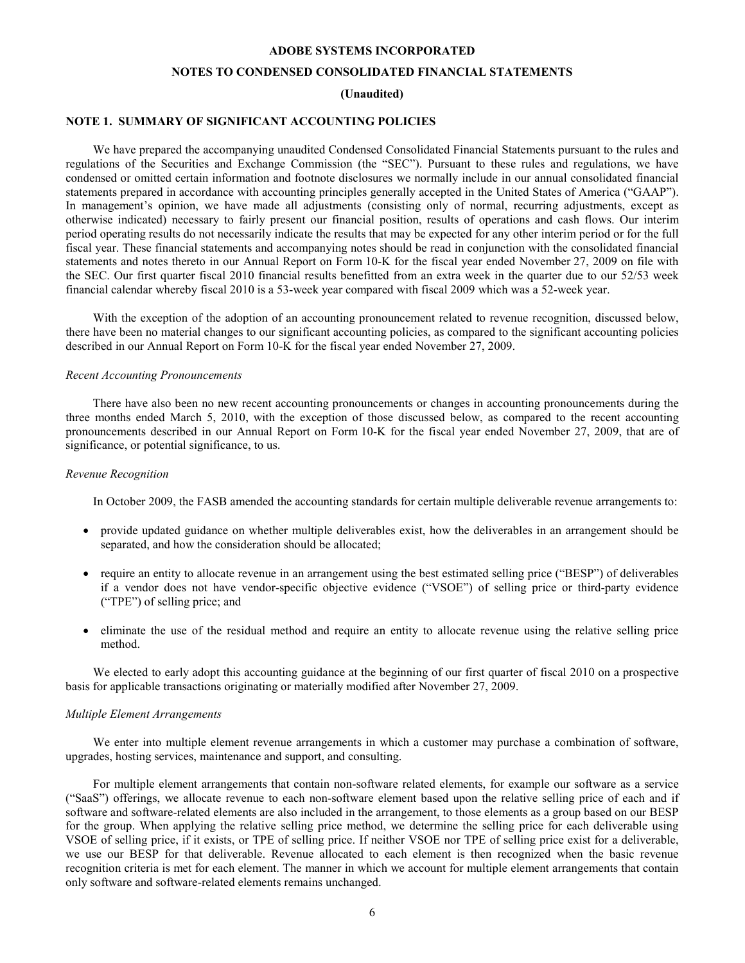# **NOTES TO CONDENSED CONSOLIDATED FINANCIAL STATEMENTS**

#### **(Unaudited)**

# <span id="page-5-0"></span>**NOTE 1. SUMMARY OF SIGNIFICANT ACCOUNTING POLICIES**

We have prepared the accompanying unaudited Condensed Consolidated Financial Statements pursuant to the rules and regulations of the Securities and Exchange Commission (the "SEC"). Pursuant to these rules and regulations, we have condensed or omitted certain information and footnote disclosures we normally include in our annual consolidated financial statements prepared in accordance with accounting principles generally accepted in the United States of America ("GAAP"). In management's opinion, we have made all adjustments (consisting only of normal, recurring adjustments, except as otherwise indicated) necessary to fairly present our financial position, results of operations and cash flows. Our interim period operating results do not necessarily indicate the results that may be expected for any other interim period or for the full fiscal year. These financial statements and accompanying notes should be read in conjunction with the consolidated financial statements and notes thereto in our Annual Report on Form 10-K for the fiscal year ended November 27, 2009 on file with the SEC. Our first quarter fiscal 2010 financial results benefitted from an extra week in the quarter due to our 52/53 week financial calendar whereby fiscal 2010 is a 53-week year compared with fiscal 2009 which was a 52-week year.

With the exception of the adoption of an accounting pronouncement related to revenue recognition, discussed below, there have been no material changes to our significant accounting policies, as compared to the significant accounting policies described in our Annual Report on Form 10-K for the fiscal year ended November 27, 2009.

#### *Recent Accounting Pronouncements*

There have also been no new recent accounting pronouncements or changes in accounting pronouncements during the three months ended March 5, 2010, with the exception of those discussed below, as compared to the recent accounting pronouncements described in our Annual Report on Form 10-K for the fiscal year ended November 27, 2009, that are of significance, or potential significance, to us.

#### *Revenue Recognition*

In October 2009, the FASB amended the accounting standards for certain multiple deliverable revenue arrangements to:

- provide updated guidance on whether multiple deliverables exist, how the deliverables in an arrangement should be separated, and how the consideration should be allocated;
- require an entity to allocate revenue in an arrangement using the best estimated selling price ("BESP") of deliverables if a vendor does not have vendor-specific objective evidence ("VSOE") of selling price or third-party evidence ("TPE") of selling price; and
- eliminate the use of the residual method and require an entity to allocate revenue using the relative selling price method.

We elected to early adopt this accounting guidance at the beginning of our first quarter of fiscal 2010 on a prospective basis for applicable transactions originating or materially modified after November 27, 2009.

#### *Multiple Element Arrangements*

We enter into multiple element revenue arrangements in which a customer may purchase a combination of software, upgrades, hosting services, maintenance and support, and consulting.

For multiple element arrangements that contain non-software related elements, for example our software as a service ("SaaS") offerings, we allocate revenue to each non-software element based upon the relative selling price of each and if software and software-related elements are also included in the arrangement, to those elements as a group based on our BESP for the group. When applying the relative selling price method, we determine the selling price for each deliverable using VSOE of selling price, if it exists, or TPE of selling price. If neither VSOE nor TPE of selling price exist for a deliverable, we use our BESP for that deliverable. Revenue allocated to each element is then recognized when the basic revenue recognition criteria is met for each element. The manner in which we account for multiple element arrangements that contain only software and software-related elements remains unchanged.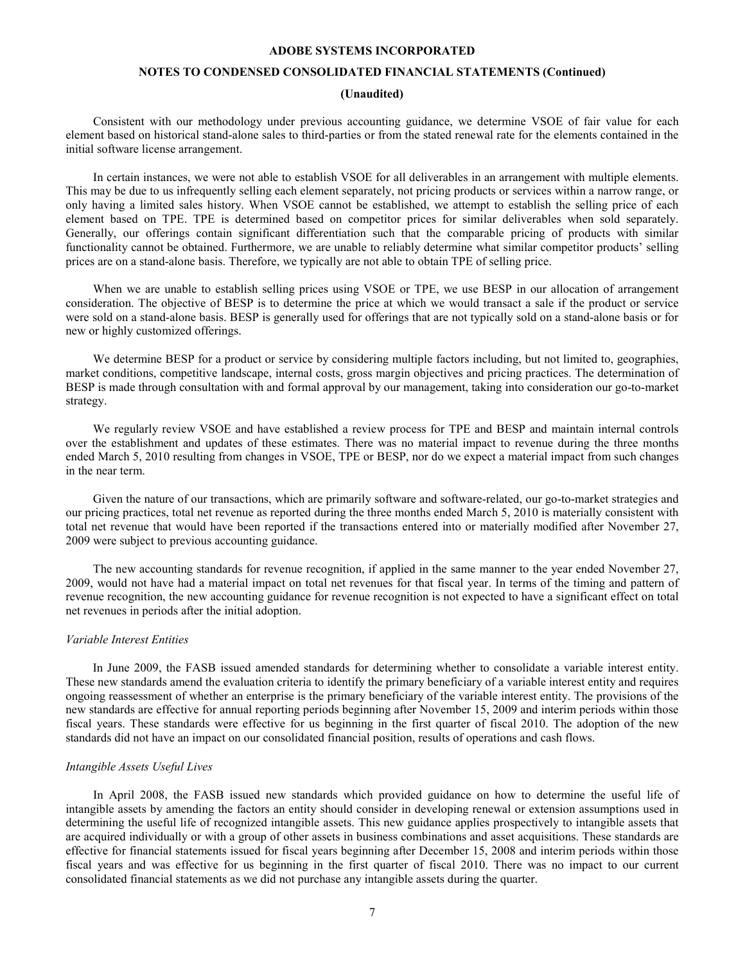# **NOTES TO CONDENSED CONSOLIDATED FINANCIAL STATEMENTS (Continued)**

# **(Unaudited)**

Consistent with our methodology under previous accounting guidance, we determine VSOE of fair value for each element based on historical stand-alone sales to third-parties or from the stated renewal rate for the elements contained in the initial software license arrangement.

In certain instances, we were not able to establish VSOE for all deliverables in an arrangement with multiple elements. This may be due to us infrequently selling each element separately, not pricing products or services within a narrow range, or only having a limited sales history. When VSOE cannot be established, we attempt to establish the selling price of each element based on TPE. TPE is determined based on competitor prices for similar deliverables when sold separately. Generally, our offerings contain significant differentiation such that the comparable pricing of products with similar functionality cannot be obtained. Furthermore, we are unable to reliably determine what similar competitor products' selling prices are on a stand-alone basis. Therefore, we typically are not able to obtain TPE of selling price.

When we are unable to establish selling prices using VSOE or TPE, we use BESP in our allocation of arrangement consideration. The objective of BESP is to determine the price at which we would transact a sale if the product or service were sold on a stand-alone basis. BESP is generally used for offerings that are not typically sold on a stand-alone basis or for new or highly customized offerings.

We determine BESP for a product or service by considering multiple factors including, but not limited to, geographies, market conditions, competitive landscape, internal costs, gross margin objectives and pricing practices. The determination of BESP is made through consultation with and formal approval by our management, taking into consideration our go-to-market strategy.

We regularly review VSOE and have established a review process for TPE and BESP and maintain internal controls over the establishment and updates of these estimates. There was no material impact to revenue during the three months ended March 5, 2010 resulting from changes in VSOE, TPE or BESP, nor do we expect a material impact from such changes in the near term.

Given the nature of our transactions, which are primarily software and software-related, our go-to-market strategies and our pricing practices, total net revenue as reported during the three months ended March 5, 2010 is materially consistent with total net revenue that would have been reported if the transactions entered into or materially modified after November 27, 2009 were subject to previous accounting guidance.

The new accounting standards for revenue recognition, if applied in the same manner to the year ended November 27, 2009, would not have had a material impact on total net revenues for that fiscal year. In terms of the timing and pattern of revenue recognition, the new accounting guidance for revenue recognition is not expected to have a significant effect on total net revenues in periods after the initial adoption.

#### *Variable Interest Entities*

In June 2009, the FASB issued amended standards for determining whether to consolidate a variable interest entity. These new standards amend the evaluation criteria to identify the primary beneficiary of a variable interest entity and requires ongoing reassessment of whether an enterprise is the primary beneficiary of the variable interest entity. The provisions of the new standards are effective for annual reporting periods beginning after November 15, 2009 and interim periods within those fiscal years. These standards were effective for us beginning in the first quarter of fiscal 2010. The adoption of the new standards did not have an impact on our consolidated financial position, results of operations and cash flows.

#### *Intangible Assets Useful Lives*

In April 2008, the FASB issued new standards which provided guidance on how to determine the useful life of intangible assets by amending the factors an entity should consider in developing renewal or extension assumptions used in determining the useful life of recognized intangible assets. This new guidance applies prospectively to intangible assets that are acquired individually or with a group of other assets in business combinations and asset acquisitions. These standards are effective for financial statements issued for fiscal years beginning after December 15, 2008 and interim periods within those fiscal years and was effective for us beginning in the first quarter of fiscal 2010. There was no impact to our current consolidated financial statements as we did not purchase any intangible assets during the quarter.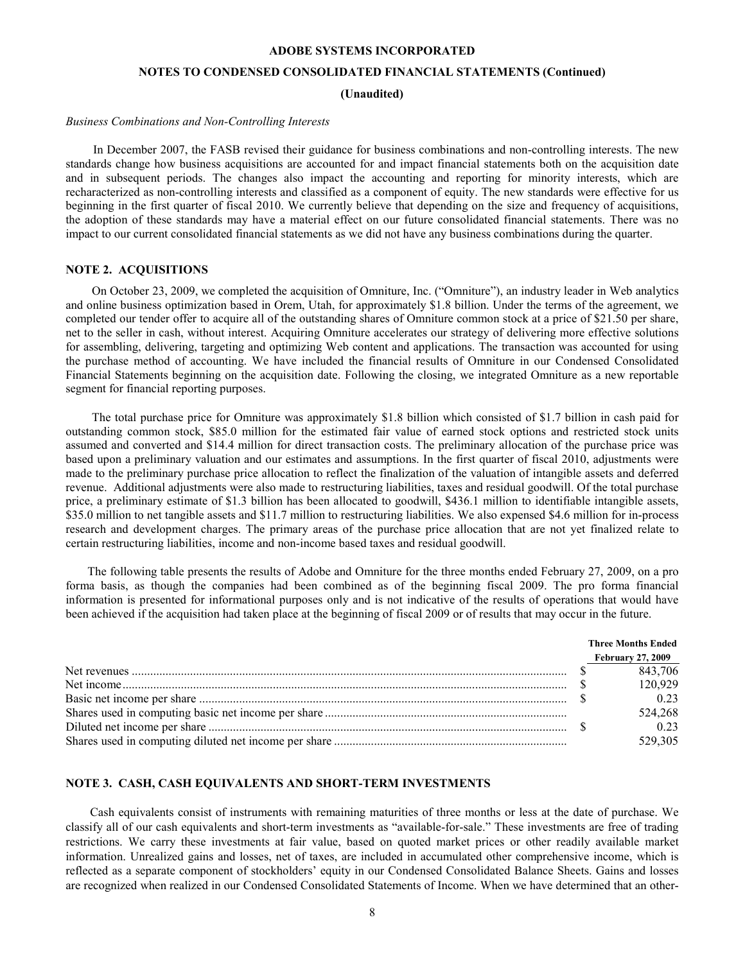# **NOTES TO CONDENSED CONSOLIDATED FINANCIAL STATEMENTS (Continued)**

**(Unaudited)**

#### <span id="page-7-0"></span>*Business Combinations and Non-Controlling Interests*

In December 2007, the FASB revised their guidance for business combinations and non-controlling interests. The new standards change how business acquisitions are accounted for and impact financial statements both on the acquisition date and in subsequent periods. The changes also impact the accounting and reporting for minority interests, which are recharacterized as non-controlling interests and classified as a component of equity. The new standards were effective for us beginning in the first quarter of fiscal 2010. We currently believe that depending on the size and frequency of acquisitions, the adoption of these standards may have a material effect on our future consolidated financial statements. There was no impact to our current consolidated financial statements as we did not have any business combinations during the quarter.

### **NOTE 2. ACQUISITIONS**

On October 23, 2009, we completed the acquisition of Omniture, Inc. ("Omniture"), an industry leader in Web analytics and online business optimization based in Orem, Utah, for approximately \$1.8 billion. Under the terms of the agreement, we completed our tender offer to acquire all of the outstanding shares of Omniture common stock at a price of \$21.50 per share, net to the seller in cash, without interest. Acquiring Omniture accelerates our strategy of delivering more effective solutions for assembling, delivering, targeting and optimizing Web content and applications. The transaction was accounted for using the purchase method of accounting. We have included the financial results of Omniture in our Condensed Consolidated Financial Statements beginning on the acquisition date. Following the closing, we integrated Omniture as a new reportable segment for financial reporting purposes.

The total purchase price for Omniture was approximately \$1.8 billion which consisted of \$1.7 billion in cash paid for outstanding common stock, \$85.0 million for the estimated fair value of earned stock options and restricted stock units assumed and converted and \$14.4 million for direct transaction costs. The preliminary allocation of the purchase price was based upon a preliminary valuation and our estimates and assumptions. In the first quarter of fiscal 2010, adjustments were made to the preliminary purchase price allocation to reflect the finalization of the valuation of intangible assets and deferred revenue. Additional adjustments were also made to restructuring liabilities, taxes and residual goodwill. Of the total purchase price, a preliminary estimate of \$1.3 billion has been allocated to goodwill, \$436.1 million to identifiable intangible assets, \$35.0 million to net tangible assets and \$11.7 million to restructuring liabilities. We also expensed \$4.6 million for in-process research and development charges. The primary areas of the purchase price allocation that are not yet finalized relate to certain restructuring liabilities, income and non-income based taxes and residual goodwill.

The following table presents the results of Adobe and Omniture for the three months ended February 27, 2009, on a pro forma basis, as though the companies had been combined as of the beginning fiscal 2009. The pro forma financial information is presented for informational purposes only and is not indicative of the results of operations that would have been achieved if the acquisition had taken place at the beginning of fiscal 2009 or of results that may occur in the future.

|  | <b>Three Months Ended</b> |
|--|---------------------------|
|  | <b>February 27, 2009</b>  |
|  | 843,706                   |
|  | 120,929                   |
|  | 0.23                      |
|  | 524,268                   |
|  | 0.23                      |
|  | 529,305                   |

# **NOTE 3. CASH, CASH EQUIVALENTS AND SHORT-TERM INVESTMENTS**

Cash equivalents consist of instruments with remaining maturities of three months or less at the date of purchase. We classify all of our cash equivalents and short-term investments as "available-for-sale." These investments are free of trading restrictions. We carry these investments at fair value, based on quoted market prices or other readily available market information. Unrealized gains and losses, net of taxes, are included in accumulated other comprehensive income, which is reflected as a separate component of stockholders' equity in our Condensed Consolidated Balance Sheets. Gains and losses are recognized when realized in our Condensed Consolidated Statements of Income. When we have determined that an other-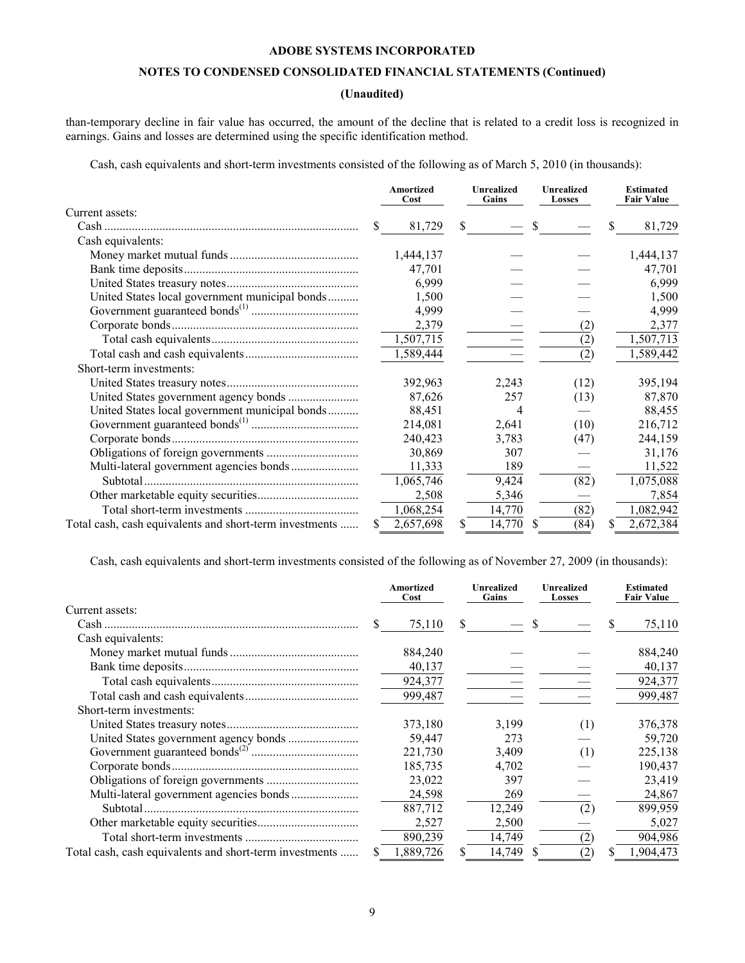# **NOTES TO CONDENSED CONSOLIDATED FINANCIAL STATEMENTS (Continued)**

# **(Unaudited)**

than-temporary decline in fair value has occurred, the amount of the decline that is related to a credit loss is recognized in earnings. Gains and losses are determined using the specific identification method.

Cash, cash equivalents and short-term investments consisted of the following as of March 5, 2010 (in thousands):

|                                                         |    | <b>Amortized</b><br>Cost | <b>Unrealized</b><br>Gains |        |     | <b>Unrealized</b><br>Losses |    | <b>Estimated</b><br><b>Fair Value</b> |  |
|---------------------------------------------------------|----|--------------------------|----------------------------|--------|-----|-----------------------------|----|---------------------------------------|--|
| Current assets:                                         |    |                          |                            |        |     |                             |    |                                       |  |
| $Cash$                                                  | S. | 81,729                   | S.                         |        | \$. |                             | S  | 81,729                                |  |
| Cash equivalents:                                       |    |                          |                            |        |     |                             |    |                                       |  |
|                                                         |    | 1,444,137                |                            |        |     |                             |    | 1,444,137                             |  |
|                                                         |    | 47,701                   |                            |        |     |                             |    | 47,701                                |  |
|                                                         |    | 6,999                    |                            |        |     |                             |    | 6,999                                 |  |
| United States local government municipal bonds          |    | 1,500                    |                            |        |     |                             |    | 1,500                                 |  |
|                                                         |    | 4,999                    |                            |        |     |                             |    | 4,999                                 |  |
|                                                         |    | 2,379                    |                            |        |     | (2)                         |    | 2,377                                 |  |
|                                                         |    | 1,507,715                |                            |        |     | (2)                         |    | 1,507,713                             |  |
|                                                         |    | 1,589,444                |                            |        |     | (2)                         |    | 1,589,442                             |  |
| Short-term investments:                                 |    |                          |                            |        |     |                             |    |                                       |  |
|                                                         |    | 392,963                  |                            | 2,243  |     | (12)                        |    | 395,194                               |  |
|                                                         |    | 87,626                   |                            | 257    |     | (13)                        |    | 87,870                                |  |
| United States local government municipal bonds          |    | 88,451                   |                            | 4      |     |                             |    | 88,455                                |  |
|                                                         |    | 214,081                  |                            | 2,641  |     | (10)                        |    | 216,712                               |  |
|                                                         |    | 240,423                  |                            | 3,783  |     | (47)                        |    | 244,159                               |  |
|                                                         |    | 30,869                   |                            | 307    |     |                             |    | 31,176                                |  |
|                                                         |    | 11,333                   |                            | 189    |     |                             |    | 11,522                                |  |
|                                                         |    | 1,065,746                |                            | 9,424  |     | (82)                        |    | 1,075,088                             |  |
|                                                         |    | 2,508                    |                            | 5,346  |     |                             |    | 7,854                                 |  |
|                                                         |    | 1,068,254                |                            | 14,770 |     | (82)                        |    | 1,082,942                             |  |
| Total cash, cash equivalents and short-term investments | S. | 2,657,698                | S                          | 14,770 | S.  | (84)                        | \$ | 2,672,384                             |  |

Cash, cash equivalents and short-term investments consisted of the following as of November 27, 2009 (in thousands):

|                                                         | Amortized<br>Cost | <b>Unrealized</b><br>Gains | <b>Unrealized</b><br>Losses | <b>Estimated</b><br><b>Fair Value</b> |
|---------------------------------------------------------|-------------------|----------------------------|-----------------------------|---------------------------------------|
| Current assets:                                         |                   |                            |                             |                                       |
|                                                         | 75,110            | S.                         | <sup>S</sup>                | 75,110<br>S                           |
| Cash equivalents:                                       |                   |                            |                             |                                       |
|                                                         | 884,240           |                            |                             | 884,240                               |
|                                                         | 40,137            |                            |                             | 40,137                                |
|                                                         | 924,377           |                            |                             | 924,377                               |
|                                                         | 999,487           |                            |                             | 999,487                               |
| Short-term investments:                                 |                   |                            |                             |                                       |
|                                                         | 373,180           | 3,199                      | (1)                         | 376,378                               |
|                                                         | 59,447            | 273                        |                             | 59,720                                |
|                                                         | 221,730           | 3,409                      | (1)                         | 225,138                               |
|                                                         | 185,735           | 4,702                      |                             | 190,437                               |
|                                                         | 23,022            | 397                        |                             | 23,419                                |
|                                                         | 24,598            | 269                        |                             | 24,867                                |
| Subtotal.                                               | 887,712           | 12,249                     | (2)                         | 899,959                               |
|                                                         | 2,527             | 2,500                      |                             | 5,027                                 |
|                                                         | 890,239           | 14,749                     | (2)                         | 904,986                               |
| Total cash, cash equivalents and short-term investments | 1,889,726         | 14,749<br>S                | (2)                         | 1,904,473<br>S                        |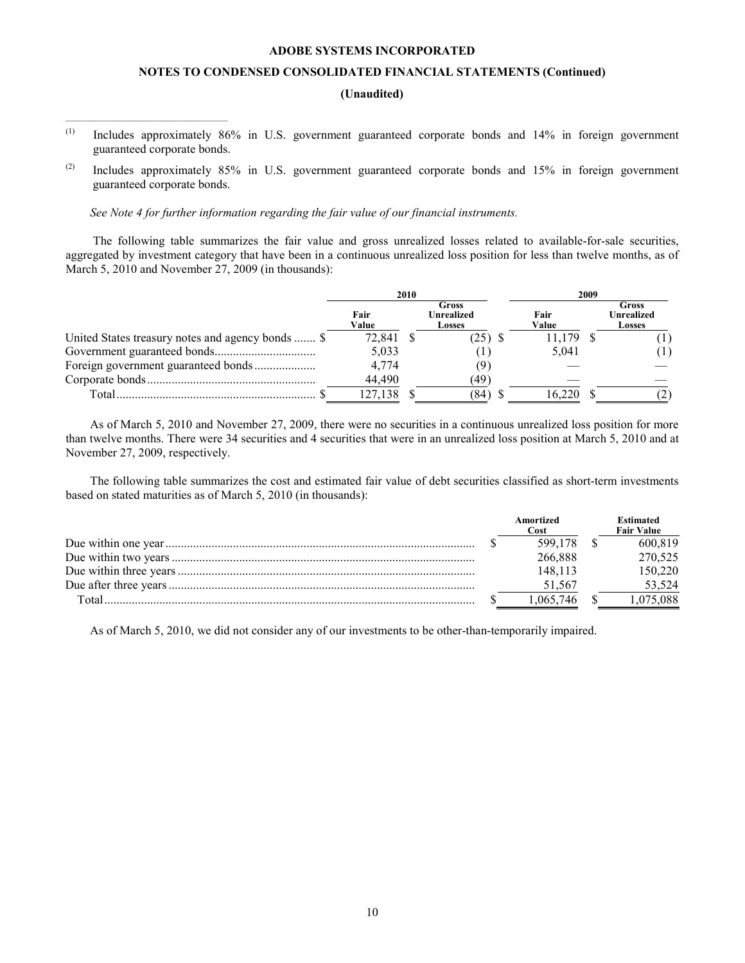# **NOTES TO CONDENSED CONSOLIDATED FINANCIAL STATEMENTS (Continued)**

# **(Unaudited)**

- (1) Includes approximately 86% in U.S. government guaranteed corporate bonds and 14% in foreign government guaranteed corporate bonds.
- (2) Includes approximately 85% in U.S. government guaranteed corporate bonds and 15% in foreign government guaranteed corporate bonds.

*[See Note 4 for further information regarding the fair value of our financial instruments.](#page-10-0)*

 $\mathcal{L}_\text{max}$  and  $\mathcal{L}_\text{max}$  and  $\mathcal{L}_\text{max}$  and  $\mathcal{L}_\text{max}$  and  $\mathcal{L}_\text{max}$ 

The following table summarizes the fair value and gross unrealized losses related to available-for-sale securities, aggregated by investment category that have been in a continuous unrealized loss position for less than twelve months, as of March 5, 2010 and November 27, 2009 (in thousands):

|                                                   | 2010          |  |                               | 2009          |  |                                      |  |
|---------------------------------------------------|---------------|--|-------------------------------|---------------|--|--------------------------------------|--|
|                                                   | Fair<br>Value |  | Gross<br>Unrealized<br>Losses | Fair<br>Value |  | Gross<br><b>Unrealized</b><br>Losses |  |
| United States treasury notes and agency bonds  \$ | 72,841        |  | 25)                           | 11.179        |  |                                      |  |
|                                                   | 5,033         |  |                               | 5.041         |  |                                      |  |
|                                                   | 4,774         |  |                               |               |  |                                      |  |
|                                                   | 44.490        |  | (49)                          |               |  |                                      |  |
| Total                                             | 127.138       |  | (84)                          |               |  |                                      |  |

As of March 5, 2010 and November 27, 2009, there were no securities in a continuous unrealized loss position for more than twelve months. There were 34 securities and 4 securities that were in an unrealized loss position at March 5, 2010 and at November 27, 2009, respectively.

The following table summarizes the cost and estimated fair value of debt securities classified as short-term investments based on stated maturities as of March 5, 2010 (in thousands):

|       | Amortized<br>Cost | <b>Estimated</b><br><b>Fair Value</b> |
|-------|-------------------|---------------------------------------|
|       | 599.178           | 600.819                               |
|       | 266,888           | 270,525                               |
|       | 148 113           | 150.220                               |
|       | 51.567            | 53.524                                |
| Total | .065.746          | 1.075.088                             |

As of March 5, 2010, we did not consider any of our investments to be other-than-temporarily impaired.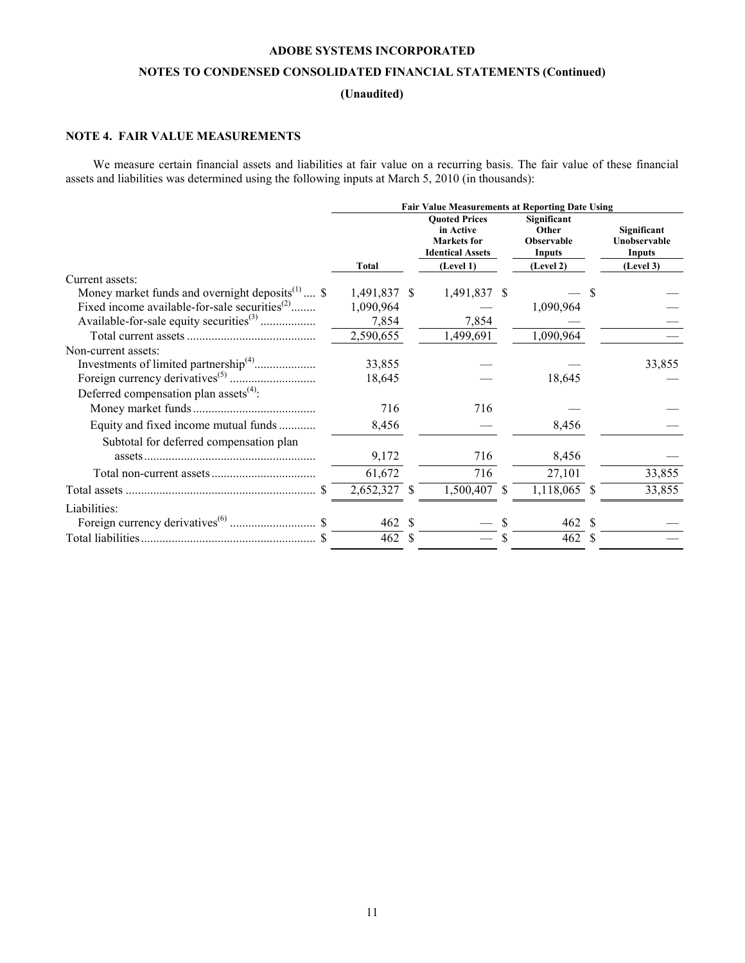# **NOTES TO CONDENSED CONSOLIDATED FINANCIAL STATEMENTS (Continued)**

# **(Unaudited)**

# <span id="page-10-0"></span>**NOTE 4. FAIR VALUE MEASUREMENTS**

We measure certain financial assets and liabilities at fair value on a recurring basis. The fair value of these financial assets and liabilities was determined using the following inputs at March 5, 2010 (in thousands):

|                                                                          | <b>Fair Value Measurements at Reporting Date Using</b> |      |                                                                                    |    |                                              |  |                                              |  |  |  |
|--------------------------------------------------------------------------|--------------------------------------------------------|------|------------------------------------------------------------------------------------|----|----------------------------------------------|--|----------------------------------------------|--|--|--|
|                                                                          |                                                        |      | <b>Ouoted Prices</b><br>in Active<br><b>Markets</b> for<br><b>Identical Assets</b> |    | Significant<br>Other<br>Observable<br>Inputs |  | Significant<br>Unobservable<br><b>Inputs</b> |  |  |  |
|                                                                          | Total                                                  |      | (Level 1)                                                                          |    | (Level 2)                                    |  | (Level 3)                                    |  |  |  |
| Current assets:                                                          |                                                        |      |                                                                                    |    |                                              |  |                                              |  |  |  |
| Money market funds and overnight deposits <sup><math>(1)</math></sup> \$ | 1,491,837 \$                                           |      | 1,491,837 \$                                                                       |    |                                              |  |                                              |  |  |  |
| Fixed income available-for-sale securities <sup>(2)</sup>                | 1,090,964                                              |      |                                                                                    |    | 1,090,964                                    |  |                                              |  |  |  |
| Available-for-sale equity securities <sup>(3)</sup>                      | 7,854                                                  |      | 7,854                                                                              |    |                                              |  |                                              |  |  |  |
|                                                                          | 2,590,655                                              |      | 1,499,691                                                                          |    | 1,090,964                                    |  |                                              |  |  |  |
| Non-current assets:                                                      |                                                        |      |                                                                                    |    |                                              |  |                                              |  |  |  |
|                                                                          | 33,855                                                 |      |                                                                                    |    |                                              |  | 33,855                                       |  |  |  |
|                                                                          | 18,645                                                 |      |                                                                                    |    | 18,645                                       |  |                                              |  |  |  |
| Deferred compensation plan assets <sup>(4)</sup> :                       |                                                        |      |                                                                                    |    |                                              |  |                                              |  |  |  |
|                                                                          | 716                                                    |      | 716                                                                                |    |                                              |  |                                              |  |  |  |
| Equity and fixed income mutual funds                                     | 8,456                                                  |      |                                                                                    |    | 8,456                                        |  |                                              |  |  |  |
| Subtotal for deferred compensation plan                                  |                                                        |      |                                                                                    |    |                                              |  |                                              |  |  |  |
|                                                                          | 9,172                                                  |      | 716                                                                                |    | 8,456                                        |  |                                              |  |  |  |
|                                                                          | 61,672                                                 |      | 716                                                                                |    | 27,101                                       |  | 33,855                                       |  |  |  |
|                                                                          | 2,652,327 \$                                           |      | 1,500,407                                                                          | -S | 1,118,065 \$                                 |  | 33,855                                       |  |  |  |
| Liabilities:                                                             |                                                        |      |                                                                                    |    |                                              |  |                                              |  |  |  |
|                                                                          | 462 \$                                                 |      |                                                                                    |    | 462 \$                                       |  |                                              |  |  |  |
|                                                                          | 462                                                    | - \$ |                                                                                    |    | 462 \$                                       |  |                                              |  |  |  |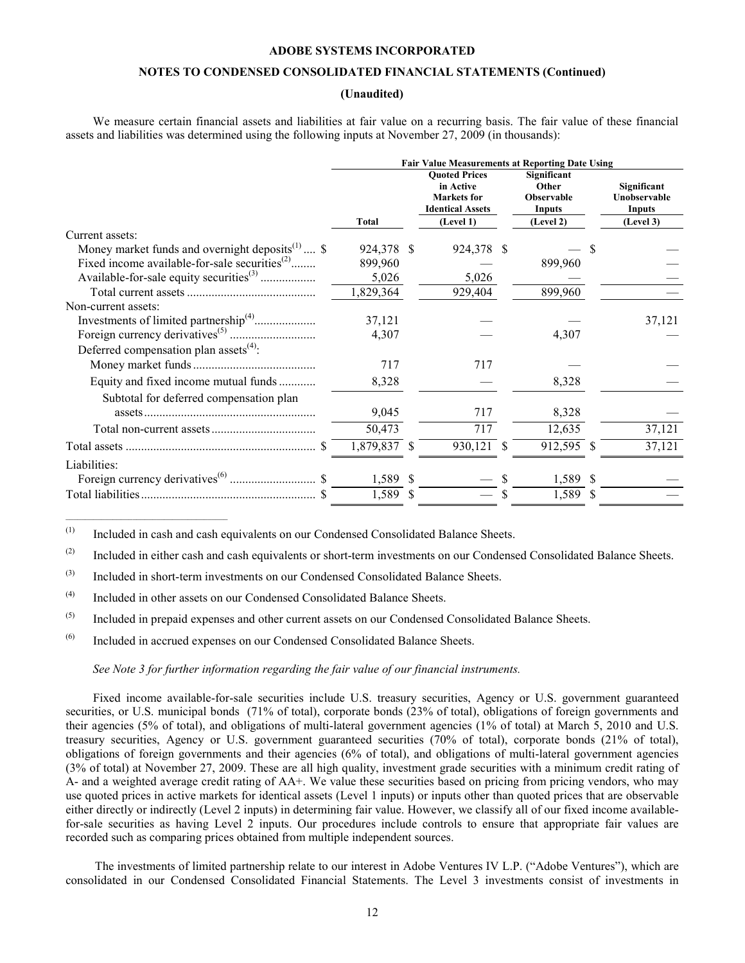# **NOTES TO CONDENSED CONSOLIDATED FINANCIAL STATEMENTS (Continued)**

# **(Unaudited)**

We measure certain financial assets and liabilities at fair value on a recurring basis. The fair value of these financial assets and liabilities was determined using the following inputs at November 27, 2009 (in thousands):

|                                                                          | <b>Fair Value Measurements at Reporting Date Using</b> |  |                                                                                    |    |                                                     |  |                                              |  |
|--------------------------------------------------------------------------|--------------------------------------------------------|--|------------------------------------------------------------------------------------|----|-----------------------------------------------------|--|----------------------------------------------|--|
|                                                                          |                                                        |  | <b>Quoted Prices</b><br>in Active<br><b>Markets</b> for<br><b>Identical Assets</b> |    | Significant<br>Other<br><b>Observable</b><br>Inputs |  | Significant<br>Unobservable<br><b>Inputs</b> |  |
|                                                                          | <b>Total</b>                                           |  | (Level 1)                                                                          |    | (Level 2)                                           |  | (Level 3)                                    |  |
| Current assets:                                                          |                                                        |  |                                                                                    |    |                                                     |  |                                              |  |
| Money market funds and overnight deposits <sup><math>(1)</math></sup> \$ | 924,378 \$                                             |  | 924,378                                                                            | -S |                                                     |  |                                              |  |
| Fixed income available-for-sale securities <sup><math>(2)</math></sup>   | 899,960                                                |  |                                                                                    |    | 899,960                                             |  |                                              |  |
|                                                                          | 5,026                                                  |  | 5,026                                                                              |    |                                                     |  |                                              |  |
|                                                                          | 1,829,364                                              |  | 929,404                                                                            |    | 899,960                                             |  |                                              |  |
| Non-current assets:                                                      |                                                        |  |                                                                                    |    |                                                     |  |                                              |  |
|                                                                          | 37,121                                                 |  |                                                                                    |    |                                                     |  | 37,121                                       |  |
|                                                                          | 4,307                                                  |  |                                                                                    |    | 4,307                                               |  |                                              |  |
| Deferred compensation plan assets <sup>(4)</sup> :                       |                                                        |  |                                                                                    |    |                                                     |  |                                              |  |
|                                                                          | 717                                                    |  | 717                                                                                |    |                                                     |  |                                              |  |
| Equity and fixed income mutual funds                                     | 8,328                                                  |  |                                                                                    |    | 8,328                                               |  |                                              |  |
| Subtotal for deferred compensation plan                                  |                                                        |  |                                                                                    |    |                                                     |  |                                              |  |
|                                                                          | 9,045                                                  |  | 717                                                                                |    | 8,328                                               |  |                                              |  |
|                                                                          | 50,473                                                 |  | 717                                                                                |    | 12,635                                              |  | 37,121                                       |  |
|                                                                          | 1,879,837 \$                                           |  | 930,121                                                                            |    | 912,595 \$                                          |  | 37,121                                       |  |
| Liabilities:                                                             |                                                        |  |                                                                                    |    |                                                     |  |                                              |  |
|                                                                          | 1,589 \$                                               |  |                                                                                    | -S | 1,589 \$                                            |  |                                              |  |
|                                                                          | 1,589 \$                                               |  |                                                                                    |    | 1,589 \$                                            |  |                                              |  |

(1) Included in cash and cash equivalents on our Condensed Consolidated Balance Sheets.

<sup>(2)</sup> Included in either cash and cash equivalents or short-term investments on our Condensed Consolidated Balance Sheets.

(3) Included in short-term investments on our Condensed Consolidated Balance Sheets.

 $(4)$  Included in other assets on our Condensed Consolidated Balance Sheets.

 $\mathcal{L}_\text{max} = \mathcal{L}_\text{max} = \mathcal{L}_\text{max} = \mathcal{L}_\text{max} = \mathcal{L}_\text{max} = \mathcal{L}_\text{max}$ 

(5) Included in prepaid expenses and other current assets on our Condensed Consolidated Balance Sheets.

(6) Included in accrued expenses on our Condensed Consolidated Balance Sheets.

# *[See Note 3 for further information regarding the fair value of our financial instruments.](#page-7-0)*

Fixed income available-for-sale securities include U.S. treasury securities, Agency or U.S. government guaranteed securities, or U.S. municipal bonds (71% of total), corporate bonds (23% of total), obligations of foreign governments and their agencies (5% of total), and obligations of multi-lateral government agencies (1% of total) at March 5, 2010 and U.S. treasury securities, Agency or U.S. government guaranteed securities (70% of total), corporate bonds (21% of total), obligations of foreign governments and their agencies (6% of total), and obligations of multi-lateral government agencies (3% of total) at November 27, 2009. These are all high quality, investment grade securities with a minimum credit rating of A- and a weighted average credit rating of AA+. We value these securities based on pricing from pricing vendors, who may use quoted prices in active markets for identical assets (Level 1 inputs) or inputs other than quoted prices that are observable either directly or indirectly (Level 2 inputs) in determining fair value. However, we classify all of our fixed income availablefor-sale securities as having Level 2 inputs. Our procedures include controls to ensure that appropriate fair values are recorded such as comparing prices obtained from multiple independent sources.

The investments of limited partnership relate to our interest in Adobe Ventures IV L.P. ("Adobe Ventures"), which are consolidated in our Condensed Consolidated Financial Statements. The Level 3 investments consist of investments in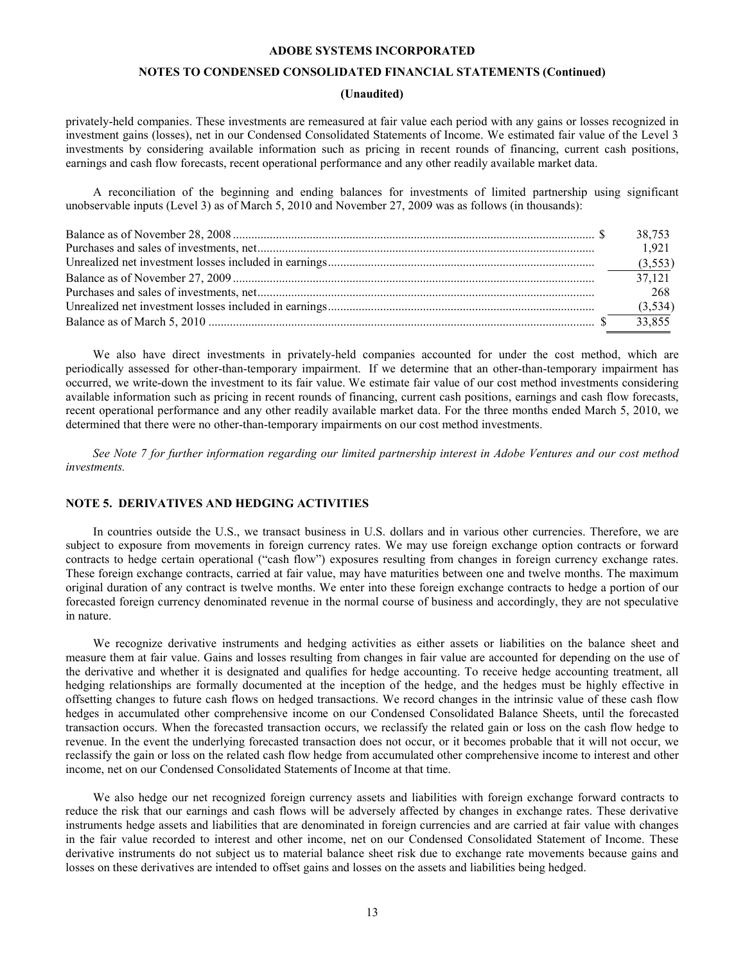# **NOTES TO CONDENSED CONSOLIDATED FINANCIAL STATEMENTS (Continued)**

# **(Unaudited)**

privately-held companies. These investments are remeasured at fair value each period with any gains or losses recognized in investment gains (losses), net in our Condensed Consolidated Statements of Income. We estimated fair value of the Level 3 investments by considering available information such as pricing in recent rounds of financing, current cash positions, earnings and cash flow forecasts, recent operational performance and any other readily available market data.

A reconciliation of the beginning and ending balances for investments of limited partnership using significant unobservable inputs (Level 3) as of March 5, 2010 and November 27, 2009 was as follows (in thousands):

| 38.753 |
|--------|
| 1.921  |
|        |
| 37.121 |
| 268    |
|        |
| 33.855 |

We also have direct investments in privately-held companies accounted for under the cost method, which are periodically assessed for other-than-temporary impairment. If we determine that an other-than-temporary impairment has occurred, we write-down the investment to its fair value. We estimate fair value of our cost method investments considering available information such as pricing in recent rounds of financing, current cash positions, earnings and cash flow forecasts, recent operational performance and any other readily available market data. For the three months ended March 5, 2010, we determined that there were no other-than-temporary impairments on our cost method investments.

*See Note 7 [for further information regarding our limited partnership interest in Adobe Ventures and our cost method](#page-15-0)  investments.*

# **NOTE 5. DERIVATIVES AND HEDGING ACTIVITIES**

In countries outside the U.S., we transact business in U.S. dollars and in various other currencies. Therefore, we are subject to exposure from movements in foreign currency rates. We may use foreign exchange option contracts or forward contracts to hedge certain operational ("cash flow") exposures resulting from changes in foreign currency exchange rates. These foreign exchange contracts, carried at fair value, may have maturities between one and twelve months. The maximum original duration of any contract is twelve months. We enter into these foreign exchange contracts to hedge a portion of our forecasted foreign currency denominated revenue in the normal course of business and accordingly, they are not speculative in nature.

We recognize derivative instruments and hedging activities as either assets or liabilities on the balance sheet and measure them at fair value. Gains and losses resulting from changes in fair value are accounted for depending on the use of the derivative and whether it is designated and qualifies for hedge accounting. To receive hedge accounting treatment, all hedging relationships are formally documented at the inception of the hedge, and the hedges must be highly effective in offsetting changes to future cash flows on hedged transactions. We record changes in the intrinsic value of these cash flow hedges in accumulated other comprehensive income on our Condensed Consolidated Balance Sheets, until the forecasted transaction occurs. When the forecasted transaction occurs, we reclassify the related gain or loss on the cash flow hedge to revenue. In the event the underlying forecasted transaction does not occur, or it becomes probable that it will not occur, we reclassify the gain or loss on the related cash flow hedge from accumulated other comprehensive income to interest and other income, net on our Condensed Consolidated Statements of Income at that time.

We also hedge our net recognized foreign currency assets and liabilities with foreign exchange forward contracts to reduce the risk that our earnings and cash flows will be adversely affected by changes in exchange rates. These derivative instruments hedge assets and liabilities that are denominated in foreign currencies and are carried at fair value with changes in the fair value recorded to interest and other income, net on our Condensed Consolidated Statement of Income. These derivative instruments do not subject us to material balance sheet risk due to exchange rate movements because gains and losses on these derivatives are intended to offset gains and losses on the assets and liabilities being hedged.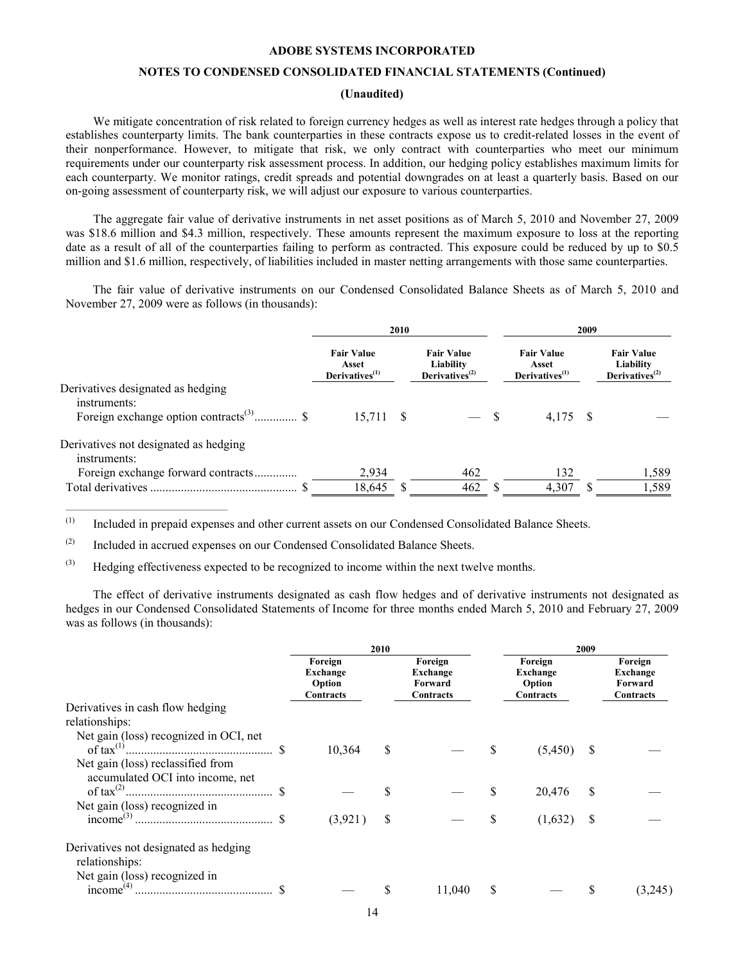# **NOTES TO CONDENSED CONSOLIDATED FINANCIAL STATEMENTS (Continued)**

# **(Unaudited)**

We mitigate concentration of risk related to foreign currency hedges as well as interest rate hedges through a policy that establishes counterparty limits. The bank counterparties in these contracts expose us to credit-related losses in the event of their nonperformance. However, to mitigate that risk, we only contract with counterparties who meet our minimum requirements under our counterparty risk assessment process. In addition, our hedging policy establishes maximum limits for each counterparty. We monitor ratings, credit spreads and potential downgrades on at least a quarterly basis. Based on our on-going assessment of counterparty risk, we will adjust our exposure to various counterparties.

The aggregate fair value of derivative instruments in net asset positions as of March 5, 2010 and November 27, 2009 was \$18.6 million and \$4.3 million, respectively. These amounts represent the maximum exposure to loss at the reporting date as a result of all of the counterparties failing to perform as contracted. This exposure could be reduced by up to \$0.5 million and \$1.6 million, respectively, of liabilities included in master netting arrangements with those same counterparties.

The fair value of derivative instruments on our Condensed Consolidated Balance Sheets as of March 5, 2010 and November 27, 2009 were as follows (in thousands):

|                                                       | 2010                                                     |  |                                                     | 2009                                            |     |                                                                           |  |
|-------------------------------------------------------|----------------------------------------------------------|--|-----------------------------------------------------|-------------------------------------------------|-----|---------------------------------------------------------------------------|--|
|                                                       | <b>Fair Value</b><br>Asset<br>Derivatives <sup>(1)</sup> |  | <b>Fair Value</b><br>Liability<br>Derivatives $(2)$ | <b>Fair Value</b><br>Asset<br>Derivatives $(1)$ |     | <b>Fair Value</b><br>Liability<br>Derivatives <sup><math>(2)</math></sup> |  |
| Derivatives designated as hedging<br>instruments:     |                                                          |  |                                                     |                                                 |     |                                                                           |  |
|                                                       | 15,711 \$                                                |  |                                                     | 4.175                                           | - S |                                                                           |  |
| Derivatives not designated as hedging<br>instruments: |                                                          |  |                                                     |                                                 |     |                                                                           |  |
| Foreign exchange forward contracts                    | 2,934                                                    |  | 462                                                 | 132                                             |     | 1,589                                                                     |  |
|                                                       | 18,645                                                   |  | 462                                                 | 4,307                                           |     | 1,589                                                                     |  |

(1) Included in prepaid expenses and other current assets on our Condensed Consolidated Balance Sheets.

(2) Included in accrued expenses on our Condensed Consolidated Balance Sheets.

 $\mathcal{L}_\text{max} = \mathcal{L}_\text{max} = \mathcal{L}_\text{max} = \mathcal{L}_\text{max} = \mathcal{L}_\text{max} = \mathcal{L}_\text{max}$ 

(3) Hedging effectiveness expected to be recognized to income within the next twelve months.

The effect of derivative instruments designated as cash flow hedges and of derivative instruments not designated as hedges in our Condensed Consolidated Statements of Income for three months ended March 5, 2010 and February 27, 2009 was as follows (in thousands):

|                                                           |                                            | 2010 |                                             |   | 2009                                       |               |                                             |
|-----------------------------------------------------------|--------------------------------------------|------|---------------------------------------------|---|--------------------------------------------|---------------|---------------------------------------------|
|                                                           | Foreign<br>Exchange<br>Option<br>Contracts |      | Foreign<br>Exchange<br>Forward<br>Contracts |   | Foreign<br>Exchange<br>Option<br>Contracts |               | Foreign<br>Exchange<br>Forward<br>Contracts |
| Derivatives in cash flow hedging                          |                                            |      |                                             |   |                                            |               |                                             |
| relationships:                                            |                                            |      |                                             |   |                                            |               |                                             |
| Net gain (loss) recognized in OCI, net<br>of tax $^{(1)}$ | 10,364                                     | \$   |                                             | S | (5,450)                                    | -S            |                                             |
| Net gain (loss) reclassified from                         |                                            |      |                                             |   |                                            |               |                                             |
| accumulated OCI into income, net                          |                                            |      |                                             |   | 20,476                                     | \$            |                                             |
| Net gain (loss) recognized in                             |                                            |      |                                             |   |                                            |               |                                             |
| income <sup>(3)</sup>                                     | (3,921)                                    | S    |                                             | S | (1,632)                                    | <sup>\$</sup> |                                             |
| Derivatives not designated as hedging<br>relationships:   |                                            |      |                                             |   |                                            |               |                                             |
| Net gain (loss) recognized in<br>income $^{(4)}$ .        |                                            |      | 11,040                                      | S |                                            |               | (3,245)                                     |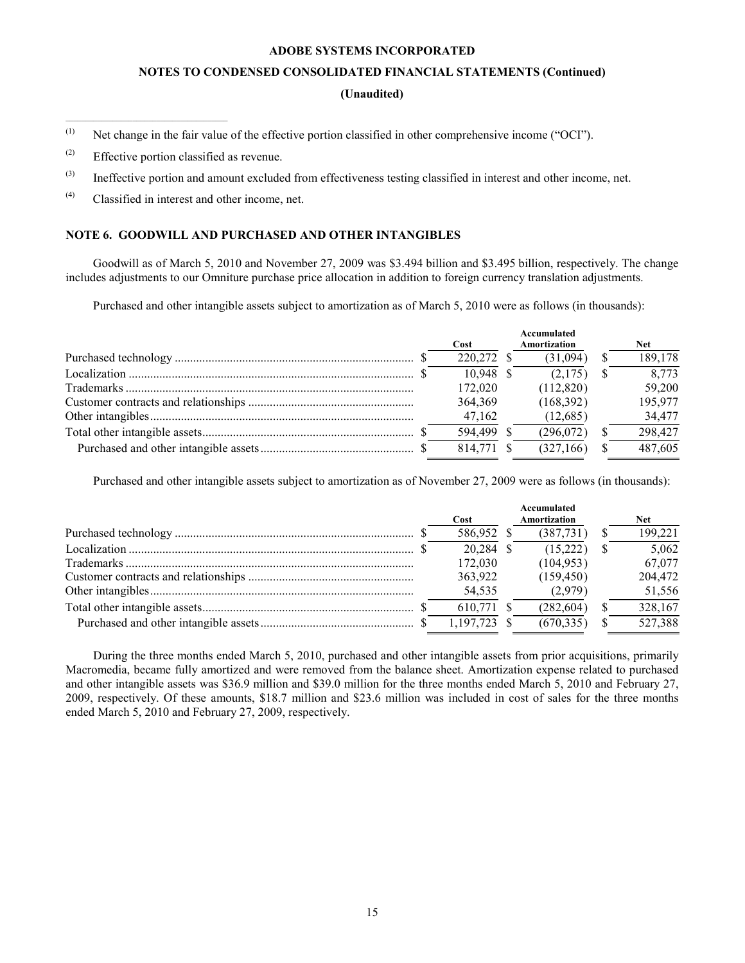### **NOTES TO CONDENSED CONSOLIDATED FINANCIAL STATEMENTS (Continued)**

# **(Unaudited)**

(1) Net change in the fair value of the effective portion classified in other comprehensive income ("OCI").

(2) Effective portion classified as revenue.

 $\mathcal{L}_\text{max}$  and  $\mathcal{L}_\text{max}$  and  $\mathcal{L}_\text{max}$  and  $\mathcal{L}_\text{max}$  and  $\mathcal{L}_\text{max}$ 

- (3) Ineffective portion and amount excluded from effectiveness testing classified in interest and other income, net.
- (4) Classified in interest and other income, net.

# **NOTE 6. GOODWILL AND PURCHASED AND OTHER INTANGIBLES**

Goodwill as of March 5, 2010 and November 27, 2009 was \$3.494 billion and \$3.495 billion, respectively. The change includes adjustments to our Omniture purchase price allocation in addition to foreign currency translation adjustments.

Purchased and other intangible assets subject to amortization as of March 5, 2010 were as follows (in thousands):

|  | Cost        | Accumulated<br>Amortization | <b>Net</b> |
|--|-------------|-----------------------------|------------|
|  | 220.272     | (31.094)                    | 189,178    |
|  | $10,948$ \$ | (2,175)                     | 8,773      |
|  | 172,020     | (112,820)                   | 59,200     |
|  | 364,369     | (168,392)                   | 195,977    |
|  | 47.162      | (12,685)                    | 34,477     |
|  | 594,499     | (296,072)                   | 298,427    |
|  | 814.771     | (327, 166)                  | 487,605    |

Purchased and other intangible assets subject to amortization as of November 27, 2009 were as follows (in thousands):

| Cost         | Accumulated<br>Amortization | <b>Net</b> |
|--------------|-----------------------------|------------|
| 586,952 \$   | (387,731)                   | 199,221    |
| $20,284$ \$  | (15,222)                    | 5,062      |
| 172,030      | (104, 953)                  | 67,077     |
| 363,922      | (159, 450)                  | 204,472    |
| 54,535       | (2,979)                     | 51,556     |
| 610,771 \$   | (282, 604)                  | 328,167    |
| 1,197,723 \$ | (670.335)                   | 527,388    |

During the three months ended March 5, 2010, purchased and other intangible assets from prior acquisitions, primarily Macromedia, became fully amortized and were removed from the balance sheet. Amortization expense related to purchased and other intangible assets was \$36.9 million and \$39.0 million for the three months ended March 5, 2010 and February 27, 2009, respectively. Of these amounts, \$18.7 million and \$23.6 million was included in cost of sales for the three months ended March 5, 2010 and February 27, 2009, respectively.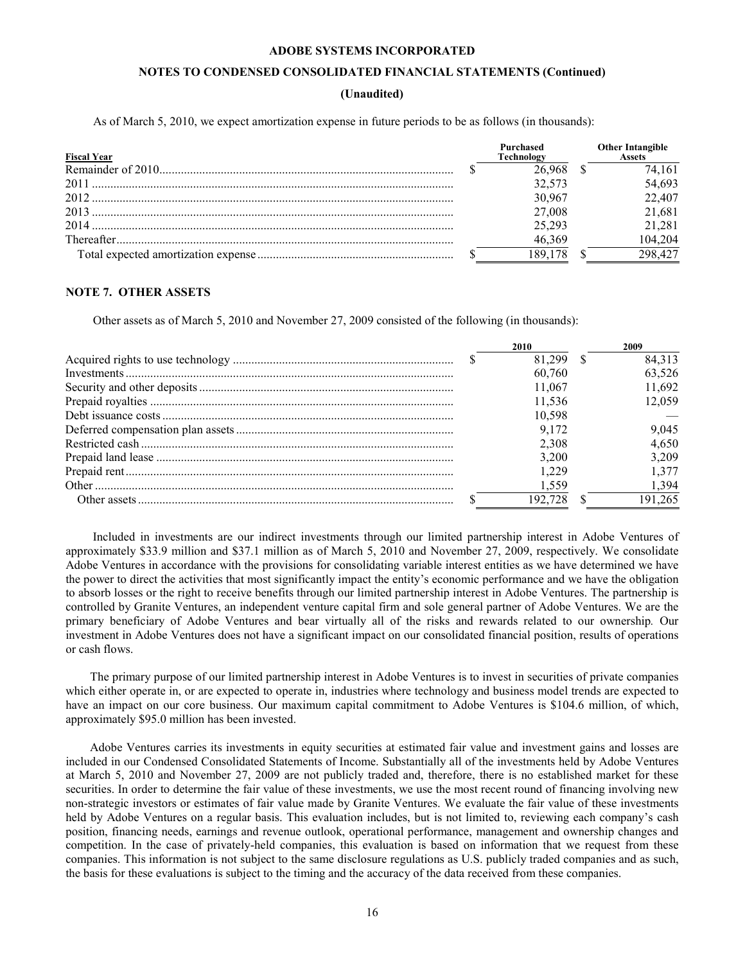# **NOTES TO CONDENSED CONSOLIDATED FINANCIAL STATEMENTS (Continued)**

# **(Unaudited)**

<span id="page-15-0"></span>As of March 5, 2010, we expect amortization expense in future periods to be as follows (in thousands):

| <b>Fiscal Year</b> | Purchased<br>Technology | <b>Other Intangible</b><br>Assets |
|--------------------|-------------------------|-----------------------------------|
|                    | 26 968                  | 74.161                            |
|                    | 32.573                  | 54,693                            |
|                    | 30.967                  | 22,407                            |
|                    | 27,008                  | 21,681                            |
| 2014               | 25.293                  | 21,281                            |
|                    | 46.369                  | 104.204                           |
|                    | 189 178                 | 298 427                           |

#### **NOTE 7. OTHER ASSETS**

Other assets as of March 5, 2010 and November 27, 2009 consisted of the following (in thousands):

|  | 2010    | 2009    |
|--|---------|---------|
|  | 81.299  | 84,313  |
|  | 60.760  | 63,526  |
|  | 11.067  | 11.692  |
|  | 11.536  | 12.059  |
|  | 10.598  |         |
|  | 9.172   | 9,045   |
|  | 2.308   | 4.650   |
|  | 3.200   | 3.209   |
|  | 1 229   | 1.377   |
|  | 1.559   | 1.394   |
|  | 192.728 | 191.265 |

Included in investments are our indirect investments through our limited partnership interest in Adobe Ventures of approximately \$33.9 million and \$37.1 million as of March 5, 2010 and November 27, 2009, respectively. We consolidate Adobe Ventures in accordance with the provisions for consolidating variable interest entities as we have determined we have the power to direct the activities that most significantly impact the entity's economic performance and we have the obligation to absorb losses or the right to receive benefits through our limited partnership interest in Adobe Ventures. The partnership is controlled by Granite Ventures, an independent venture capital firm and sole general partner of Adobe Ventures. We are the primary beneficiary of Adobe Ventures and bear virtually all of the risks and rewards related to our ownership*.* Our investment in Adobe Ventures does not have a significant impact on our consolidated financial position, results of operations or cash flows.

The primary purpose of our limited partnership interest in Adobe Ventures is to invest in securities of private companies which either operate in, or are expected to operate in, industries where technology and business model trends are expected to have an impact on our core business. Our maximum capital commitment to Adobe Ventures is \$104.6 million, of which, approximately \$95.0 million has been invested.

Adobe Ventures carries its investments in equity securities at estimated fair value and investment gains and losses are included in our Condensed Consolidated Statements of Income. Substantially all of the investments held by Adobe Ventures at March 5, 2010 and November 27, 2009 are not publicly traded and, therefore, there is no established market for these securities. In order to determine the fair value of these investments, we use the most recent round of financing involving new non-strategic investors or estimates of fair value made by Granite Ventures. We evaluate the fair value of these investments held by Adobe Ventures on a regular basis. This evaluation includes, but is not limited to, reviewing each company's cash position, financing needs, earnings and revenue outlook, operational performance, management and ownership changes and competition. In the case of privately-held companies, this evaluation is based on information that we request from these companies. This information is not subject to the same disclosure regulations as U.S. publicly traded companies and as such, the basis for these evaluations is subject to the timing and the accuracy of the data received from these companies.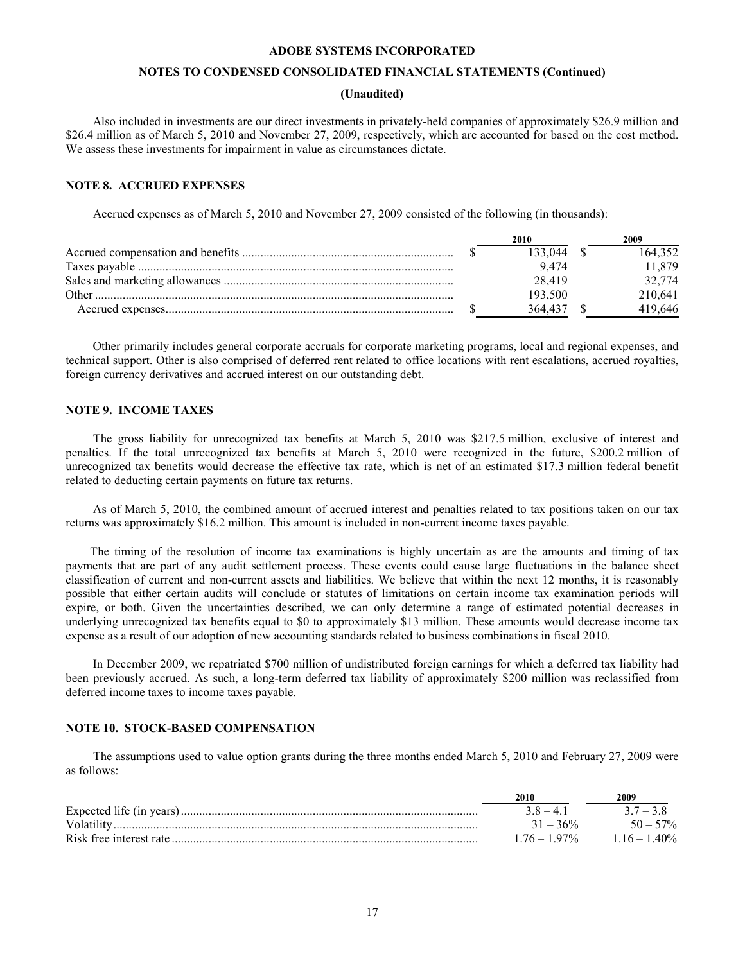# **NOTES TO CONDENSED CONSOLIDATED FINANCIAL STATEMENTS (Continued)**

# **(Unaudited)**

Also included in investments are our direct investments in privately-held companies of approximately \$26.9 million and \$26.4 million as of March 5, 2010 and November 27, 2009, respectively, which are accounted for based on the cost method. We assess these investments for impairment in value as circumstances dictate.

#### **NOTE 8. ACCRUED EXPENSES**

Accrued expenses as of March 5, 2010 and November 27, 2009 consisted of the following (in thousands):

|       | 2010    | 2009    |
|-------|---------|---------|
|       | 133 044 | 64.352  |
|       | 9474    | 1 879   |
|       | 28 4 19 | 32.774  |
| Other | 193.500 | 210.641 |
|       | 364.43  | 419 646 |

Other primarily includes general corporate accruals for corporate marketing programs, local and regional expenses, and technical support. Other is also comprised of deferred rent related to office locations with rent escalations, accrued royalties, foreign currency derivatives and accrued interest on our outstanding debt.

# **NOTE 9. INCOME TAXES**

The gross liability for unrecognized tax benefits at March 5, 2010 was \$217.5 million, exclusive of interest and penalties. If the total unrecognized tax benefits at March 5, 2010 were recognized in the future, \$200.2 million of unrecognized tax benefits would decrease the effective tax rate, which is net of an estimated \$17.3 million federal benefit related to deducting certain payments on future tax returns.

As of March 5, 2010, the combined amount of accrued interest and penalties related to tax positions taken on our tax returns was approximately \$16.2 million. This amount is included in non-current income taxes payable.

The timing of the resolution of income tax examinations is highly uncertain as are the amounts and timing of tax payments that are part of any audit settlement process. These events could cause large fluctuations in the balance sheet classification of current and non-current assets and liabilities. We believe that within the next 12 months, it is reasonably possible that either certain audits will conclude or statutes of limitations on certain income tax examination periods will expire, or both. Given the uncertainties described, we can only determine a range of estimated potential decreases in underlying unrecognized tax benefits equal to \$0 to approximately \$13 million. These amounts would decrease income tax expense as a result of our adoption of new accounting standards related to business combinations in fiscal 2010*.* 

In December 2009, we repatriated \$700 million of undistributed foreign earnings for which a deferred tax liability had been previously accrued. As such, a long-term deferred tax liability of approximately \$200 million was reclassified from deferred income taxes to income taxes payable.

# **NOTE 10. STOCK-BASED COMPENSATION**

The assumptions used to value option grants during the three months ended March 5, 2010 and February 27, 2009 were as follows:

| 2010          | 2009          |
|---------------|---------------|
| $38 - 41$     | $37 - 38$     |
| $31 - 36\%$   | $50 - 57\%$   |
| $176 - 197\%$ | $116 - 140\%$ |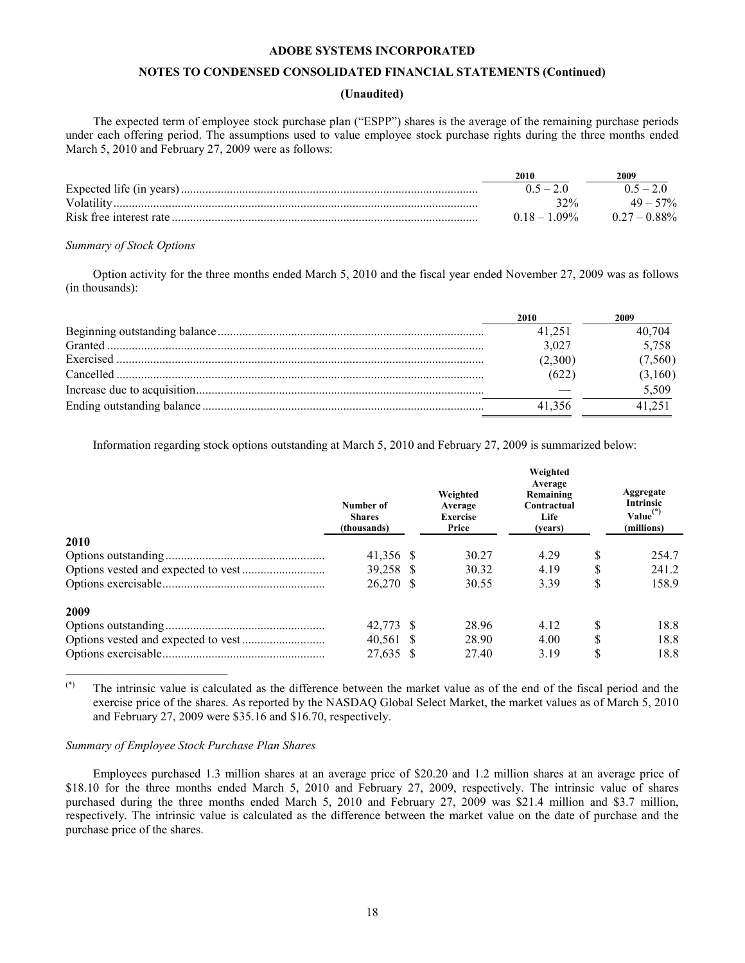# **NOTES TO CONDENSED CONSOLIDATED FINANCIAL STATEMENTS (Continued)**

# **(Unaudited)**

The expected term of employee stock purchase plan ("ESPP") shares is the average of the remaining purchase periods under each offering period. The assumptions used to value employee stock purchase rights during the three months ended March 5, 2010 and February 27, 2009 were as follows:

|             | 2010            | 2009            |
|-------------|-----------------|-----------------|
|             | $0.5 - 2.0$     | $0.5 - 2.0$     |
| Volatility. | 32%             | $49 - 57\%$     |
|             | $0.18 - 1.09\%$ | $0.27 - 0.88\%$ |

#### *Summary of Stock Options*

Option activity for the three months ended March 5, 2010 and the fiscal year ended November 27, 2009 was as follows (in thousands):

| 2010    | 2009    |
|---------|---------|
| 41.251  | 40.704  |
| 3,027   | 5,758   |
| (2,300) | (7,560) |
| (622    | (3,160) |
|         | 5,509   |
| 41 356  |         |

Information regarding stock options outstanding at March 5, 2010 and February 27, 2009 is summarized below:

|      | Number of<br><b>Shares</b><br>(thousands) | Weighted<br>Average<br><b>Exercise</b><br>Price | Weighted<br>Average<br>Remaining<br>Contractual<br>Life<br>(years) |    | Aggregate<br><b>Intrinsic</b><br>$Value(*)$<br>(millions) |
|------|-------------------------------------------|-------------------------------------------------|--------------------------------------------------------------------|----|-----------------------------------------------------------|
| 2010 |                                           |                                                 |                                                                    |    |                                                           |
|      | 41.356 \$                                 | 30.27                                           | 4.29                                                               | S  | 254.7                                                     |
|      | 39,258 \$                                 | 30.32                                           | 4.19                                                               | S  | 241.2                                                     |
|      | 26.270 \$                                 | 30.55                                           | 3.39                                                               | \$ | 158.9                                                     |
| 2009 |                                           |                                                 |                                                                    |    |                                                           |
|      | 42.773 \$                                 | 28.96                                           | 4.12                                                               | S  | 18.8                                                      |
|      | $40,561$ \$                               | 28.90                                           | 4.00                                                               | \$ | 18.8                                                      |
|      | 27,635 \$                                 | 27.40                                           | 3.19                                                               | \$ | 18.8                                                      |

(\*) The intrinsic value is calculated as the difference between the market value as of the end of the fiscal period and the exercise price of the shares. As reported by the NASDAQ Global Select Market, the market values as of March 5, 2010 and February 27, 2009 were \$35.16 and \$16.70, respectively.

# *Summary of Employee Stock Purchase Plan Shares*

 $\mathcal{L}_\text{max}$  and  $\mathcal{L}_\text{max}$  and  $\mathcal{L}_\text{max}$  and  $\mathcal{L}_\text{max}$  and  $\mathcal{L}_\text{max}$ 

Employees purchased 1.3 million shares at an average price of \$20.20 and 1.2 million shares at an average price of \$18.10 for the three months ended March 5, 2010 and February 27, 2009, respectively. The intrinsic value of shares purchased during the three months ended March 5, 2010 and February 27, 2009 was \$21.4 million and \$3.7 million, respectively. The intrinsic value is calculated as the difference between the market value on the date of purchase and the purchase price of the shares.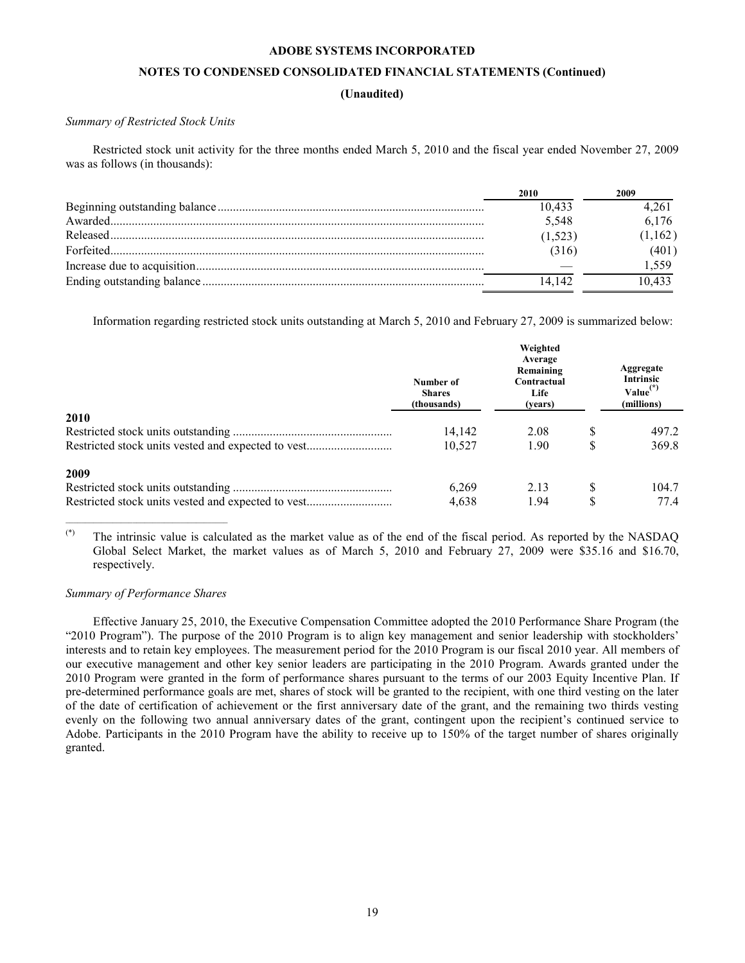# **NOTES TO CONDENSED CONSOLIDATED FINANCIAL STATEMENTS (Continued)**

# **(Unaudited)**

# *Summary of Restricted Stock Units*

Restricted stock unit activity for the three months ended March 5, 2010 and the fiscal year ended November 27, 2009 was as follows (in thousands):

| 2010     | 2009    |
|----------|---------|
| 10.433   | 4.261   |
| 5,548    | 6.176   |
| (1, 523) | (1,162) |
| (316)    | (401)   |
|          | 1.559   |
| 14 142   | 10 433  |
|          |         |

Information regarding restricted stock units outstanding at March 5, 2010 and February 27, 2009 is summarized below:

|             | Number of<br><b>Shares</b><br>(thousands) | Weighted<br>Average<br>Remaining<br>Contractual<br>Life<br>(vears) | Aggregate<br>Intrinsic<br>$Value(*)$<br>(millions) |
|-------------|-------------------------------------------|--------------------------------------------------------------------|----------------------------------------------------|
| <b>2010</b> |                                           |                                                                    |                                                    |
|             | 14,142                                    | 2.08                                                               | 497.2                                              |
|             | 10.527                                    | 1.90                                                               | \$<br>369.8                                        |
| 2009        |                                           |                                                                    |                                                    |
|             | 6,269                                     | 2.13                                                               | 104.7                                              |
|             | 4,638                                     | 1.94                                                               | \$<br>77.4                                         |

(\*) The intrinsic value is calculated as the market value as of the end of the fiscal period. As reported by the NASDAQ Global Select Market, the market values as of March 5, 2010 and February 27, 2009 were \$35.16 and \$16.70, respectively.

# *Summary of Performance Shares*

 $\mathcal{L}_\text{max}$  and  $\mathcal{L}_\text{max}$  and  $\mathcal{L}_\text{max}$  and  $\mathcal{L}_\text{max}$  and  $\mathcal{L}_\text{max}$ 

Effective January 25, 2010, the Executive Compensation Committee adopted the 2010 Performance Share Program (the "2010 Program"). The purpose of the 2010 Program is to align key management and senior leadership with stockholders' interests and to retain key employees. The measurement period for the 2010 Program is our fiscal 2010 year. All members of our executive management and other key senior leaders are participating in the 2010 Program. Awards granted under the 2010 Program were granted in the form of performance shares pursuant to the terms of our 2003 Equity Incentive Plan. If pre-determined performance goals are met, shares of stock will be granted to the recipient, with one third vesting on the later of the date of certification of achievement or the first anniversary date of the grant, and the remaining two thirds vesting evenly on the following two annual anniversary dates of the grant, contingent upon the recipient's continued service to Adobe. Participants in the 2010 Program have the ability to receive up to 150% of the target number of shares originally granted.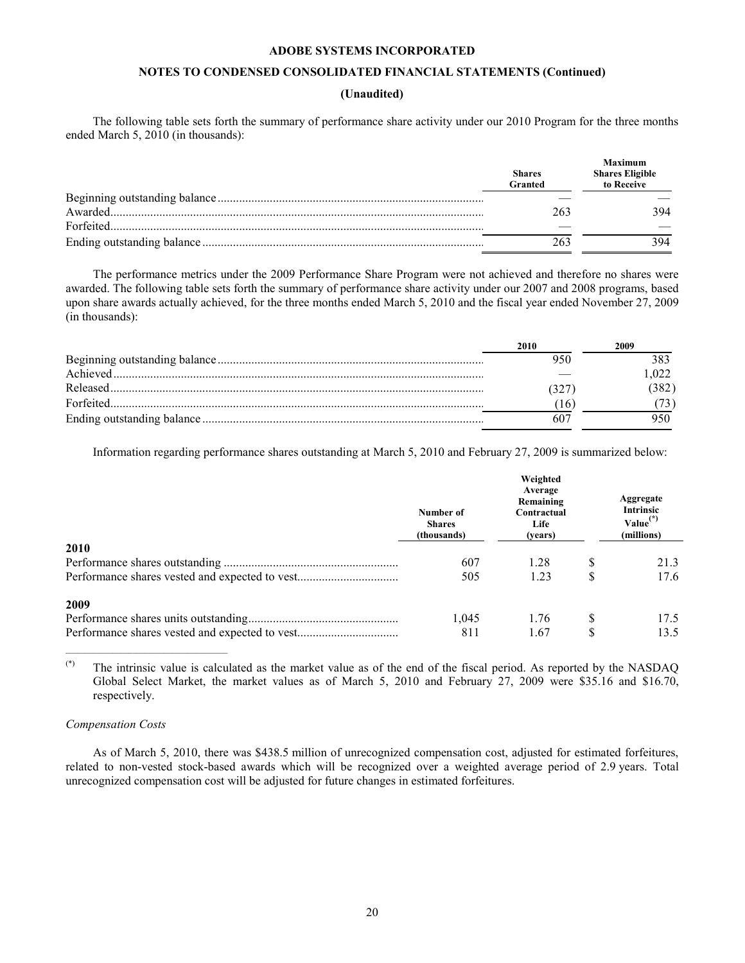# **NOTES TO CONDENSED CONSOLIDATED FINANCIAL STATEMENTS (Continued)**

# **(Unaudited)**

The following table sets forth the summary of performance share activity under our 2010 Program for the three months ended March 5, 2010 (in thousands):

|           | <b>Shares</b><br>Granted | <b>Maximum</b><br><b>Shares Eligible</b><br>to Receive |
|-----------|--------------------------|--------------------------------------------------------|
|           |                          |                                                        |
|           | 263                      | 394                                                    |
| Forfeited |                          |                                                        |
|           |                          | 394                                                    |

The performance metrics under the 2009 Performance Share Program were not achieved and therefore no shares were awarded. The following table sets forth the summary of performance share activity under our 2007 and 2008 programs, based upon share awards actually achieved, for the three months ended March 5, 2010 and the fiscal year ended November 27, 2009 (in thousands):

| 2010 | 2009 |
|------|------|
|      |      |
|      | 022  |
|      | 382) |
|      |      |
|      |      |

Information regarding performance shares outstanding at March 5, 2010 and February 27, 2009 is summarized below:

|                                                | Number of<br><b>Shares</b><br>(thousands) | Weighted<br>Average<br>Remaining<br>Contractual<br>Life<br>(vears) | Aggregate<br><b>Intrinsic</b><br>$Value^{(*)}$<br>(millions) |
|------------------------------------------------|-------------------------------------------|--------------------------------------------------------------------|--------------------------------------------------------------|
| 2010                                           |                                           |                                                                    |                                                              |
|                                                | 607                                       | 1.28                                                               | 21.3                                                         |
| Performance shares vested and expected to vest | 505                                       | 1.23                                                               | \$<br>17.6                                                   |
| 2009                                           |                                           |                                                                    |                                                              |
|                                                | 1,045                                     | 1.76                                                               | 17.5                                                         |
| Performance shares vested and expected to vest | 811                                       | 1.67                                                               | \$<br>13.5                                                   |

 $(*)$  The intrinsic value is calculated as the market value as of the end of the fiscal period. As reported by the NASDAQ Global Select Market, the market values as of March 5, 2010 and February 27, 2009 were \$35.16 and \$16.70, respectively.

#### *Compensation Costs*

\_\_\_\_\_\_\_\_\_\_\_\_\_\_\_\_\_\_\_\_\_\_\_\_\_\_\_\_\_\_\_\_\_\_\_\_\_\_\_\_\_

As of March 5, 2010, there was \$438.5 million of unrecognized compensation cost, adjusted for estimated forfeitures, related to non-vested stock-based awards which will be recognized over a weighted average period of 2.9 years. Total unrecognized compensation cost will be adjusted for future changes in estimated forfeitures.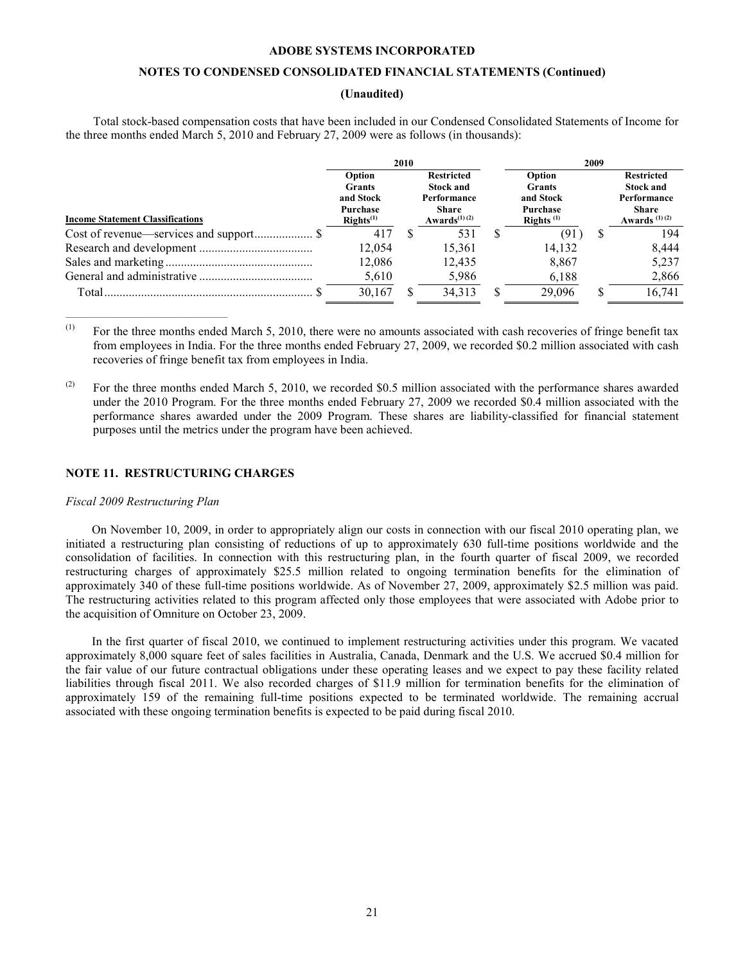# **NOTES TO CONDENSED CONSOLIDATED FINANCIAL STATEMENTS (Continued)**

# **(Unaudited)**

<span id="page-20-0"></span>Total stock-based compensation costs that have been included in our Condensed Consolidated Statements of Income for the three months ended March 5, 2010 and February 27, 2009 were as follows (in thousands):

|                                         | 2010                                                                        |  |                                                                                                               |  | 2009                                                             |  |                                                                                                  |
|-----------------------------------------|-----------------------------------------------------------------------------|--|---------------------------------------------------------------------------------------------------------------|--|------------------------------------------------------------------|--|--------------------------------------------------------------------------------------------------|
| <b>Income Statement Classifications</b> | Option<br><b>Grants</b><br>and Stock<br>Purchase<br>$\mathbf{RightS}^{(1)}$ |  | <b>Restricted</b><br><b>Stock and</b><br>Performance<br><b>Share</b><br>Awards <sup><math>(1)(2)</math></sup> |  | Option<br><b>Grants</b><br>and Stock<br>Purchase<br>Rights $(1)$ |  | <b>Restricted</b><br><b>Stock and</b><br>Performance<br><b>Share</b><br>Awards <sup>(1)(2)</sup> |
|                                         | 417                                                                         |  | 531                                                                                                           |  | (91)                                                             |  | 194                                                                                              |
|                                         | 12,054                                                                      |  | 15,361                                                                                                        |  | 14,132                                                           |  | 8.444                                                                                            |
|                                         | 12,086                                                                      |  | 12,435                                                                                                        |  | 8,867                                                            |  | 5,237                                                                                            |
|                                         | 5,610                                                                       |  | 5,986                                                                                                         |  | 6,188                                                            |  | 2,866                                                                                            |
|                                         | 30,167                                                                      |  | 34,313                                                                                                        |  | 29,096                                                           |  | 16,741                                                                                           |

 $(1)$  For the three months ended March 5, 2010, there were no amounts associated with cash recoveries of fringe benefit tax from employees in India. For the three months ended February 27, 2009, we recorded \$0.2 million associated with cash recoveries of fringe benefit tax from employees in India.

(2) For the three months ended March 5, 2010, we recorded \$0.5 million associated with the performance shares awarded under the 2010 Program. For the three months ended February 27, 2009 we recorded \$0.4 million associated with the performance shares awarded under the 2009 Program. These shares are liability-classified for financial statement purposes until the metrics under the program have been achieved.

# **NOTE 11. RESTRUCTURING CHARGES**

# *Fiscal 2009 Restructuring Plan*

\_\_\_\_\_\_\_\_\_\_\_\_\_\_\_\_\_\_\_\_\_\_\_\_\_\_\_\_\_\_\_\_\_\_\_\_\_\_\_\_\_

On November 10, 2009, in order to appropriately align our costs in connection with our fiscal 2010 operating plan, we initiated a restructuring plan consisting of reductions of up to approximately 630 full-time positions worldwide and the consolidation of facilities. In connection with this restructuring plan, in the fourth quarter of fiscal 2009, we recorded restructuring charges of approximately \$25.5 million related to ongoing termination benefits for the elimination of approximately 340 of these full-time positions worldwide. As of November 27, 2009, approximately \$2.5 million was paid. The restructuring activities related to this program affected only those employees that were associated with Adobe prior to the acquisition of Omniture on October 23, 2009.

In the first quarter of fiscal 2010, we continued to implement restructuring activities under this program. We vacated approximately 8,000 square feet of sales facilities in Australia, Canada, Denmark and the U.S. We accrued \$0.4 million for the fair value of our future contractual obligations under these operating leases and we expect to pay these facility related liabilities through fiscal 2011. We also recorded charges of \$11.9 million for termination benefits for the elimination of approximately 159 of the remaining full-time positions expected to be terminated worldwide. The remaining accrual associated with these ongoing termination benefits is expected to be paid during fiscal 2010.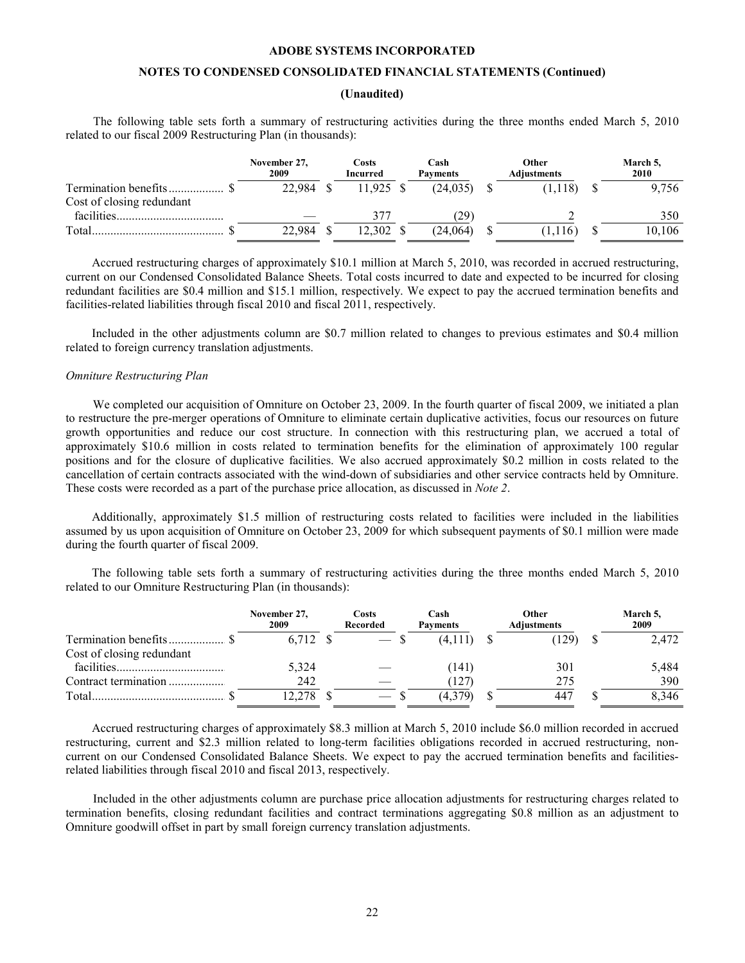# **NOTES TO CONDENSED CONSOLIDATED FINANCIAL STATEMENTS (Continued)**

# **(Unaudited)**

The following table sets forth a summary of restructuring activities during the three months ended March 5, 2010 related to our fiscal 2009 Restructuring Plan (in thousands):

|                                                   | November 27,<br>2009 | Costs<br>Incurred | Cash<br><b>Payments</b> | Other<br><b>Adjustments</b> | March 5,<br>2010 |
|---------------------------------------------------|----------------------|-------------------|-------------------------|-----------------------------|------------------|
| Termination benefits<br>Cost of closing redundant | 22.984               | $11,925$ \$       | (24.035)                | (1.118)                     | 9.756            |
| facilities.                                       |                      | 37 <sup>7</sup>   | $.29^{\circ}$           |                             | 350              |
| Total                                             | 22.984               | 12.302            | (24.064)                | (1.116)                     | 10.106           |

Accrued restructuring charges of approximately \$10.1 million at March 5, 2010, was recorded in accrued restructuring, current on our Condensed Consolidated Balance Sheets. Total costs incurred to date and expected to be incurred for closing redundant facilities are \$0.4 million and \$15.1 million, respectively. We expect to pay the accrued termination benefits and facilities-related liabilities through fiscal 2010 and fiscal 2011, respectively.

Included in the other adjustments column are \$0.7 million related to changes to previous estimates and \$0.4 million related to foreign currency translation adjustments.

#### *Omniture Restructuring Plan*

We completed our acquisition of Omniture on October 23, 2009. In the fourth quarter of fiscal 2009, we initiated a plan to restructure the pre-merger operations of Omniture to eliminate certain duplicative activities, focus our resources on future growth opportunities and reduce our cost structure. In connection with this restructuring plan, we accrued a total of approximately \$10.6 million in costs related to termination benefits for the elimination of approximately 100 regular positions and for the closure of duplicative facilities. We also accrued approximately \$0.2 million in costs related to the cancellation of certain contracts associated with the wind-down of subsidiaries and other service contracts held by Omniture. These costs were recorded as a part of the purchase price allocation, as discussed in *Note 2*.

Additionally, approximately \$1.5 million of restructuring costs related to facilities were included in the liabilities assumed by us upon acquisition of Omniture on October 23, 2009 for which subsequent payments of \$0.1 million were made during the fourth quarter of fiscal 2009.

The following table sets forth a summary of restructuring activities during the three months ended March 5, 2010 related to our Omniture Restructuring Plan (in thousands):

|                           | November 27,<br>2009 | <b>Costs</b><br><b>Recorded</b> | Cash<br><b>Payments</b> | Other<br><b>Adjustments</b> | March 5,<br>2009 |
|---------------------------|----------------------|---------------------------------|-------------------------|-----------------------------|------------------|
| Termination benefits      | 6.712                |                                 | (4,1)                   | 129                         | 2,472            |
| Cost of closing redundant |                      |                                 |                         |                             |                  |
| facilities.               | 5,324                |                                 | 141)                    | 301                         | 5,484            |
| Contract termination      | 242                  |                                 | 127                     | 275                         | 390              |
| Total.                    |                      |                                 | (4,379)                 | 447                         | 8,346            |

Accrued restructuring charges of approximately \$8.3 million at March 5, 2010 include \$6.0 million recorded in accrued restructuring, current and \$2.3 million related to long-term facilities obligations recorded in accrued restructuring, noncurrent on our Condensed Consolidated Balance Sheets. We expect to pay the accrued termination benefits and facilitiesrelated liabilities through fiscal 2010 and fiscal 2013, respectively.

Included in the other adjustments column are purchase price allocation adjustments for restructuring charges related to termination benefits, closing redundant facilities and contract terminations aggregating \$0.8 million as an adjustment to Omniture goodwill offset in part by small foreign currency translation adjustments.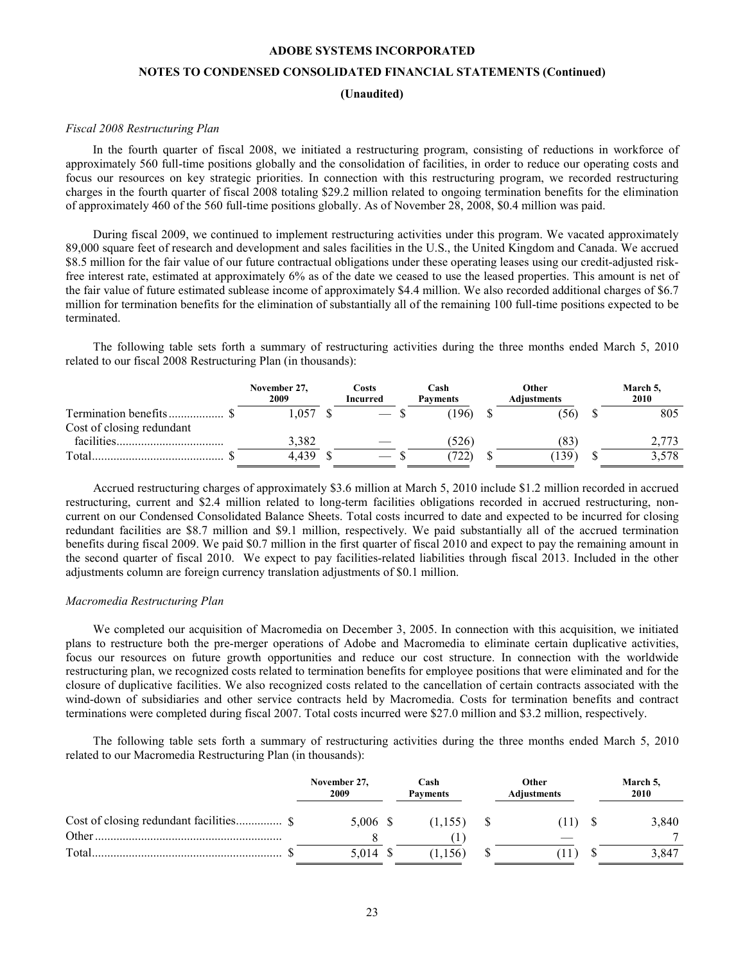# **NOTES TO CONDENSED CONSOLIDATED FINANCIAL STATEMENTS (Continued)**

**(Unaudited)**

#### *Fiscal 2008 Restructuring Plan*

In the fourth quarter of fiscal 2008, we initiated a restructuring program, consisting of reductions in workforce of approximately 560 full-time positions globally and the consolidation of facilities, in order to reduce our operating costs and focus our resources on key strategic priorities. In connection with this restructuring program, we recorded restructuring charges in the fourth quarter of fiscal 2008 totaling \$29.2 million related to ongoing termination benefits for the elimination of approximately 460 of the 560 full-time positions globally. As of November 28, 2008, \$0.4 million was paid.

During fiscal 2009, we continued to implement restructuring activities under this program. We vacated approximately 89,000 square feet of research and development and sales facilities in the U.S., the United Kingdom and Canada. We accrued \$8.5 million for the fair value of our future contractual obligations under these operating leases using our credit-adjusted riskfree interest rate, estimated at approximately 6% as of the date we ceased to use the leased properties. This amount is net of the fair value of future estimated sublease income of approximately \$4.4 million. We also recorded additional charges of \$6.7 million for termination benefits for the elimination of substantially all of the remaining 100 full-time positions expected to be terminated.

The following table sets forth a summary of restructuring activities during the three months ended March 5, 2010 related to our fiscal 2008 Restructuring Plan (in thousands):

|                           | November 27,<br>2009 | Costs<br>Incurred | Cash<br><b>Payments</b> | Other<br><b>Adjustments</b> | March 5,<br>2010 |
|---------------------------|----------------------|-------------------|-------------------------|-----------------------------|------------------|
| Cost of closing redundant | .057                 |                   | 196                     | (56)                        | 805              |
| facilities.               | 3.382                |                   | (526)                   | (83)                        |                  |
| Total                     | 4.439                |                   | (722)                   | 139                         | 3,578            |

Accrued restructuring charges of approximately \$3.6 million at March 5, 2010 include \$1.2 million recorded in accrued restructuring, current and \$2.4 million related to long-term facilities obligations recorded in accrued restructuring, noncurrent on our Condensed Consolidated Balance Sheets. Total costs incurred to date and expected to be incurred for closing redundant facilities are \$8.7 million and \$9.1 million, respectively. We paid substantially all of the accrued termination benefits during fiscal 2009. We paid \$0.7 million in the first quarter of fiscal 2010 and expect to pay the remaining amount in the second quarter of fiscal 2010. We expect to pay facilities-related liabilities through fiscal 2013. Included in the other adjustments column are foreign currency translation adjustments of \$0.1 million.

# *Macromedia Restructuring Plan*

We completed our acquisition of Macromedia on December 3, 2005. In connection with this acquisition, we initiated plans to restructure both the pre-merger operations of Adobe and Macromedia to eliminate certain duplicative activities, focus our resources on future growth opportunities and reduce our cost structure. In connection with the worldwide restructuring plan, we recognized costs related to termination benefits for employee positions that were eliminated and for the closure of duplicative facilities. We also recognized costs related to the cancellation of certain contracts associated with the wind-down of subsidiaries and other service contracts held by Macromedia. Costs for termination benefits and contract terminations were completed during fiscal 2007. Total costs incurred were \$27.0 million and \$3.2 million, respectively.

The following table sets forth a summary of restructuring activities during the three months ended March 5, 2010 related to our Macromedia Restructuring Plan (in thousands):

|       | November 27,<br>2009 | Cash<br><b>Payments</b> | Other<br>Adjustments | March 5,<br>2010 |
|-------|----------------------|-------------------------|----------------------|------------------|
| Other | 5.006 \$             | 1,155)                  |                      | 3,840            |
| Total | 5.014                | $56^{\circ}$            |                      | 3,847            |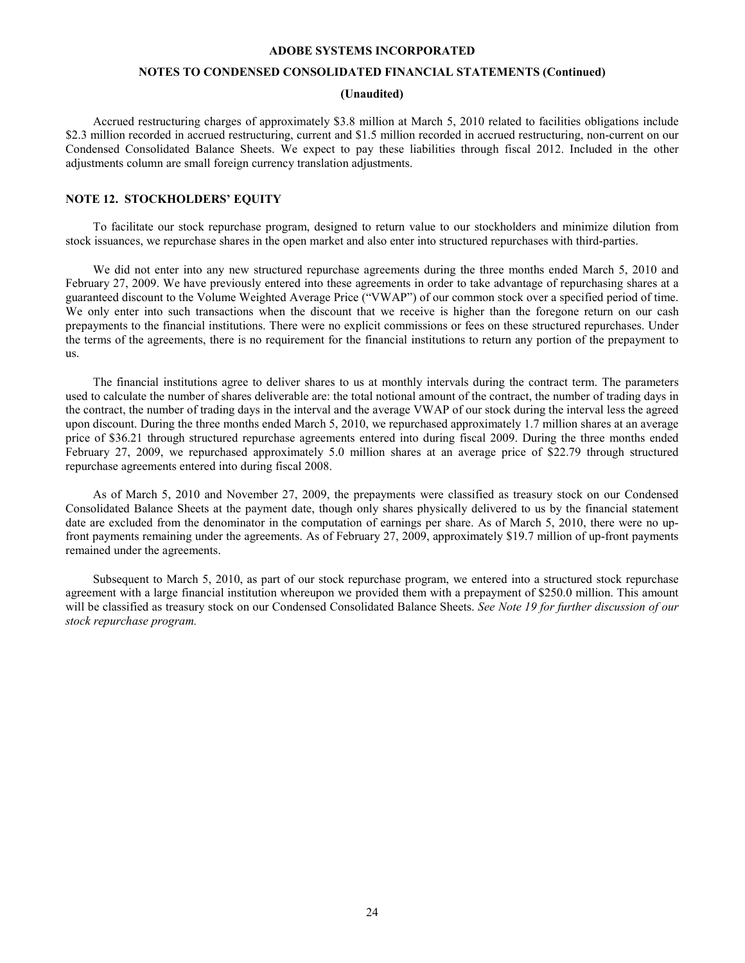### **NOTES TO CONDENSED CONSOLIDATED FINANCIAL STATEMENTS (Continued)**

# **(Unaudited)**

<span id="page-23-0"></span>Accrued restructuring charges of approximately \$3.8 million at March 5, 2010 related to facilities obligations include \$2.3 million recorded in accrued restructuring, current and \$1.5 million recorded in accrued restructuring, non-current on our Condensed Consolidated Balance Sheets. We expect to pay these liabilities through fiscal 2012. Included in the other adjustments column are small foreign currency translation adjustments.

# **NOTE 12. STOCKHOLDERS' EQUITY**

To facilitate our stock repurchase program, designed to return value to our stockholders and minimize dilution from stock issuances, we repurchase shares in the open market and also enter into structured repurchases with third-parties.

We did not enter into any new structured repurchase agreements during the three months ended March 5, 2010 and February 27, 2009. We have previously entered into these agreements in order to take advantage of repurchasing shares at a guaranteed discount to the Volume Weighted Average Price ("VWAP") of our common stock over a specified period of time. We only enter into such transactions when the discount that we receive is higher than the foregone return on our cash prepayments to the financial institutions. There were no explicit commissions or fees on these structured repurchases. Under the terms of the agreements, there is no requirement for the financial institutions to return any portion of the prepayment to us.

The financial institutions agree to deliver shares to us at monthly intervals during the contract term. The parameters used to calculate the number of shares deliverable are: the total notional amount of the contract, the number of trading days in the contract, the number of trading days in the interval and the average VWAP of our stock during the interval less the agreed upon discount. During the three months ended March 5, 2010, we repurchased approximately 1.7 million shares at an average price of \$36.21 through structured repurchase agreements entered into during fiscal 2009. During the three months ended February 27, 2009, we repurchased approximately 5.0 million shares at an average price of \$22.79 through structured repurchase agreements entered into during fiscal 2008.

As of March 5, 2010 and November 27, 2009, the prepayments were classified as treasury stock on our Condensed Consolidated Balance Sheets at the payment date, though only shares physically delivered to us by the financial statement date are excluded from the denominator in the computation of earnings per share. As of March 5, 2010, there were no upfront payments remaining under the agreements. As of February 27, 2009, approximately \$19.7 million of up-front payments remained under the agreements.

Subsequent to March 5, 2010, as part of our stock repurchase program, we entered into a structured stock repurchase agreement with a large financial institution whereupon we provided them with a prepayment of \$250.0 million. This amount will be classified as treasury stock on our Condensed Consolidated Balance Sheets. *See Note [19 for further discussion of our](#page-29-0)  [stock repurchase program.](#page-29-0)*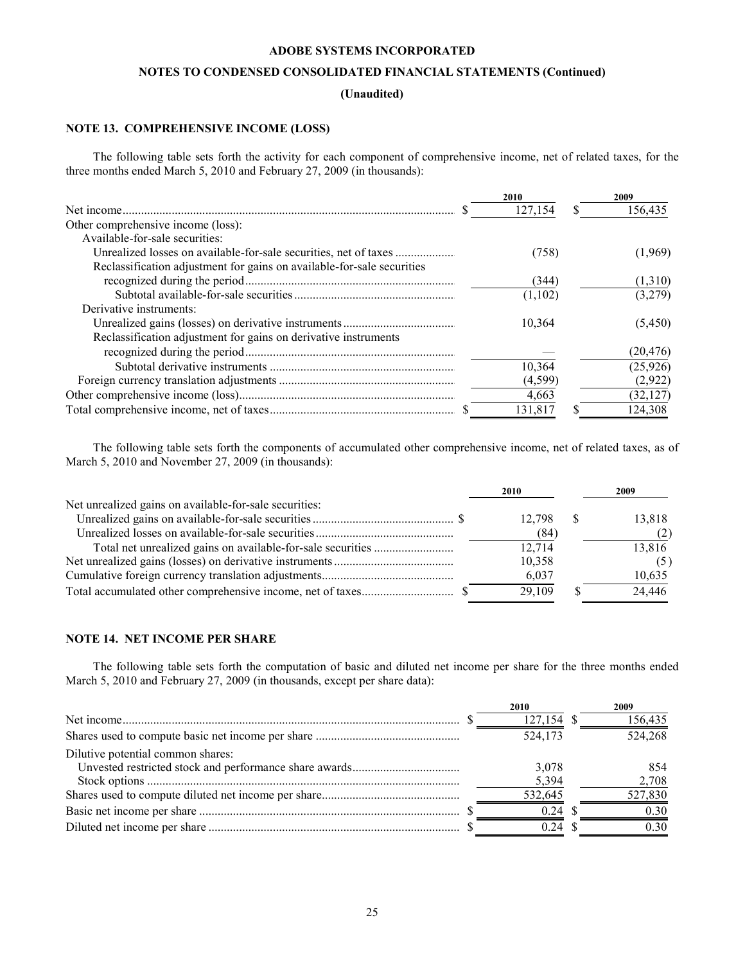# **NOTES TO CONDENSED CONSOLIDATED FINANCIAL STATEMENTS (Continued)**

# **(Unaudited)**

# **NOTE 13. COMPREHENSIVE INCOME (LOSS)**

The following table sets forth the activity for each component of comprehensive income, net of related taxes, for the three months ended March 5, 2010 and February 27, 2009 (in thousands):

|                                                                        | 2010     | 2009      |
|------------------------------------------------------------------------|----------|-----------|
|                                                                        | 127,154  | 156,435   |
| Other comprehensive income (loss):                                     |          |           |
| Available-for-sale securities:                                         |          |           |
| Unrealized losses on available-for-sale securities, net of taxes       | (758)    | (1,969)   |
| Reclassification adjustment for gains on available-for-sale securities |          |           |
|                                                                        | (344)    | (1,310)   |
|                                                                        | (1,102)  | (3,279)   |
| Derivative instruments:                                                |          |           |
|                                                                        | 10.364   | (5,450)   |
| Reclassification adjustment for gains on derivative instruments        |          |           |
|                                                                        |          | (20, 476) |
|                                                                        | 10,364   | (25, 926) |
|                                                                        | (4, 599) | (2,922)   |
|                                                                        | 4,663    | (32, 127) |
|                                                                        | 131,817  | 124,308   |

The following table sets forth the components of accumulated other comprehensive income, net of related taxes, as of March 5, 2010 and November 27, 2009 (in thousands):

|                                                        | 2010   | 2009   |
|--------------------------------------------------------|--------|--------|
| Net unrealized gains on available-for-sale securities: |        |        |
|                                                        | 12.798 | 13,818 |
|                                                        | (84)   |        |
|                                                        | 12,714 | 13,816 |
|                                                        | 10,358 |        |
|                                                        | 6,037  | 10,635 |
|                                                        | 29.109 | 24,446 |

# **NOTE 14. NET INCOME PER SHARE**

The following table sets forth the computation of basic and diluted net income per share for the three months ended March 5, 2010 and February 27, 2009 (in thousands, except per share data):

|                                   | 2010       | 2009    |
|-----------------------------------|------------|---------|
|                                   | 127,154 \$ | 156,435 |
|                                   | 524.173    | 524,268 |
| Dilutive potential common shares: |            |         |
|                                   | 3,078      | 854     |
|                                   | 5,394      | 2,708   |
|                                   | 532,645    | 527,830 |
|                                   | 0.24       | 0.30    |
|                                   | 0.24       | 0,30    |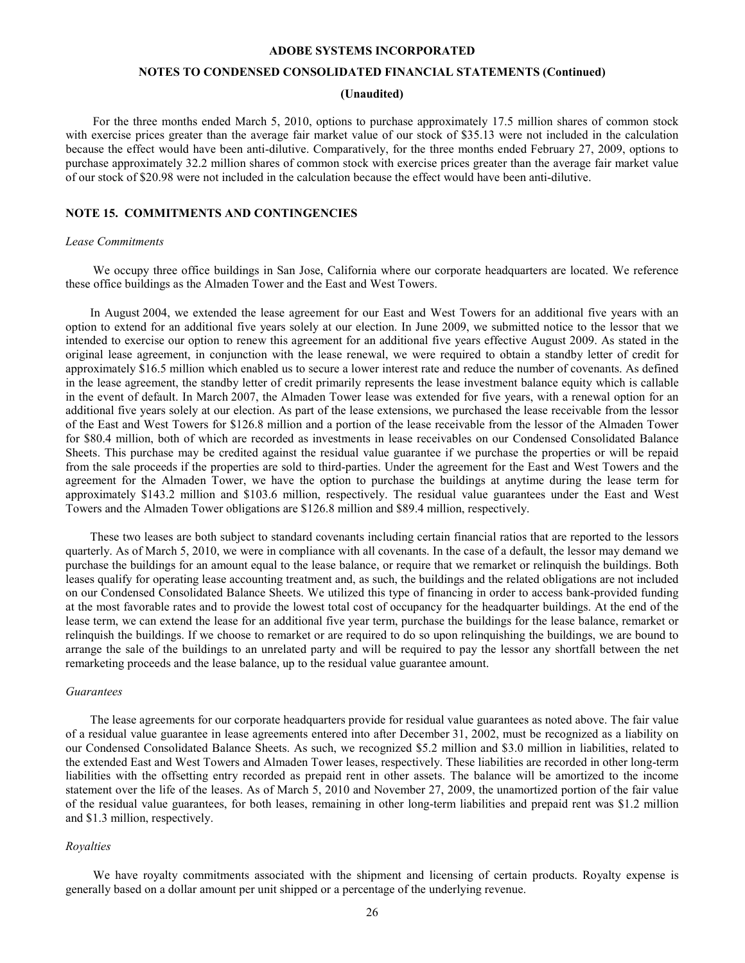# **NOTES TO CONDENSED CONSOLIDATED FINANCIAL STATEMENTS (Continued)**

#### **(Unaudited)**

<span id="page-25-0"></span>For the three months ended March 5, 2010, options to purchase approximately 17.5 million shares of common stock with exercise prices greater than the average fair market value of our stock of \$35.13 were not included in the calculation because the effect would have been anti-dilutive. Comparatively, for the three months ended February 27, 2009, options to purchase approximately 32.2 million shares of common stock with exercise prices greater than the average fair market value of our stock of \$20.98 were not included in the calculation because the effect would have been anti-dilutive.

### **NOTE 15. COMMITMENTS AND CONTINGENCIES**

#### *Lease Commitments*

We occupy three office buildings in San Jose, California where our corporate headquarters are located. We reference these office buildings as the Almaden Tower and the East and West Towers.

In August 2004, we extended the lease agreement for our East and West Towers for an additional five years with an option to extend for an additional five years solely at our election. In June 2009, we submitted notice to the lessor that we intended to exercise our option to renew this agreement for an additional five years effective August 2009. As stated in the original lease agreement, in conjunction with the lease renewal, we were required to obtain a standby letter of credit for approximately \$16.5 million which enabled us to secure a lower interest rate and reduce the number of covenants. As defined in the lease agreement, the standby letter of credit primarily represents the lease investment balance equity which is callable in the event of default. In March 2007, the Almaden Tower lease was extended for five years, with a renewal option for an additional five years solely at our election. As part of the lease extensions, we purchased the lease receivable from the lessor of the East and West Towers for \$126.8 million and a portion of the lease receivable from the lessor of the Almaden Tower for \$80.4 million, both of which are recorded as investments in lease receivables on our Condensed Consolidated Balance Sheets. This purchase may be credited against the residual value guarantee if we purchase the properties or will be repaid from the sale proceeds if the properties are sold to third-parties. Under the agreement for the East and West Towers and the agreement for the Almaden Tower, we have the option to purchase the buildings at anytime during the lease term for approximately \$143.2 million and \$103.6 million, respectively. The residual value guarantees under the East and West Towers and the Almaden Tower obligations are \$126.8 million and \$89.4 million, respectively.

These two leases are both subject to standard covenants including certain financial ratios that are reported to the lessors quarterly. As of March 5, 2010, we were in compliance with all covenants. In the case of a default, the lessor may demand we purchase the buildings for an amount equal to the lease balance, or require that we remarket or relinquish the buildings. Both leases qualify for operating lease accounting treatment and, as such, the buildings and the related obligations are not included on our Condensed Consolidated Balance Sheets. We utilized this type of financing in order to access bank-provided funding at the most favorable rates and to provide the lowest total cost of occupancy for the headquarter buildings. At the end of the lease term, we can extend the lease for an additional five year term, purchase the buildings for the lease balance, remarket or relinquish the buildings. If we choose to remarket or are required to do so upon relinquishing the buildings, we are bound to arrange the sale of the buildings to an unrelated party and will be required to pay the lessor any shortfall between the net remarketing proceeds and the lease balance, up to the residual value guarantee amount.

#### *Guarantees*

The lease agreements for our corporate headquarters provide for residual value guarantees as noted above. The fair value of a residual value guarantee in lease agreements entered into after December 31, 2002, must be recognized as a liability on our Condensed Consolidated Balance Sheets. As such, we recognized \$5.2 million and \$3.0 million in liabilities, related to the extended East and West Towers and Almaden Tower leases, respectively. These liabilities are recorded in other long-term liabilities with the offsetting entry recorded as prepaid rent in other assets. The balance will be amortized to the income statement over the life of the leases. As of March 5, 2010 and November 27, 2009, the unamortized portion of the fair value of the residual value guarantees, for both leases, remaining in other long-term liabilities and prepaid rent was \$1.2 million and \$1.3 million, respectively.

#### *Royalties*

We have royalty commitments associated with the shipment and licensing of certain products. Royalty expense is generally based on a dollar amount per unit shipped or a percentage of the underlying revenue.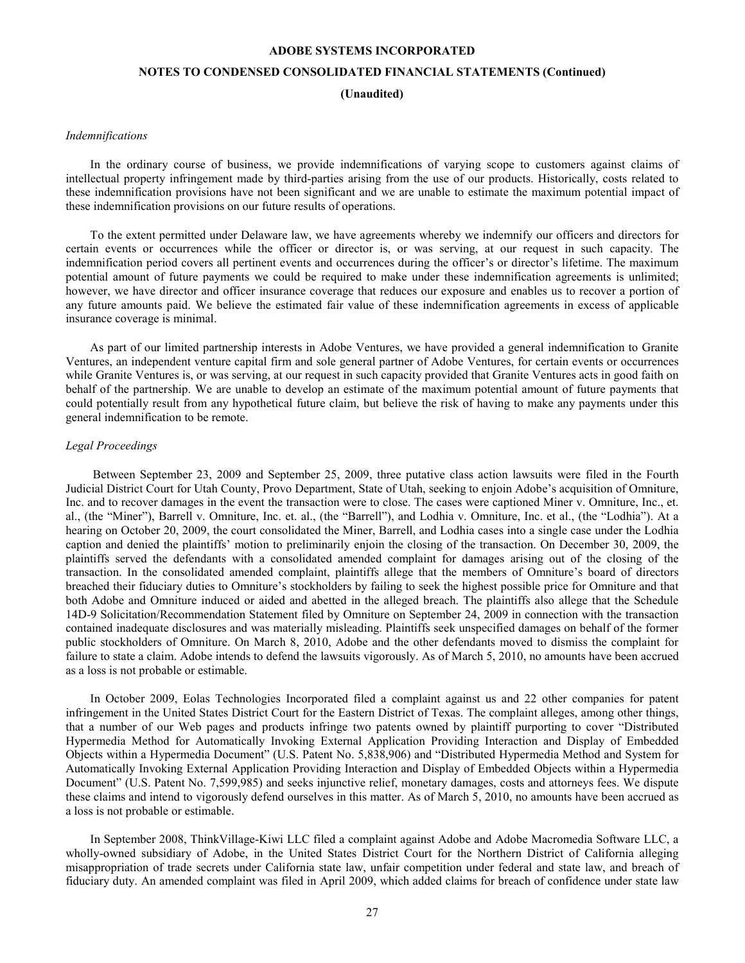# **NOTES TO CONDENSED CONSOLIDATED FINANCIAL STATEMENTS (Continued)**

**(Unaudited)**

#### *Indemnifications*

In the ordinary course of business, we provide indemnifications of varying scope to customers against claims of intellectual property infringement made by third-parties arising from the use of our products. Historically, costs related to these indemnification provisions have not been significant and we are unable to estimate the maximum potential impact of these indemnification provisions on our future results of operations.

To the extent permitted under Delaware law, we have agreements whereby we indemnify our officers and directors for certain events or occurrences while the officer or director is, or was serving, at our request in such capacity. The indemnification period covers all pertinent events and occurrences during the officer's or director's lifetime. The maximum potential amount of future payments we could be required to make under these indemnification agreements is unlimited; however, we have director and officer insurance coverage that reduces our exposure and enables us to recover a portion of any future amounts paid. We believe the estimated fair value of these indemnification agreements in excess of applicable insurance coverage is minimal.

As part of our limited partnership interests in Adobe Ventures, we have provided a general indemnification to Granite Ventures, an independent venture capital firm and sole general partner of Adobe Ventures, for certain events or occurrences while Granite Ventures is, or was serving, at our request in such capacity provided that Granite Ventures acts in good faith on behalf of the partnership. We are unable to develop an estimate of the maximum potential amount of future payments that could potentially result from any hypothetical future claim, but believe the risk of having to make any payments under this general indemnification to be remote.

#### *Legal Proceedings*

Between September 23, 2009 and September 25, 2009, three putative class action lawsuits were filed in the Fourth Judicial District Court for Utah County, Provo Department, State of Utah, seeking to enjoin Adobe's acquisition of Omniture, Inc. and to recover damages in the event the transaction were to close. The cases were captioned Miner v. Omniture, Inc., et. al., (the "Miner"), Barrell v. Omniture, Inc. et. al., (the "Barrell"), and Lodhia v. Omniture, Inc. et al., (the "Lodhia"). At a hearing on October 20, 2009, the court consolidated the Miner, Barrell, and Lodhia cases into a single case under the Lodhia caption and denied the plaintiffs' motion to preliminarily enjoin the closing of the transaction. On December 30, 2009, the plaintiffs served the defendants with a consolidated amended complaint for damages arising out of the closing of the transaction. In the consolidated amended complaint, plaintiffs allege that the members of Omniture's board of directors breached their fiduciary duties to Omniture's stockholders by failing to seek the highest possible price for Omniture and that both Adobe and Omniture induced or aided and abetted in the alleged breach. The plaintiffs also allege that the Schedule 14D-9 Solicitation/Recommendation Statement filed by Omniture on September 24, 2009 in connection with the transaction contained inadequate disclosures and was materially misleading. Plaintiffs seek unspecified damages on behalf of the former public stockholders of Omniture. On March 8, 2010, Adobe and the other defendants moved to dismiss the complaint for failure to state a claim. Adobe intends to defend the lawsuits vigorously. As of March 5, 2010, no amounts have been accrued as a loss is not probable or estimable.

In October 2009, Eolas Technologies Incorporated filed a complaint against us and 22 other companies for patent infringement in the United States District Court for the Eastern District of Texas. The complaint alleges, among other things, that a number of our Web pages and products infringe two patents owned by plaintiff purporting to cover "Distributed Hypermedia Method for Automatically Invoking External Application Providing Interaction and Display of Embedded Objects within a Hypermedia Document" (U.S. Patent No. 5,838,906) and "Distributed Hypermedia Method and System for Automatically Invoking External Application Providing Interaction and Display of Embedded Objects within a Hypermedia Document" (U.S. Patent No. 7,599,985) and seeks injunctive relief, monetary damages, costs and attorneys fees. We dispute these claims and intend to vigorously defend ourselves in this matter. As of March 5, 2010, no amounts have been accrued as a loss is not probable or estimable.

In September 2008, ThinkVillage-Kiwi LLC filed a complaint against Adobe and Adobe Macromedia Software LLC, a wholly-owned subsidiary of Adobe, in the United States District Court for the Northern District of California alleging misappropriation of trade secrets under California state law, unfair competition under federal and state law, and breach of fiduciary duty. An amended complaint was filed in April 2009, which added claims for breach of confidence under state law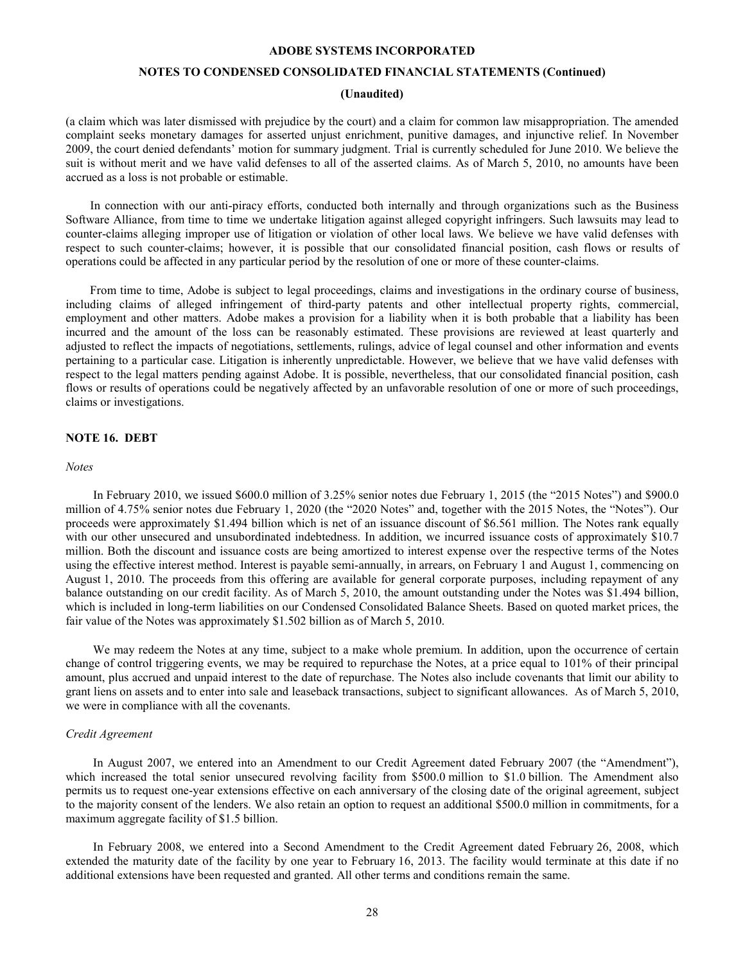### **NOTES TO CONDENSED CONSOLIDATED FINANCIAL STATEMENTS (Continued)**

# **(Unaudited)**

<span id="page-27-0"></span>(a claim which was later dismissed with prejudice by the court) and a claim for common law misappropriation. The amended complaint seeks monetary damages for asserted unjust enrichment, punitive damages, and injunctive relief. In November 2009, the court denied defendants' motion for summary judgment. Trial is currently scheduled for June 2010. We believe the suit is without merit and we have valid defenses to all of the asserted claims. As of March 5, 2010, no amounts have been accrued as a loss is not probable or estimable.

In connection with our anti-piracy efforts, conducted both internally and through organizations such as the Business Software Alliance, from time to time we undertake litigation against alleged copyright infringers. Such lawsuits may lead to counter-claims alleging improper use of litigation or violation of other local laws. We believe we have valid defenses with respect to such counter-claims; however, it is possible that our consolidated financial position, cash flows or results of operations could be affected in any particular period by the resolution of one or more of these counter-claims.

From time to time, Adobe is subject to legal proceedings, claims and investigations in the ordinary course of business, including claims of alleged infringement of third-party patents and other intellectual property rights, commercial, employment and other matters. Adobe makes a provision for a liability when it is both probable that a liability has been incurred and the amount of the loss can be reasonably estimated. These provisions are reviewed at least quarterly and adjusted to reflect the impacts of negotiations, settlements, rulings, advice of legal counsel and other information and events pertaining to a particular case. Litigation is inherently unpredictable. However, we believe that we have valid defenses with respect to the legal matters pending against Adobe. It is possible, nevertheless, that our consolidated financial position, cash flows or results of operations could be negatively affected by an unfavorable resolution of one or more of such proceedings, claims or investigations.

### **NOTE 16. DEBT**

#### *Notes*

In February 2010, we issued \$600.0 million of 3.25% senior notes due February 1, 2015 (the "2015 Notes") and \$900.0 million of 4.75% senior notes due February 1, 2020 (the "2020 Notes" and, together with the 2015 Notes, the "Notes"). Our proceeds were approximately \$1.494 billion which is net of an issuance discount of \$6.561 million. The Notes rank equally with our other unsecured and unsubordinated indebtedness. In addition, we incurred issuance costs of approximately \$10.7 million. Both the discount and issuance costs are being amortized to interest expense over the respective terms of the Notes using the effective interest method. Interest is payable semi-annually, in arrears, on February 1 and August 1, commencing on August 1, 2010. The proceeds from this offering are available for general corporate purposes, including repayment of any balance outstanding on our credit facility. As of March 5, 2010, the amount outstanding under the Notes was \$1.494 billion, which is included in long-term liabilities on our Condensed Consolidated Balance Sheets. Based on quoted market prices, the fair value of the Notes was approximately \$1.502 billion as of March 5, 2010.

We may redeem the Notes at any time, subject to a make whole premium. In addition, upon the occurrence of certain change of control triggering events, we may be required to repurchase the Notes, at a price equal to 101% of their principal amount, plus accrued and unpaid interest to the date of repurchase. The Notes also include covenants that limit our ability to grant liens on assets and to enter into sale and leaseback transactions, subject to significant allowances. As of March 5, 2010, we were in compliance with all the covenants.

#### *Credit Agreement*

In August 2007, we entered into an Amendment to our Credit Agreement dated February 2007 (the "Amendment"), which increased the total senior unsecured revolving facility from \$500.0 million to \$1.0 billion. The Amendment also permits us to request one-year extensions effective on each anniversary of the closing date of the original agreement, subject to the majority consent of the lenders. We also retain an option to request an additional \$500.0 million in commitments, for a maximum aggregate facility of \$1.5 billion.

In February 2008, we entered into a Second Amendment to the Credit Agreement dated February 26, 2008, which extended the maturity date of the facility by one year to February 16, 2013. The facility would terminate at this date if no additional extensions have been requested and granted. All other terms and conditions remain the same.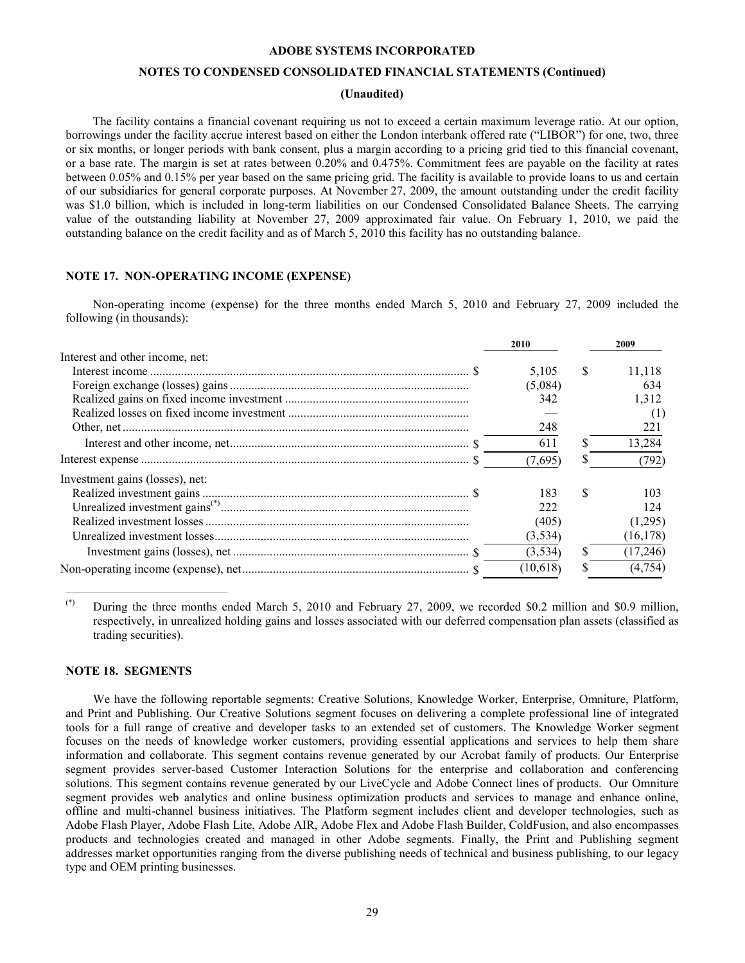# **NOTES TO CONDENSED CONSOLIDATED FINANCIAL STATEMENTS (Continued)**

#### **(Unaudited)**

<span id="page-28-0"></span>The facility contains a financial covenant requiring us not to exceed a certain maximum leverage ratio. At our option, borrowings under the facility accrue interest based on either the London interbank offered rate ("LIBOR") for one, two, three or six months, or longer periods with bank consent, plus a margin according to a pricing grid tied to this financial covenant, or a base rate. The margin is set at rates between 0.20% and 0.475%. Commitment fees are payable on the facility at rates between 0.05% and 0.15% per year based on the same pricing grid. The facility is available to provide loans to us and certain of our subsidiaries for general corporate purposes. At November 27, 2009, the amount outstanding under the credit facility was \$1.0 billion, which is included in long-term liabilities on our Condensed Consolidated Balance Sheets. The carrying value of the outstanding liability at November 27, 2009 approximated fair value. On February 1, 2010, we paid the outstanding balance on the credit facility and as of March 5, 2010 this facility has no outstanding balance.

# **NOTE 17. NON-OPERATING INCOME (EXPENSE)**

Non-operating income (expense) for the three months ended March 5, 2010 and February 27, 2009 included the following (in thousands):

|                                 | 2010     |               | 2009      |  |
|---------------------------------|----------|---------------|-----------|--|
| Interest and other income, net: |          |               |           |  |
|                                 | 5,105    | <sup>\$</sup> | 11.118    |  |
|                                 | (5,084)  |               | 634       |  |
|                                 | 342      |               | 1.312     |  |
|                                 |          |               | (1)       |  |
|                                 | 248      |               | 221       |  |
|                                 | 611      |               | 13,284    |  |
|                                 | (7.695)  |               | (792)     |  |
| Investment gains (losses), net: |          |               |           |  |
|                                 | 183      | <sup>\$</sup> | 103       |  |
|                                 | 222      |               | 124       |  |
|                                 | (405)    |               | (1,295)   |  |
|                                 | (3,534)  |               | (16, 178) |  |
|                                 | (3,534)  |               | (17,246)  |  |
|                                 | (10,618) |               | (4,754)   |  |

(\*) During the three months ended March 5, 2010 and February 27, 2009, we recorded \$0.2 million and \$0.9 million, respectively, in unrealized holding gains and losses associated with our deferred compensation plan assets (classified as trading securities).

#### **NOTE 18. SEGMENTS**

 $\mathcal{L}_\text{max} = \mathcal{L}_\text{max} = \mathcal{L}_\text{max} = \mathcal{L}_\text{max} = \mathcal{L}_\text{max} = \mathcal{L}_\text{max}$ 

We have the following reportable segments: Creative Solutions, Knowledge Worker, Enterprise, Omniture, Platform, and Print and Publishing. Our Creative Solutions segment focuses on delivering a complete professional line of integrated tools for a full range of creative and developer tasks to an extended set of customers. The Knowledge Worker segment focuses on the needs of knowledge worker customers, providing essential applications and services to help them share information and collaborate. This segment contains revenue generated by our Acrobat family of products. Our Enterprise segment provides server-based Customer Interaction Solutions for the enterprise and collaboration and conferencing solutions. This segment contains revenue generated by our LiveCycle and Adobe Connect lines of products. Our Omniture segment provides web analytics and online business optimization products and services to manage and enhance online, offline and multi-channel business initiatives. The Platform segment includes client and developer technologies, such as Adobe Flash Player, Adobe Flash Lite, Adobe AIR, Adobe Flex and Adobe Flash Builder, ColdFusion, and also encompasses products and technologies created and managed in other Adobe segments. Finally, the Print and Publishing segment addresses market opportunities ranging from the diverse publishing needs of technical and business publishing, to our legacy type and OEM printing businesses.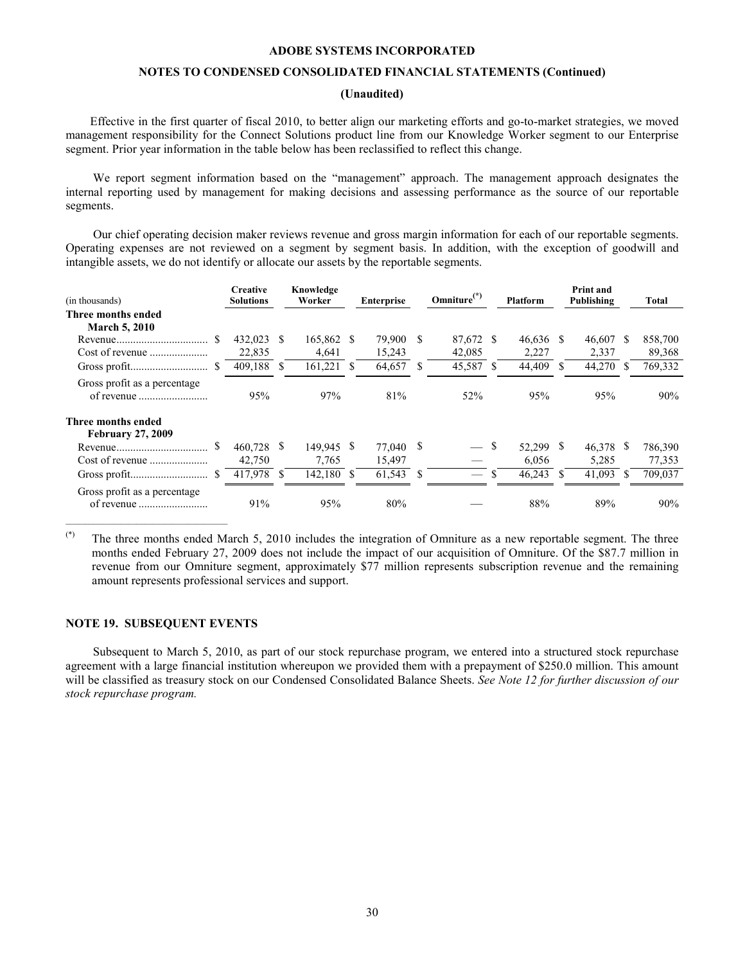# **NOTES TO CONDENSED CONSOLIDATED FINANCIAL STATEMENTS (Continued)**

# **(Unaudited)**

<span id="page-29-0"></span>Effective in the first quarter of fiscal 2010, to better align our marketing efforts and go-to-market strategies, we moved management responsibility for the Connect Solutions product line from our Knowledge Worker segment to our Enterprise segment. Prior year information in the table below has been reclassified to reflect this change.

We report segment information based on the "management" approach. The management approach designates the internal reporting used by management for making decisions and assessing performance as the source of our reportable segments.

Our chief operating decision maker reviews revenue and gross margin information for each of our reportable segments. Operating expenses are not reviewed on a segment by segment basis. In addition, with the exception of goodwill and intangible assets, we do not identify or allocate our assets by the reportable segments.

| (in thousands)                                 | <b>Creative</b><br><b>Solutions</b> |     | Knowledge<br>Worker | <b>Enterprise</b> |              | Omniture $(*)$      | <b>Platform</b>          |    | <b>Print and</b><br>Publishing |     | Total             |
|------------------------------------------------|-------------------------------------|-----|---------------------|-------------------|--------------|---------------------|--------------------------|----|--------------------------------|-----|-------------------|
| Three months ended<br><b>March 5, 2010</b>     |                                     |     |                     |                   |              |                     |                          |    |                                |     |                   |
|                                                | 432,023<br>22,835                   | \$. | 165,862 \$<br>4,641 | 79,900<br>15,243  | -S           | 87,672 \$<br>42,085 | $46,636$ \$<br>2,227     |    | 46.607<br>2,337                | \$. | 858,700<br>89,368 |
| S                                              | 409,188                             | \$  | 161,221             | 64,657            |              | 45,587 \$           | 44,409                   |    | 44,270                         |     | 769,332           |
| Gross profit as a percentage                   | 95%                                 |     | 97%                 | 81%               |              | 52%                 | 95%                      |    | 95%                            |     | 90%               |
| Three months ended<br><b>February 27, 2009</b> |                                     |     |                     |                   |              |                     |                          |    |                                |     |                   |
|                                                | 460,728<br>42,750                   | S.  | 149.945 \$<br>7,765 | 77.040<br>15,497  | <sup>8</sup> |                     | \$<br>52,299 \$<br>6,056 |    | 46,378<br>5,285                | S   | 786,390<br>77,353 |
| <sup>S</sup>                                   | 417,978                             | \$  | 142.180 \$          | 61,543            | S            |                     | 46,243                   | -S | 41,093                         |     | 709,037           |
| Gross profit as a percentage.                  | 91%                                 |     | 95%                 | 80%               |              |                     | 88%                      |    | 89%                            |     | 90%               |

 $(*)$  The three months ended March 5, 2010 includes the integration of Omniture as a new reportable segment. The three months ended February 27, 2009 does not include the impact of our acquisition of Omniture. Of the \$87.7 million in revenue from our Omniture segment, approximately \$77 million represents subscription revenue and the remaining amount represents professional services and support.

# **NOTE 19. SUBSEQUENT EVENTS**

\_\_\_\_\_\_\_\_\_\_\_\_\_\_\_\_\_\_\_\_\_\_\_\_\_\_\_\_\_\_\_\_\_\_\_\_\_\_\_\_\_

Subsequent to March 5, 2010, as part of our stock repurchase program, we entered into a structured stock repurchase agreement with a large financial institution whereupon we provided them with a prepayment of \$250.0 million. This amount will be classified as treasury stock on our Condensed Consolidated Balance Sheets. *See Note [12 for further discussion of our](#page-23-0)  [stock repurchase program.](#page-23-0)*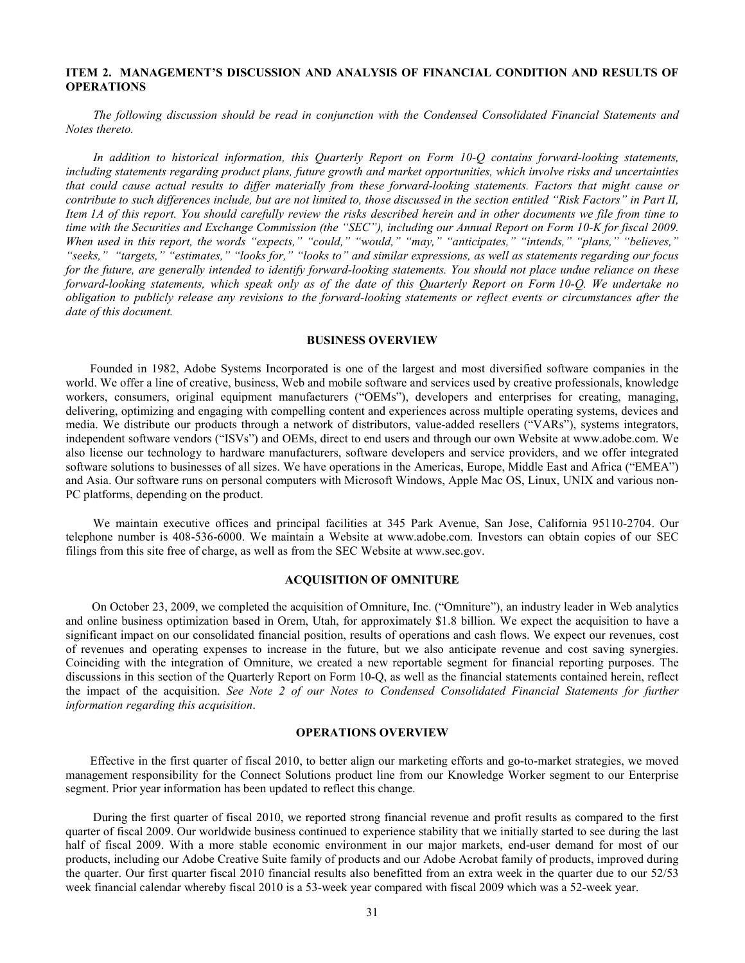# <span id="page-30-0"></span>**ITEM 2. MANAGEMENT'S DISCUSSION AND ANALYSIS OF FINANCIAL CONDITION AND RESULTS OF OPERATIONS**

*The following discussion should be read in conjunction with the Condensed Consolidated Financial Statements and Notes thereto.*

*In addition to historical information, this Quarterly Report on Form 10-Q contains forward-looking statements, including statements regarding product plans, future growth and market opportunities, which involve risks and uncertainties that could cause actual results to differ materially from these forward-looking statements. Factors that might cause or contribute to such differences include, but are not limited to, those discussed in the section entitled "Risk Factors" in Part II, Item 1A of this report. You should carefully review the risks described herein and in other documents we file from time to time with the Securities and Exchange Commission (the "SEC"), including our Annual Report on Form 10-K for fiscal 2009. When used in this report, the words "expects," "could," "would," "may," "anticipates," "intends," "plans," "believes," "seeks," "targets," "estimates," "looks for," "looks to" and similar expressions, as well as statements regarding our focus for the future, are generally intended to identify forward-looking statements. You should not place undue reliance on these forward-looking statements, which speak only as of the date of this Quarterly Report on Form 10-Q. We undertake no obligation to publicly release any revisions to the forward-looking statements or reflect events or circumstances after the date of this document.*

# **BUSINESS OVERVIEW**

Founded in 1982, Adobe Systems Incorporated is one of the largest and most diversified software companies in the world. We offer a line of creative, business, Web and mobile software and services used by creative professionals, knowledge workers, consumers, original equipment manufacturers ("OEMs"), developers and enterprises for creating, managing, delivering, optimizing and engaging with compelling content and experiences across multiple operating systems, devices and media. We distribute our products through a network of distributors, value-added resellers ("VARs"), systems integrators, independent software vendors ("ISVs") and OEMs, direct to end users and through our own Website at www.adobe.com. We also license our technology to hardware manufacturers, software developers and service providers, and we offer integrated software solutions to businesses of all sizes. We have operations in the Americas, Europe, Middle East and Africa ("EMEA") and Asia. Our software runs on personal computers with Microsoft Windows, Apple Mac OS, Linux, UNIX and various non-PC platforms, depending on the product.

We maintain executive offices and principal facilities at 345 Park Avenue, San Jose, California 95110-2704. Our telephone number is 408-536-6000. We maintain a Website at www.adobe.com. Investors can obtain copies of our SEC filings from this site free of charge, as well as from the SEC Website at www.sec.gov.

# **ACQUISITION OF OMNITURE**

On October 23, 2009, we completed the acquisition of Omniture, Inc. ("Omniture"), an industry leader in Web analytics and online business optimization based in Orem, Utah, for approximately \$1.8 billion. We expect the acquisition to have a significant impact on our consolidated financial position, results of operations and cash flows. We expect our revenues, cost of revenues and operating expenses to increase in the future, but we also anticipate revenue and cost saving synergies. Coinciding with the integration of Omniture, we created a new reportable segment for financial reporting purposes. The discussions in this section of the Quarterly Report on Form 10-Q, as well as the financial statements contained herein, reflect the impact of the acquisition. *[See Note 2 of our Notes to Condensed Consolidated Financial Statements for further](#page-7-0)  [information regarding this acquisition](#page-7-0)*.

### **OPERATIONS OVERVIEW**

Effective in the first quarter of fiscal 2010, to better align our marketing efforts and go-to-market strategies, we moved management responsibility for the Connect Solutions product line from our Knowledge Worker segment to our Enterprise segment. Prior year information has been updated to reflect this change.

During the first quarter of fiscal 2010, we reported strong financial revenue and profit results as compared to the first quarter of fiscal 2009. Our worldwide business continued to experience stability that we initially started to see during the last half of fiscal 2009. With a more stable economic environment in our major markets, end-user demand for most of our products, including our Adobe Creative Suite family of products and our Adobe Acrobat family of products, improved during the quarter. Our first quarter fiscal 2010 financial results also benefitted from an extra week in the quarter due to our 52/53 week financial calendar whereby fiscal 2010 is a 53-week year compared with fiscal 2009 which was a 52-week year.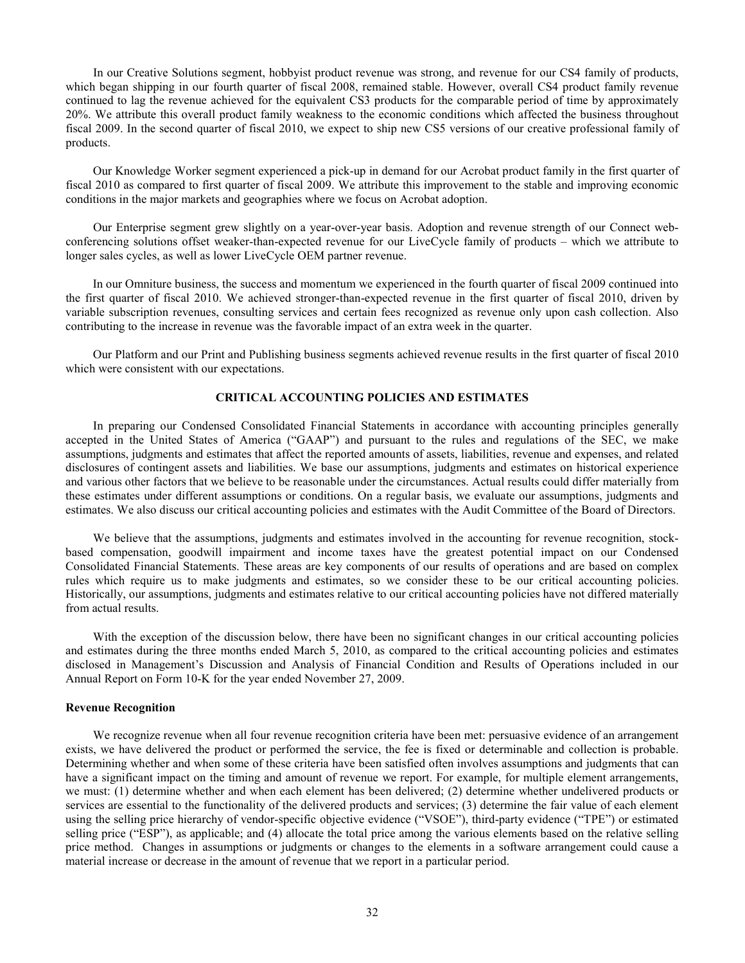In our Creative Solutions segment, hobbyist product revenue was strong, and revenue for our CS4 family of products, which began shipping in our fourth quarter of fiscal 2008, remained stable. However, overall CS4 product family revenue continued to lag the revenue achieved for the equivalent CS3 products for the comparable period of time by approximately 20%. We attribute this overall product family weakness to the economic conditions which affected the business throughout fiscal 2009. In the second quarter of fiscal 2010, we expect to ship new CS5 versions of our creative professional family of products.

Our Knowledge Worker segment experienced a pick-up in demand for our Acrobat product family in the first quarter of fiscal 2010 as compared to first quarter of fiscal 2009. We attribute this improvement to the stable and improving economic conditions in the major markets and geographies where we focus on Acrobat adoption.

Our Enterprise segment grew slightly on a year-over-year basis. Adoption and revenue strength of our Connect webconferencing solutions offset weaker-than-expected revenue for our LiveCycle family of products – which we attribute to longer sales cycles, as well as lower LiveCycle OEM partner revenue.

In our Omniture business, the success and momentum we experienced in the fourth quarter of fiscal 2009 continued into the first quarter of fiscal 2010. We achieved stronger-than-expected revenue in the first quarter of fiscal 2010, driven by variable subscription revenues, consulting services and certain fees recognized as revenue only upon cash collection. Also contributing to the increase in revenue was the favorable impact of an extra week in the quarter.

Our Platform and our Print and Publishing business segments achieved revenue results in the first quarter of fiscal 2010 which were consistent with our expectations.

# **CRITICAL ACCOUNTING POLICIES AND ESTIMATES**

In preparing our Condensed Consolidated Financial Statements in accordance with accounting principles generally accepted in the United States of America ("GAAP") and pursuant to the rules and regulations of the SEC, we make assumptions, judgments and estimates that affect the reported amounts of assets, liabilities, revenue and expenses, and related disclosures of contingent assets and liabilities. We base our assumptions, judgments and estimates on historical experience and various other factors that we believe to be reasonable under the circumstances. Actual results could differ materially from these estimates under different assumptions or conditions. On a regular basis, we evaluate our assumptions, judgments and estimates. We also discuss our critical accounting policies and estimates with the Audit Committee of the Board of Directors.

We believe that the assumptions, judgments and estimates involved in the accounting for revenue recognition, stockbased compensation, goodwill impairment and income taxes have the greatest potential impact on our Condensed Consolidated Financial Statements. These areas are key components of our results of operations and are based on complex rules which require us to make judgments and estimates, so we consider these to be our critical accounting policies. Historically, our assumptions, judgments and estimates relative to our critical accounting policies have not differed materially from actual results.

With the exception of the discussion below, there have been no significant changes in our critical accounting policies and estimates during the three months ended March 5, 2010, as compared to the critical accounting policies and estimates disclosed in Management's Discussion and Analysis of Financial Condition and Results of Operations included in our Annual Report on Form 10-K for the year ended November 27, 2009.

# **Revenue Recognition**

We recognize revenue when all four revenue recognition criteria have been met: persuasive evidence of an arrangement exists, we have delivered the product or performed the service, the fee is fixed or determinable and collection is probable. Determining whether and when some of these criteria have been satisfied often involves assumptions and judgments that can have a significant impact on the timing and amount of revenue we report. For example, for multiple element arrangements, we must: (1) determine whether and when each element has been delivered; (2) determine whether undelivered products or services are essential to the functionality of the delivered products and services; (3) determine the fair value of each element using the selling price hierarchy of vendor-specific objective evidence ("VSOE"), third-party evidence ("TPE") or estimated selling price ("ESP"), as applicable; and (4) allocate the total price among the various elements based on the relative selling price method. Changes in assumptions or judgments or changes to the elements in a software arrangement could cause a material increase or decrease in the amount of revenue that we report in a particular period.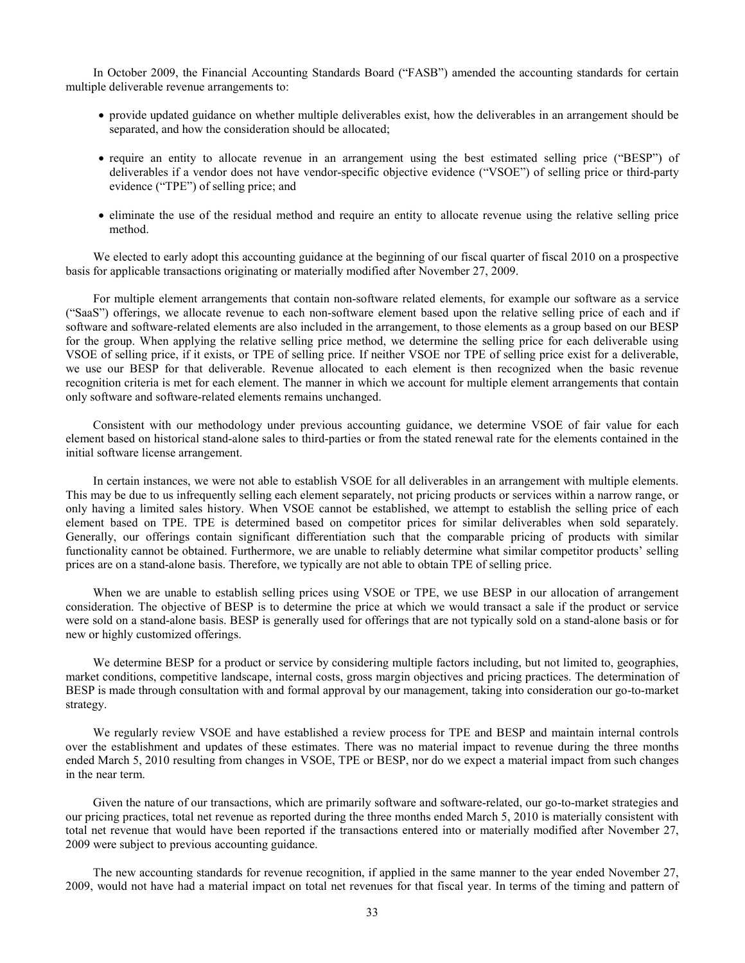In October 2009, the Financial Accounting Standards Board ("FASB") amended the accounting standards for certain multiple deliverable revenue arrangements to:

- provide updated guidance on whether multiple deliverables exist, how the deliverables in an arrangement should be separated, and how the consideration should be allocated;
- require an entity to allocate revenue in an arrangement using the best estimated selling price ("BESP") of deliverables if a vendor does not have vendor-specific objective evidence ("VSOE") of selling price or third-party evidence ("TPE") of selling price; and
- eliminate the use of the residual method and require an entity to allocate revenue using the relative selling price method.

We elected to early adopt this accounting guidance at the beginning of our fiscal quarter of fiscal 2010 on a prospective basis for applicable transactions originating or materially modified after November 27, 2009.

For multiple element arrangements that contain non-software related elements, for example our software as a service ("SaaS") offerings, we allocate revenue to each non-software element based upon the relative selling price of each and if software and software-related elements are also included in the arrangement, to those elements as a group based on our BESP for the group. When applying the relative selling price method, we determine the selling price for each deliverable using VSOE of selling price, if it exists, or TPE of selling price. If neither VSOE nor TPE of selling price exist for a deliverable, we use our BESP for that deliverable. Revenue allocated to each element is then recognized when the basic revenue recognition criteria is met for each element. The manner in which we account for multiple element arrangements that contain only software and software-related elements remains unchanged.

Consistent with our methodology under previous accounting guidance, we determine VSOE of fair value for each element based on historical stand-alone sales to third-parties or from the stated renewal rate for the elements contained in the initial software license arrangement.

In certain instances, we were not able to establish VSOE for all deliverables in an arrangement with multiple elements. This may be due to us infrequently selling each element separately, not pricing products or services within a narrow range, or only having a limited sales history. When VSOE cannot be established, we attempt to establish the selling price of each element based on TPE. TPE is determined based on competitor prices for similar deliverables when sold separately. Generally, our offerings contain significant differentiation such that the comparable pricing of products with similar functionality cannot be obtained. Furthermore, we are unable to reliably determine what similar competitor products' selling prices are on a stand-alone basis. Therefore, we typically are not able to obtain TPE of selling price.

When we are unable to establish selling prices using VSOE or TPE, we use BESP in our allocation of arrangement consideration. The objective of BESP is to determine the price at which we would transact a sale if the product or service were sold on a stand-alone basis. BESP is generally used for offerings that are not typically sold on a stand-alone basis or for new or highly customized offerings.

We determine BESP for a product or service by considering multiple factors including, but not limited to, geographies, market conditions, competitive landscape, internal costs, gross margin objectives and pricing practices. The determination of BESP is made through consultation with and formal approval by our management, taking into consideration our go-to-market strategy.

We regularly review VSOE and have established a review process for TPE and BESP and maintain internal controls over the establishment and updates of these estimates. There was no material impact to revenue during the three months ended March 5, 2010 resulting from changes in VSOE, TPE or BESP, nor do we expect a material impact from such changes in the near term.

Given the nature of our transactions, which are primarily software and software-related, our go-to-market strategies and our pricing practices, total net revenue as reported during the three months ended March 5, 2010 is materially consistent with total net revenue that would have been reported if the transactions entered into or materially modified after November 27, 2009 were subject to previous accounting guidance.

The new accounting standards for revenue recognition, if applied in the same manner to the year ended November 27, 2009, would not have had a material impact on total net revenues for that fiscal year. In terms of the timing and pattern of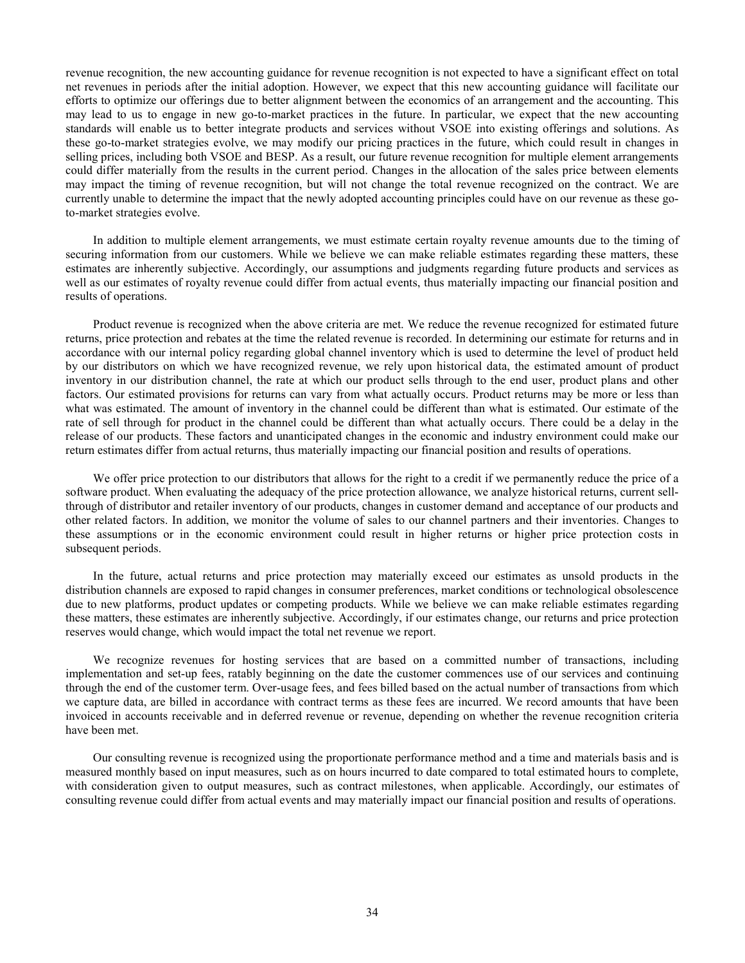revenue recognition, the new accounting guidance for revenue recognition is not expected to have a significant effect on total net revenues in periods after the initial adoption. However, we expect that this new accounting guidance will facilitate our efforts to optimize our offerings due to better alignment between the economics of an arrangement and the accounting. This may lead to us to engage in new go-to-market practices in the future. In particular, we expect that the new accounting standards will enable us to better integrate products and services without VSOE into existing offerings and solutions. As these go-to-market strategies evolve, we may modify our pricing practices in the future, which could result in changes in selling prices, including both VSOE and BESP. As a result, our future revenue recognition for multiple element arrangements could differ materially from the results in the current period. Changes in the allocation of the sales price between elements may impact the timing of revenue recognition, but will not change the total revenue recognized on the contract. We are currently unable to determine the impact that the newly adopted accounting principles could have on our revenue as these goto-market strategies evolve.

In addition to multiple element arrangements, we must estimate certain royalty revenue amounts due to the timing of securing information from our customers. While we believe we can make reliable estimates regarding these matters, these estimates are inherently subjective. Accordingly, our assumptions and judgments regarding future products and services as well as our estimates of royalty revenue could differ from actual events, thus materially impacting our financial position and results of operations.

Product revenue is recognized when the above criteria are met. We reduce the revenue recognized for estimated future returns, price protection and rebates at the time the related revenue is recorded. In determining our estimate for returns and in accordance with our internal policy regarding global channel inventory which is used to determine the level of product held by our distributors on which we have recognized revenue, we rely upon historical data, the estimated amount of product inventory in our distribution channel, the rate at which our product sells through to the end user, product plans and other factors. Our estimated provisions for returns can vary from what actually occurs. Product returns may be more or less than what was estimated. The amount of inventory in the channel could be different than what is estimated. Our estimate of the rate of sell through for product in the channel could be different than what actually occurs. There could be a delay in the release of our products. These factors and unanticipated changes in the economic and industry environment could make our return estimates differ from actual returns, thus materially impacting our financial position and results of operations.

We offer price protection to our distributors that allows for the right to a credit if we permanently reduce the price of a software product. When evaluating the adequacy of the price protection allowance, we analyze historical returns, current sellthrough of distributor and retailer inventory of our products, changes in customer demand and acceptance of our products and other related factors. In addition, we monitor the volume of sales to our channel partners and their inventories. Changes to these assumptions or in the economic environment could result in higher returns or higher price protection costs in subsequent periods.

In the future, actual returns and price protection may materially exceed our estimates as unsold products in the distribution channels are exposed to rapid changes in consumer preferences, market conditions or technological obsolescence due to new platforms, product updates or competing products. While we believe we can make reliable estimates regarding these matters, these estimates are inherently subjective. Accordingly, if our estimates change, our returns and price protection reserves would change, which would impact the total net revenue we report.

We recognize revenues for hosting services that are based on a committed number of transactions, including implementation and set-up fees, ratably beginning on the date the customer commences use of our services and continuing through the end of the customer term. Over-usage fees, and fees billed based on the actual number of transactions from which we capture data, are billed in accordance with contract terms as these fees are incurred. We record amounts that have been invoiced in accounts receivable and in deferred revenue or revenue, depending on whether the revenue recognition criteria have been met.

Our consulting revenue is recognized using the proportionate performance method and a time and materials basis and is measured monthly based on input measures, such as on hours incurred to date compared to total estimated hours to complete, with consideration given to output measures, such as contract milestones, when applicable. Accordingly, our estimates of consulting revenue could differ from actual events and may materially impact our financial position and results of operations.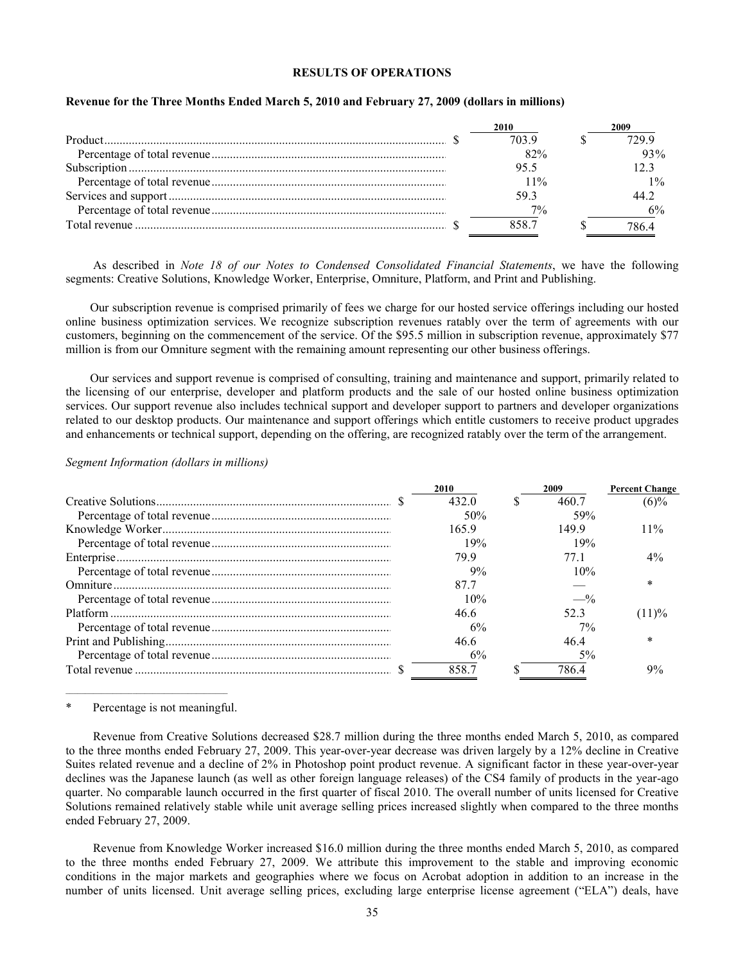#### **RESULTS OF OPERATIONS**

| <b>2010</b> | 2009  |
|-------------|-------|
| 703.9       | 729 9 |
| 82%         | 93%   |
| 95.5        |       |
| $11\%$      | $1\%$ |
| 593         |       |
| $7\%$       | 6%    |
| 858.7       |       |

#### **Revenue for the Three Months Ended March 5, 2010 and February 27, 2009 (dollars in millions)**

As described in *Note [18 of our Notes to Condensed Consolidated Financial Statements](#page-28-0)*, we have the following segments: Creative Solutions, Knowledge Worker, Enterprise, Omniture, Platform, and Print and Publishing.

Our subscription revenue is comprised primarily of fees we charge for our hosted service offerings including our hosted online business optimization services. We recognize subscription revenues ratably over the term of agreements with our customers, beginning on the commencement of the service. Of the \$95.5 million in subscription revenue, approximately \$77 million is from our Omniture segment with the remaining amount representing our other business offerings.

Our services and support revenue is comprised of consulting, training and maintenance and support, primarily related to the licensing of our enterprise, developer and platform products and the sale of our hosted online business optimization services. Our support revenue also includes technical support and developer support to partners and developer organizations related to our desktop products. Our maintenance and support offerings which entitle customers to receive product upgrades and enhancements or technical support, depending on the offering, are recognized ratably over the term of the arrangement.

#### *Segment Information (dollars in millions)*

| 2010  | 2009            | <b>Percent Change</b> |
|-------|-----------------|-----------------------|
| 432.0 | 460.7           | (6)%                  |
| 50%   | 59%             |                       |
| 1659  | 1499            | $11\%$                |
| 19%   | 19%             |                       |
| 799   | 77 1            | $4\%$                 |
| 9%    | 10%             |                       |
| 877   |                 | $\ast$                |
| 10%   | $-$ %           |                       |
| 46.6  | 52 <sup>3</sup> | (11)%                 |
| 6%    | $7\%$           |                       |
| 46.6  | 464             | $\ast$                |
| 6%    | .5%             |                       |
| 858.7 | 786 4           | 9%                    |

 $\mathcal{L}_\text{max}$  and  $\mathcal{L}_\text{max}$  and  $\mathcal{L}_\text{max}$  and  $\mathcal{L}_\text{max}$  and  $\mathcal{L}_\text{max}$ Percentage is not meaningful.

Revenue from Creative Solutions decreased \$28.7 million during the three months ended March 5, 2010, as compared to the three months ended February 27, 2009. This year-over-year decrease was driven largely by a 12% decline in Creative Suites related revenue and a decline of 2% in Photoshop point product revenue. A significant factor in these year-over-year declines was the Japanese launch (as well as other foreign language releases) of the CS4 family of products in the year-ago quarter. No comparable launch occurred in the first quarter of fiscal 2010. The overall number of units licensed for Creative Solutions remained relatively stable while unit average selling prices increased slightly when compared to the three months ended February 27, 2009.

Revenue from Knowledge Worker increased \$16.0 million during the three months ended March 5, 2010, as compared to the three months ended February 27, 2009. We attribute this improvement to the stable and improving economic conditions in the major markets and geographies where we focus on Acrobat adoption in addition to an increase in the number of units licensed. Unit average selling prices, excluding large enterprise license agreement ("ELA") deals, have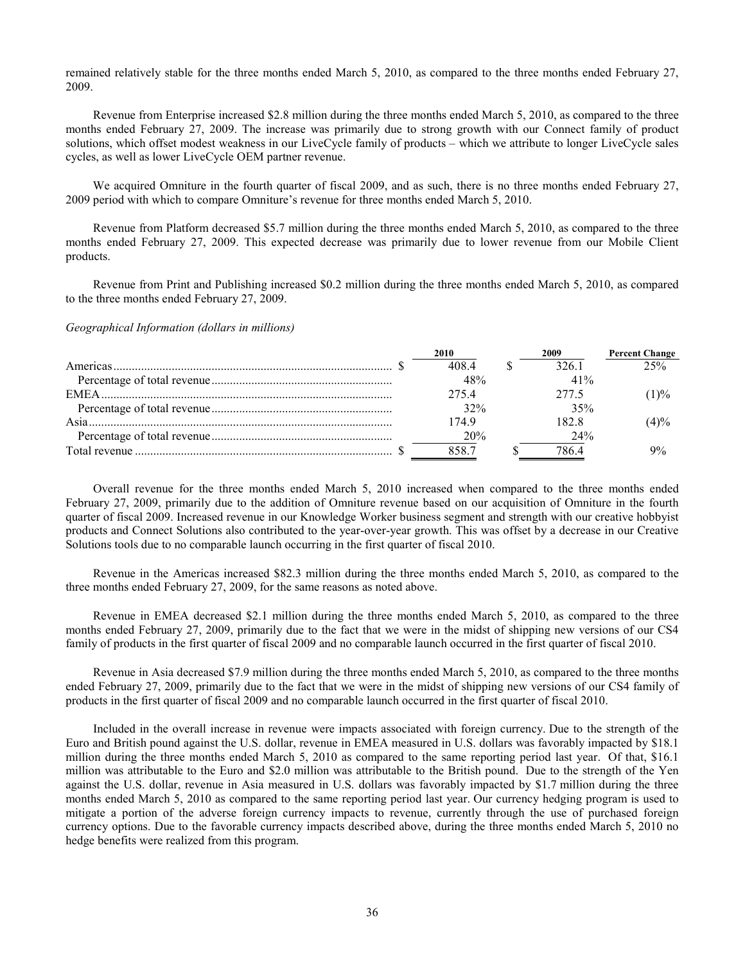remained relatively stable for the three months ended March 5, 2010, as compared to the three months ended February 27, 2009.

Revenue from Enterprise increased \$2.8 million during the three months ended March 5, 2010, as compared to the three months ended February 27, 2009. The increase was primarily due to strong growth with our Connect family of product solutions, which offset modest weakness in our LiveCycle family of products – which we attribute to longer LiveCycle sales cycles, as well as lower LiveCycle OEM partner revenue.

We acquired Omniture in the fourth quarter of fiscal 2009, and as such, there is no three months ended February 27, 2009 period with which to compare Omniture's revenue for three months ended March 5, 2010.

Revenue from Platform decreased \$5.7 million during the three months ended March 5, 2010, as compared to the three months ended February 27, 2009. This expected decrease was primarily due to lower revenue from our Mobile Client products.

Revenue from Print and Publishing increased \$0.2 million during the three months ended March 5, 2010, as compared to the three months ended February 27, 2009.

*Geographical Information (dollars in millions)*

| 2010  | 2009  | <b>Percent Change</b> |
|-------|-------|-----------------------|
| 408.4 | 326.1 | 25%                   |
| 48%   | 41%   |                       |
| 275.4 | 277.5 | (1)%                  |
| 32%   | 35%   |                       |
| 1749  | 182.8 | (4)%                  |
| 20%   | 24%   |                       |
| 858.7 | 786 4 | 9%                    |

Overall revenue for the three months ended March 5, 2010 increased when compared to the three months ended February 27, 2009, primarily due to the addition of Omniture revenue based on our acquisition of Omniture in the fourth quarter of fiscal 2009. Increased revenue in our Knowledge Worker business segment and strength with our creative hobbyist products and Connect Solutions also contributed to the year-over-year growth. This was offset by a decrease in our Creative Solutions tools due to no comparable launch occurring in the first quarter of fiscal 2010.

Revenue in the Americas increased \$82.3 million during the three months ended March 5, 2010, as compared to the three months ended February 27, 2009, for the same reasons as noted above.

Revenue in EMEA decreased \$2.1 million during the three months ended March 5, 2010, as compared to the three months ended February 27, 2009, primarily due to the fact that we were in the midst of shipping new versions of our CS4 family of products in the first quarter of fiscal 2009 and no comparable launch occurred in the first quarter of fiscal 2010.

Revenue in Asia decreased \$7.9 million during the three months ended March 5, 2010, as compared to the three months ended February 27, 2009, primarily due to the fact that we were in the midst of shipping new versions of our CS4 family of products in the first quarter of fiscal 2009 and no comparable launch occurred in the first quarter of fiscal 2010.

Included in the overall increase in revenue were impacts associated with foreign currency. Due to the strength of the Euro and British pound against the U.S. dollar, revenue in EMEA measured in U.S. dollars was favorably impacted by \$18.1 million during the three months ended March 5, 2010 as compared to the same reporting period last year. Of that, \$16.1 million was attributable to the Euro and \$2.0 million was attributable to the British pound. Due to the strength of the Yen against the U.S. dollar, revenue in Asia measured in U.S. dollars was favorably impacted by \$1.7 million during the three months ended March 5, 2010 as compared to the same reporting period last year. Our currency hedging program is used to mitigate a portion of the adverse foreign currency impacts to revenue, currently through the use of purchased foreign currency options. Due to the favorable currency impacts described above, during the three months ended March 5, 2010 no hedge benefits were realized from this program.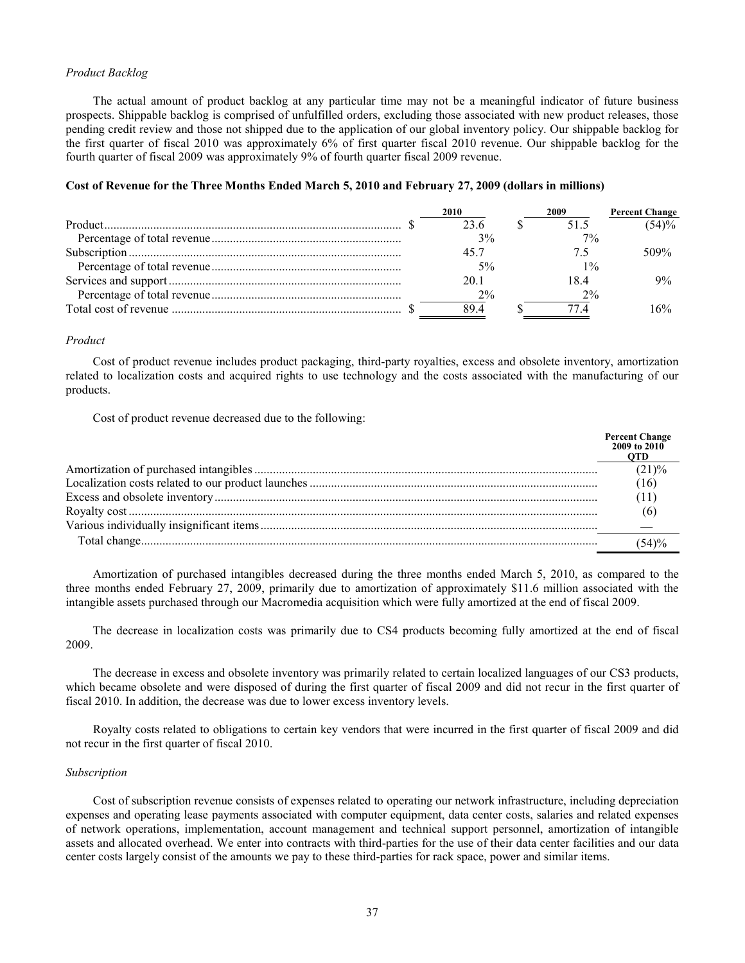#### *Product Backlog*

The actual amount of product backlog at any particular time may not be a meaningful indicator of future business prospects. Shippable backlog is comprised of unfulfilled orders, excluding those associated with new product releases, those pending credit review and those not shipped due to the application of our global inventory policy. Our shippable backlog for the first quarter of fiscal 2010 was approximately 6% of first quarter fiscal 2010 revenue. Our shippable backlog for the fourth quarter of fiscal 2009 was approximately 9% of fourth quarter fiscal 2009 revenue.

#### **Cost of Revenue for the Three Months Ended March 5, 2010 and February 27, 2009 (dollars in millions)**

| 2010 | 2009  | <b>Percent Change</b> |
|------|-------|-----------------------|
| 23.6 |       | (54)%                 |
| 3%   | $7\%$ |                       |
| 45.7 |       | 509%                  |
| 5%   | $1\%$ |                       |
| 20.1 | 184   | $9\%$                 |
| 2%   | $2\%$ |                       |
| 894  |       | 6%                    |

# *Product*

Cost of product revenue includes product packaging, third-party royalties, excess and obsolete inventory, amortization related to localization costs and acquired rights to use technology and the costs associated with the manufacturing of our products.

Cost of product revenue decreased due to the following:

| <b>Percent Change</b><br>2009 to 2010 |
|---------------------------------------|
| (21)%                                 |
| (16)                                  |
| (11)                                  |
| (6)                                   |
|                                       |
| (54)%                                 |

Amortization of purchased intangibles decreased during the three months ended March 5, 2010, as compared to the three months ended February 27, 2009, primarily due to amortization of approximately \$11.6 million associated with the intangible assets purchased through our Macromedia acquisition which were fully amortized at the end of fiscal 2009.

The decrease in localization costs was primarily due to CS4 products becoming fully amortized at the end of fiscal 2009.

The decrease in excess and obsolete inventory was primarily related to certain localized languages of our CS3 products, which became obsolete and were disposed of during the first quarter of fiscal 2009 and did not recur in the first quarter of fiscal 2010. In addition, the decrease was due to lower excess inventory levels.

Royalty costs related to obligations to certain key vendors that were incurred in the first quarter of fiscal 2009 and did not recur in the first quarter of fiscal 2010.

#### *Subscription*

Cost of subscription revenue consists of expenses related to operating our network infrastructure, including depreciation expenses and operating lease payments associated with computer equipment, data center costs, salaries and related expenses of network operations, implementation, account management and technical support personnel, amortization of intangible assets and allocated overhead. We enter into contracts with third-parties for the use of their data center facilities and our data center costs largely consist of the amounts we pay to these third-parties for rack space, power and similar items.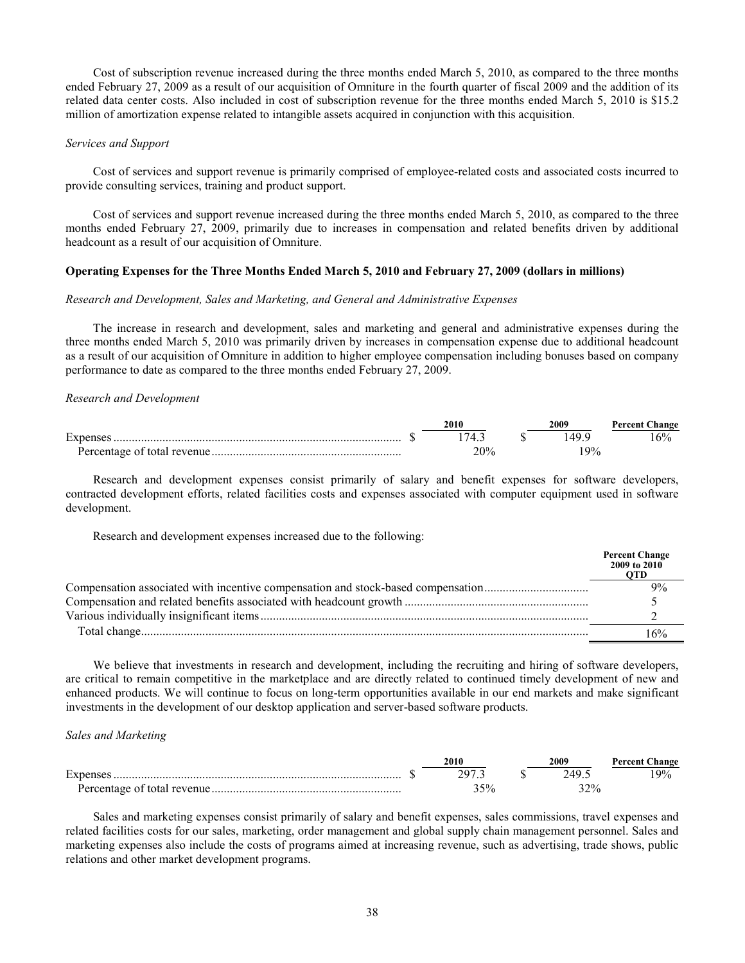Cost of subscription revenue increased during the three months ended March 5, 2010, as compared to the three months ended February 27, 2009 as a result of our acquisition of Omniture in the fourth quarter of fiscal 2009 and the addition of its related data center costs. Also included in cost of subscription revenue for the three months ended March 5, 2010 is \$15.2 million of amortization expense related to intangible assets acquired in conjunction with this acquisition.

#### *Services and Support*

Cost of services and support revenue is primarily comprised of employee-related costs and associated costs incurred to provide consulting services, training and product support.

Cost of services and support revenue increased during the three months ended March 5, 2010, as compared to the three months ended February 27, 2009, primarily due to increases in compensation and related benefits driven by additional headcount as a result of our acquisition of Omniture.

# **Operating Expenses for the Three Months Ended March 5, 2010 and February 27, 2009 (dollars in millions)**

# *Research and Development, Sales and Marketing, and General and Administrative Expenses*

The increase in research and development, sales and marketing and general and administrative expenses during the three months ended March 5, 2010 was primarily driven by increases in compensation expense due to additional headcount as a result of our acquisition of Omniture in addition to higher employee compensation including bonuses based on company performance to date as compared to the three months ended February 27, 2009.

#### *Research and Development*

|                             | 2010 | 2009   | <b>Percent Change</b> |
|-----------------------------|------|--------|-----------------------|
| <b>D</b><br>Expenses        | ′4   |        | 16%                   |
| Percentage of total revenue | 20%  | $.9\%$ |                       |

Research and development expenses consist primarily of salary and benefit expenses for software developers, contracted development efforts, related facilities costs and expenses associated with computer equipment used in software development.

Research and development expenses increased due to the following:

|                                                                                  | Percent Change<br>2009 to 2010 |
|----------------------------------------------------------------------------------|--------------------------------|
| Compensation associated with incentive compensation and stock-based compensation | 9%                             |
|                                                                                  |                                |
|                                                                                  |                                |
| Total change                                                                     | 6%                             |

We believe that investments in research and development, including the recruiting and hiring of software developers, are critical to remain competitive in the marketplace and are directly related to continued timely development of new and enhanced products. We will continue to focus on long-term opportunities available in our end markets and make significant investments in the development of our desktop application and server-based software products.

# *Sales and Marketing*

|                             | 2010                  | 2009                      | <b>Percent Change</b> |
|-----------------------------|-----------------------|---------------------------|-----------------------|
| ᠇<br>Expense                | 79′<br>$\cdot$ $\sim$ | AC                        | 19%                   |
| Percentage of total revenue | $5\%$                 | 2.20 <sub>4</sub><br>2470 |                       |

Sales and marketing expenses consist primarily of salary and benefit expenses, sales commissions, travel expenses and related facilities costs for our sales, marketing, order management and global supply chain management personnel. Sales and marketing expenses also include the costs of programs aimed at increasing revenue, such as advertising, trade shows, public relations and other market development programs.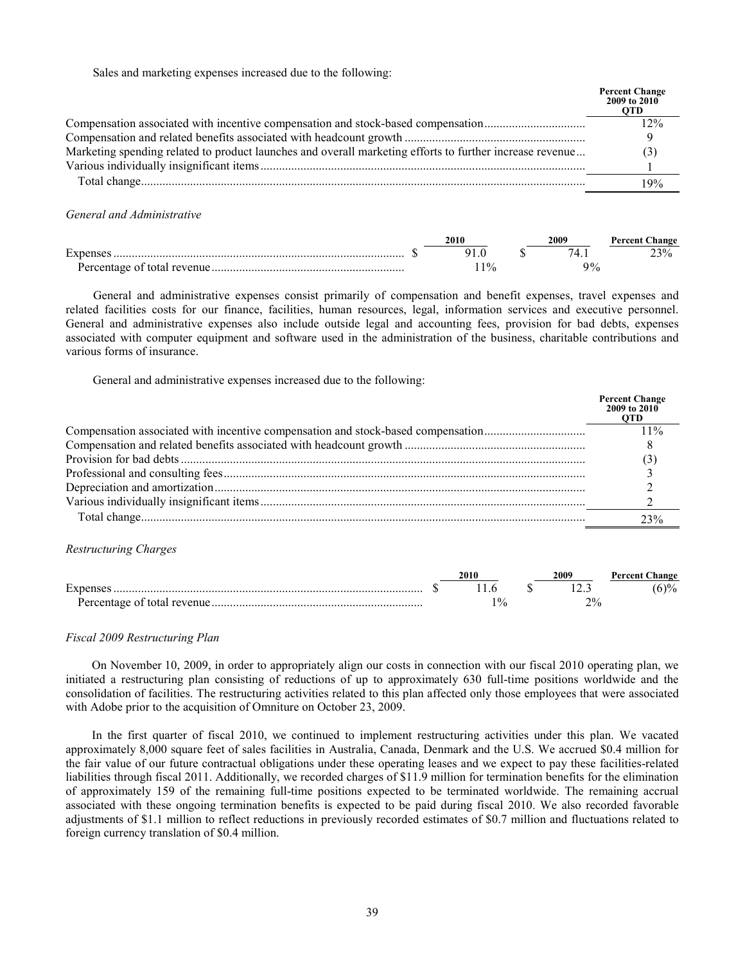Sales and marketing expenses increased due to the following:

|                                                                                                          | Percent Change<br>2009 to 2010<br><b>OTD</b> |
|----------------------------------------------------------------------------------------------------------|----------------------------------------------|
| Compensation associated with incentive compensation and stock-based compensation                         | 12%                                          |
|                                                                                                          |                                              |
| Marketing spending related to product launches and overall marketing efforts to further increase revenue |                                              |
|                                                                                                          |                                              |
|                                                                                                          | 9%                                           |

*General and Administrative*

|                             | 2010       | 2009 | <b>Percent Change</b> |
|-----------------------------|------------|------|-----------------------|
| Expense                     |            |      | 23%                   |
| Percentage of total revenue | $^{10}$ /0 | ∩∩   |                       |

General and administrative expenses consist primarily of compensation and benefit expenses, travel expenses and related facilities costs for our finance, facilities, human resources, legal, information services and executive personnel. General and administrative expenses also include outside legal and accounting fees, provision for bad debts, expenses associated with computer equipment and software used in the administration of the business, charitable contributions and various forms of insurance.

General and administrative expenses increased due to the following:

|                                                                                  | <b>Percent Change</b><br>2009 to 2010<br><b>OTD</b> |
|----------------------------------------------------------------------------------|-----------------------------------------------------|
| Compensation associated with incentive compensation and stock-based compensation | $11\%$                                              |
|                                                                                  |                                                     |
|                                                                                  | $\mathbf{3}$                                        |
|                                                                                  |                                                     |
|                                                                                  |                                                     |
|                                                                                  |                                                     |
|                                                                                  | 23%                                                 |

#### *Restructuring Charges*

|                             | 2010     | 2009                        | <b>Percent Change</b> |
|-----------------------------|----------|-----------------------------|-----------------------|
| Expense                     |          |                             | $(6)\%$               |
| Percentage of total revenue | $\Omega$ | $\mathcal{D}^0$<br><u>.</u> |                       |

# *Fiscal 2009 Restructuring Plan*

On November 10, 2009, in order to appropriately align our costs in connection with our fiscal 2010 operating plan, we initiated a restructuring plan consisting of reductions of up to approximately 630 full-time positions worldwide and the consolidation of facilities. The restructuring activities related to this plan affected only those employees that were associated with Adobe prior to the acquisition of Omniture on October 23, 2009.

In the first quarter of fiscal 2010, we continued to implement restructuring activities under this plan. We vacated approximately 8,000 square feet of sales facilities in Australia, Canada, Denmark and the U.S. We accrued \$0.4 million for the fair value of our future contractual obligations under these operating leases and we expect to pay these facilities-related liabilities through fiscal 2011. Additionally, we recorded charges of \$11.9 million for termination benefits for the elimination of approximately 159 of the remaining full-time positions expected to be terminated worldwide. The remaining accrual associated with these ongoing termination benefits is expected to be paid during fiscal 2010. We also recorded favorable adjustments of \$1.1 million to reflect reductions in previously recorded estimates of \$0.7 million and fluctuations related to foreign currency translation of \$0.4 million.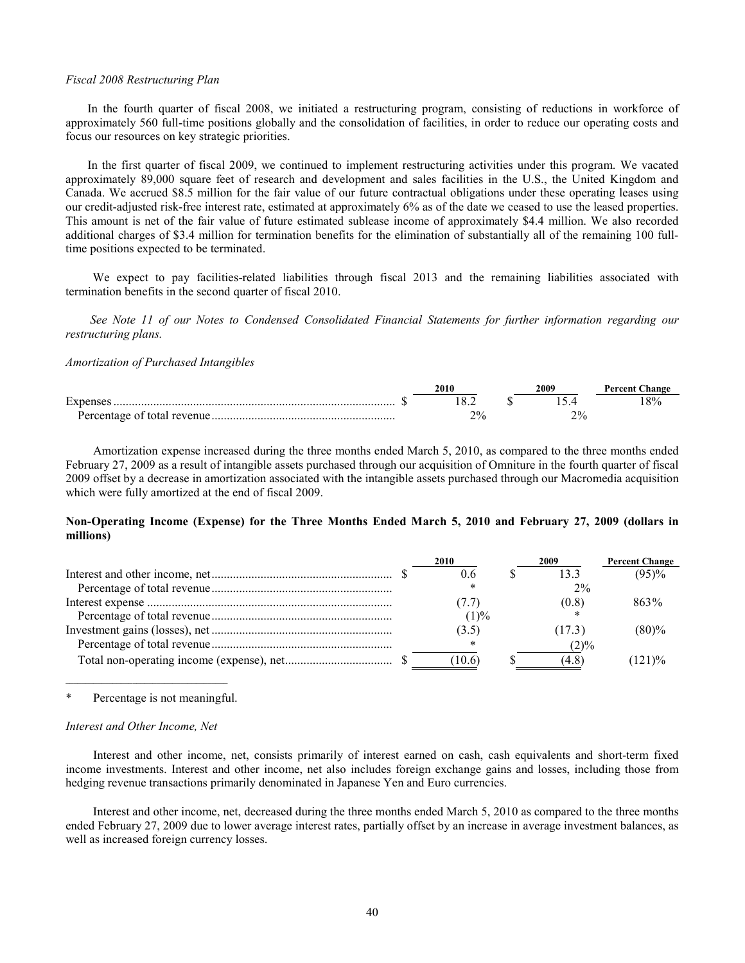#### *Fiscal 2008 Restructuring Plan*

In the fourth quarter of fiscal 2008, we initiated a restructuring program, consisting of reductions in workforce of approximately 560 full-time positions globally and the consolidation of facilities, in order to reduce our operating costs and focus our resources on key strategic priorities.

In the first quarter of fiscal 2009, we continued to implement restructuring activities under this program. We vacated approximately 89,000 square feet of research and development and sales facilities in the U.S., the United Kingdom and Canada. We accrued \$8.5 million for the fair value of our future contractual obligations under these operating leases using our credit-adjusted risk-free interest rate, estimated at approximately 6% as of the date we ceased to use the leased properties. This amount is net of the fair value of future estimated sublease income of approximately \$4.4 million. We also recorded additional charges of \$3.4 million for termination benefits for the elimination of substantially all of the remaining 100 fulltime positions expected to be terminated.

We expect to pay facilities-related liabilities through fiscal 2013 and the remaining liabilities associated with termination benefits in the second quarter of fiscal 2010.

*See [Note 11 of our Notes to Condensed Consolidated Financial Statements for further information regarding our](#page-20-0)  restructuring plans.*

#### *Amortization of Purchased Intangibles*

|                             | 2010 | 2009 | <b>Percent Change</b> |
|-----------------------------|------|------|-----------------------|
| Expense                     |      |      | 8%                    |
| Percentage of total revenue | 2%   | 2%   |                       |

Amortization expense increased during the three months ended March 5, 2010, as compared to the three months ended February 27, 2009 as a result of intangible assets purchased through our acquisition of Omniture in the fourth quarter of fiscal 2009 offset by a decrease in amortization associated with the intangible assets purchased through our Macromedia acquisition which were fully amortized at the end of fiscal 2009.

# **Non-Operating Income (Expense) for the Three Months Ended March 5, 2010 and February 27, 2009 (dollars in millions)**

|  | 2010   | 2009    | <b>Percent Change</b> |
|--|--------|---------|-----------------------|
|  |        | 133     | (95)%                 |
|  |        | $2\%$   |                       |
|  |        | (0.8)   | 863%                  |
|  | (1)%   |         |                       |
|  | (3.5)  | (17.3)  | (80)%                 |
|  |        | $(2)\%$ |                       |
|  | (10.6) | (4.8)   | (121)%                |

 $\mathcal{L}_\text{max}$  and  $\mathcal{L}_\text{max}$  and  $\mathcal{L}_\text{max}$  and  $\mathcal{L}_\text{max}$  and  $\mathcal{L}_\text{max}$ Percentage is not meaningful.

# *Interest and Other Income, Net*

Interest and other income, net, consists primarily of interest earned on cash, cash equivalents and short-term fixed income investments. Interest and other income, net also includes foreign exchange gains and losses, including those from hedging revenue transactions primarily denominated in Japanese Yen and Euro currencies.

Interest and other income, net, decreased during the three months ended March 5, 2010 as compared to the three months ended February 27, 2009 due to lower average interest rates, partially offset by an increase in average investment balances, as well as increased foreign currency losses.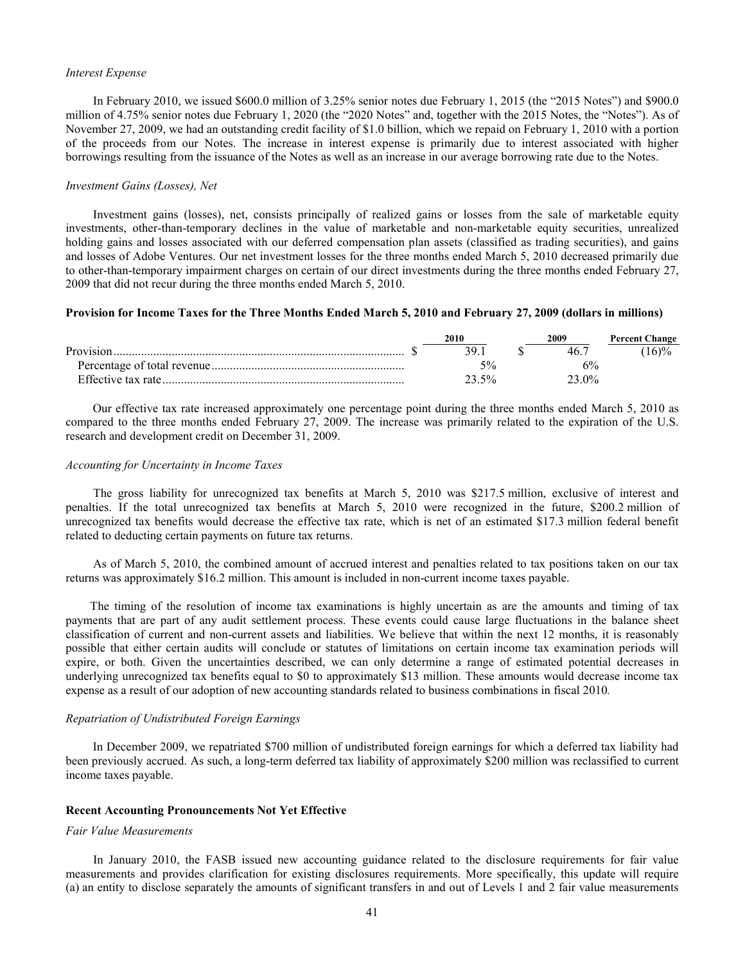#### *Interest Expense*

In February 2010, we issued \$600.0 million of 3.25% senior notes due February 1, 2015 (the "2015 Notes") and \$900.0 million of 4.75% senior notes due February 1, 2020 (the "2020 Notes" and, together with the 2015 Notes, the "Notes"). As of November 27, 2009, we had an outstanding credit facility of \$1.0 billion, which we repaid on February 1, 2010 with a portion of the proceeds from our Notes. The increase in interest expense is primarily due to interest associated with higher borrowings resulting from the issuance of the Notes as well as an increase in our average borrowing rate due to the Notes.

### *Investment Gains (Losses), Net*

Investment gains (losses), net, consists principally of realized gains or losses from the sale of marketable equity investments, other-than-temporary declines in the value of marketable and non-marketable equity securities, unrealized holding gains and losses associated with our deferred compensation plan assets (classified as trading securities), and gains and losses of Adobe Ventures. Our net investment losses for the three months ended March 5, 2010 decreased primarily due to other-than-temporary impairment charges on certain of our direct investments during the three months ended February 27, 2009 that did not recur during the three months ended March 5, 2010.

# **Provision for Income Taxes for the Three Months Ended March 5, 2010 and February 27, 2009 (dollars in millions)**

|           | 2010  | 2009                | <b>Percent Change</b> |
|-----------|-------|---------------------|-----------------------|
| Provision |       |                     | 16)%                  |
|           |       |                     |                       |
|           | 23.5% | 23.0 <sup>o</sup> % |                       |

Our effective tax rate increased approximately one percentage point during the three months ended March 5, 2010 as compared to the three months ended February 27, 2009. The increase was primarily related to the expiration of the U.S. research and development credit on December 31, 2009.

#### *Accounting for Uncertainty in Income Taxes*

The gross liability for unrecognized tax benefits at March 5, 2010 was \$217.5 million, exclusive of interest and penalties. If the total unrecognized tax benefits at March 5, 2010 were recognized in the future, \$200.2 million of unrecognized tax benefits would decrease the effective tax rate, which is net of an estimated \$17.3 million federal benefit related to deducting certain payments on future tax returns.

As of March 5, 2010, the combined amount of accrued interest and penalties related to tax positions taken on our tax returns was approximately \$16.2 million. This amount is included in non-current income taxes payable.

The timing of the resolution of income tax examinations is highly uncertain as are the amounts and timing of tax payments that are part of any audit settlement process. These events could cause large fluctuations in the balance sheet classification of current and non-current assets and liabilities. We believe that within the next 12 months, it is reasonably possible that either certain audits will conclude or statutes of limitations on certain income tax examination periods will expire, or both. Given the uncertainties described, we can only determine a range of estimated potential decreases in underlying unrecognized tax benefits equal to \$0 to approximately \$13 million. These amounts would decrease income tax expense as a result of our adoption of new accounting standards related to business combinations in fiscal 2010*.*

#### *Repatriation of Undistributed Foreign Earnings*

In December 2009, we repatriated \$700 million of undistributed foreign earnings for which a deferred tax liability had been previously accrued. As such, a long-term deferred tax liability of approximately \$200 million was reclassified to current income taxes payable.

# **Recent Accounting Pronouncements Not Yet Effective**

#### *Fair Value Measurements*

In January 2010, the FASB issued new accounting guidance related to the disclosure requirements for fair value measurements and provides clarification for existing disclosures requirements. More specifically, this update will require (a) an entity to disclose separately the amounts of significant transfers in and out of Levels 1 and 2 fair value measurements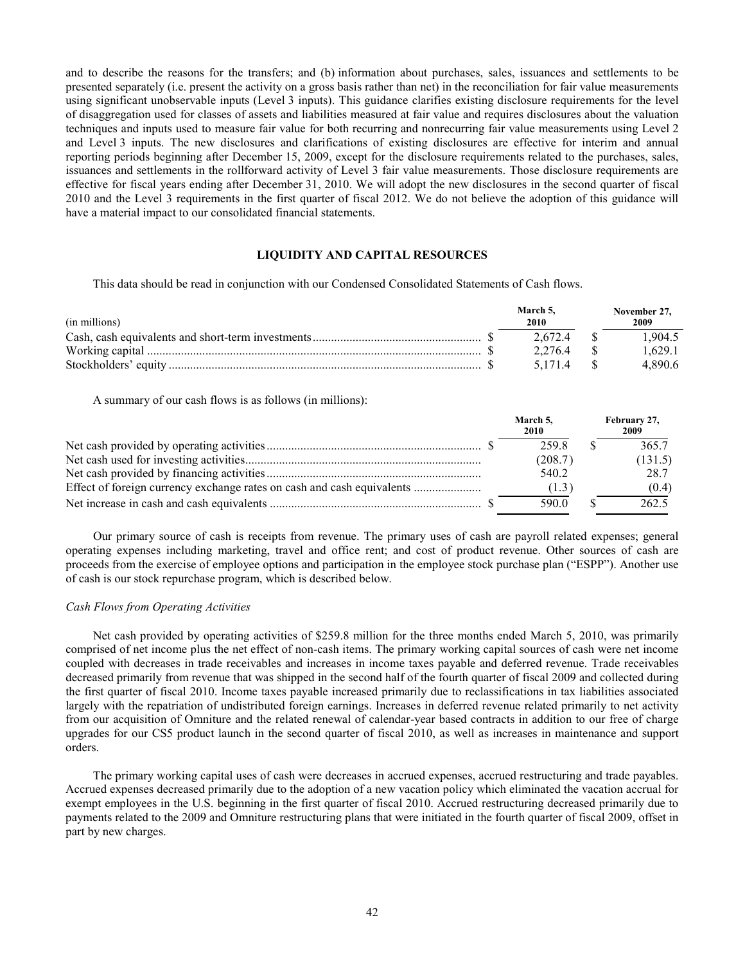and to describe the reasons for the transfers; and (b) information about purchases, sales, issuances and settlements to be presented separately (i.e. present the activity on a gross basis rather than net) in the reconciliation for fair value measurements using significant unobservable inputs (Level 3 inputs). This guidance clarifies existing disclosure requirements for the level of disaggregation used for classes of assets and liabilities measured at fair value and requires disclosures about the valuation techniques and inputs used to measure fair value for both recurring and nonrecurring fair value measurements using Level 2 and Level 3 inputs. The new disclosures and clarifications of existing disclosures are effective for interim and annual reporting periods beginning after December 15, 2009, except for the disclosure requirements related to the purchases, sales, issuances and settlements in the rollforward activity of Level 3 fair value measurements. Those disclosure requirements are effective for fiscal years ending after December 31, 2010. We will adopt the new disclosures in the second quarter of fiscal 2010 and the Level 3 requirements in the first quarter of fiscal 2012. We do not believe the adoption of this guidance will have a material impact to our consolidated financial statements.

# **LIQUIDITY AND CAPITAL RESOURCES**

This data should be read in conjunction with our Condensed Consolidated Statements of Cash flows.

| (in millions) | March 5.<br>2010 | November 27.<br>2009 |
|---------------|------------------|----------------------|
|               | 26724            | 1.904.5              |
|               | 2.276.4          | 1.629.1              |
|               | 5 1 7 1 4        | 48906                |

A summary of our cash flows is as follows (in millions):

|  | March 5.<br>2010 | February 27,<br>2009 |
|--|------------------|----------------------|
|  | 2598             | 365.7                |
|  | (208.7)          | (131.5)              |
|  | 540.2            | 28.7                 |
|  | (1.3)            | (0.4)                |
|  | 590.0            | 262.5                |

Our primary source of cash is receipts from revenue. The primary uses of cash are payroll related expenses; general operating expenses including marketing, travel and office rent; and cost of product revenue. Other sources of cash are proceeds from the exercise of employee options and participation in the employee stock purchase plan ("ESPP"). Another use of cash is our stock repurchase program, which is described below.

# *Cash Flows from Operating Activities*

Net cash provided by operating activities of \$259.8 million for the three months ended March 5, 2010, was primarily comprised of net income plus the net effect of non-cash items. The primary working capital sources of cash were net income coupled with decreases in trade receivables and increases in income taxes payable and deferred revenue. Trade receivables decreased primarily from revenue that was shipped in the second half of the fourth quarter of fiscal 2009 and collected during the first quarter of fiscal 2010. Income taxes payable increased primarily due to reclassifications in tax liabilities associated largely with the repatriation of undistributed foreign earnings. Increases in deferred revenue related primarily to net activity from our acquisition of Omniture and the related renewal of calendar-year based contracts in addition to our free of charge upgrades for our CS5 product launch in the second quarter of fiscal 2010, as well as increases in maintenance and support orders.

The primary working capital uses of cash were decreases in accrued expenses, accrued restructuring and trade payables. Accrued expenses decreased primarily due to the adoption of a new vacation policy which eliminated the vacation accrual for exempt employees in the U.S. beginning in the first quarter of fiscal 2010. Accrued restructuring decreased primarily due to payments related to the 2009 and Omniture restructuring plans that were initiated in the fourth quarter of fiscal 2009, offset in part by new charges.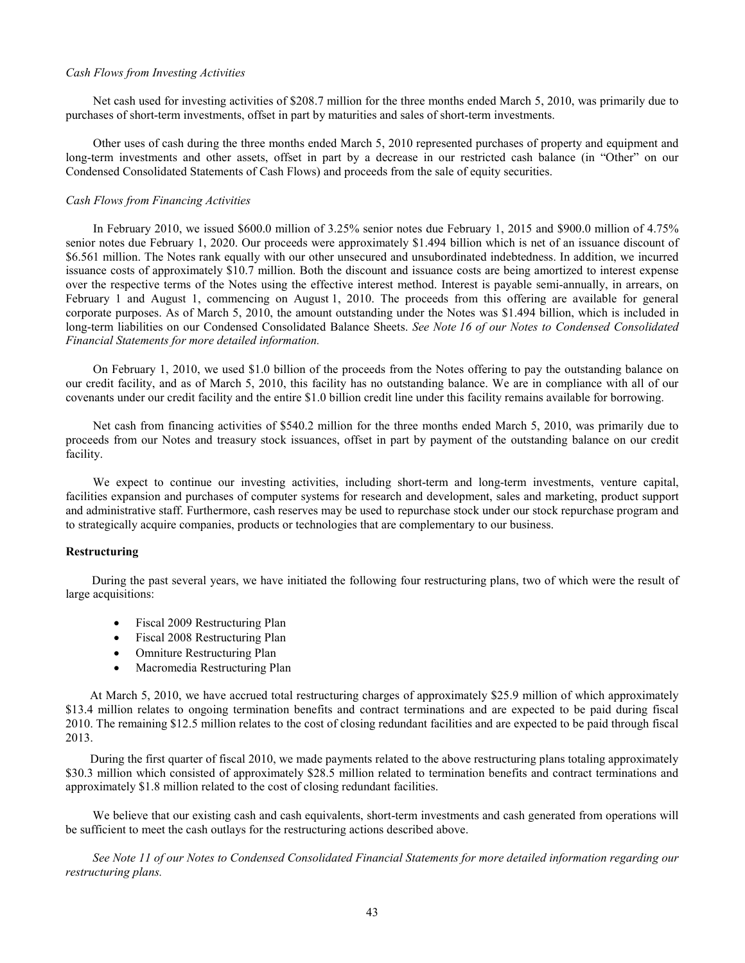#### *Cash Flows from Investing Activities*

Net cash used for investing activities of \$208.7 million for the three months ended March 5, 2010, was primarily due to purchases of short-term investments, offset in part by maturities and sales of short-term investments.

Other uses of cash during the three months ended March 5, 2010 represented purchases of property and equipment and long-term investments and other assets, offset in part by a decrease in our restricted cash balance (in "Other" on our Condensed Consolidated Statements of Cash Flows) and proceeds from the sale of equity securities.

# *Cash Flows from Financing Activities*

In February 2010, we issued \$600.0 million of 3.25% senior notes due February 1, 2015 and \$900.0 million of 4.75% senior notes due February 1, 2020. Our proceeds were approximately \$1.494 billion which is net of an issuance discount of \$6.561 million. The Notes rank equally with our other unsecured and unsubordinated indebtedness. In addition, we incurred issuance costs of approximately \$10.7 million. Both the discount and issuance costs are being amortized to interest expense over the respective terms of the Notes using the effective interest method. Interest is payable semi-annually, in arrears, on February 1 and August 1, commencing on August 1, 2010. The proceeds from this offering are available for general corporate purposes. As of March 5, 2010, the amount outstanding under the Notes was \$1.494 billion, which is included in long-term liabilities on our Condensed Consolidated Balance Sheets. *See Note [16 of our Notes to Condensed Consolidated](#page-27-0)  [Financial Statements for more detailed information.](#page-27-0)*

On February 1, 2010, we used \$1.0 billion of the proceeds from the Notes offering to pay the outstanding balance on our credit facility, and as of March 5, 2010, this facility has no outstanding balance. We are in compliance with all of our covenants under our credit facility and the entire \$1.0 billion credit line under this facility remains available for borrowing.

Net cash from financing activities of \$540.2 million for the three months ended March 5, 2010, was primarily due to proceeds from our Notes and treasury stock issuances, offset in part by payment of the outstanding balance on our credit facility.

We expect to continue our investing activities, including short-term and long-term investments, venture capital, facilities expansion and purchases of computer systems for research and development, sales and marketing, product support and administrative staff. Furthermore, cash reserves may be used to repurchase stock under our stock repurchase program and to strategically acquire companies, products or technologies that are complementary to our business.

# **Restructuring**

During the past several years, we have initiated the following four restructuring plans, two of which were the result of large acquisitions:

- Fiscal 2009 Restructuring Plan
- Fiscal 2008 Restructuring Plan
- Omniture Restructuring Plan
- Macromedia Restructuring Plan

At March 5, 2010, we have accrued total restructuring charges of approximately \$25.9 million of which approximately \$13.4 million relates to ongoing termination benefits and contract terminations and are expected to be paid during fiscal 2010. The remaining \$12.5 million relates to the cost of closing redundant facilities and are expected to be paid through fiscal 2013.

During the first quarter of fiscal 2010, we made payments related to the above restructuring plans totaling approximately \$30.3 million which consisted of approximately \$28.5 million related to termination benefits and contract terminations and approximately \$1.8 million related to the cost of closing redundant facilities.

We believe that our existing cash and cash equivalents, short-term investments and cash generated from operations will be sufficient to meet the cash outlays for the restructuring actions described above.

*[See Note 11 of our Notes to Condensed Consolidated Financial Statements for more detailed information regarding our](#page-20-0)  restructuring plans.*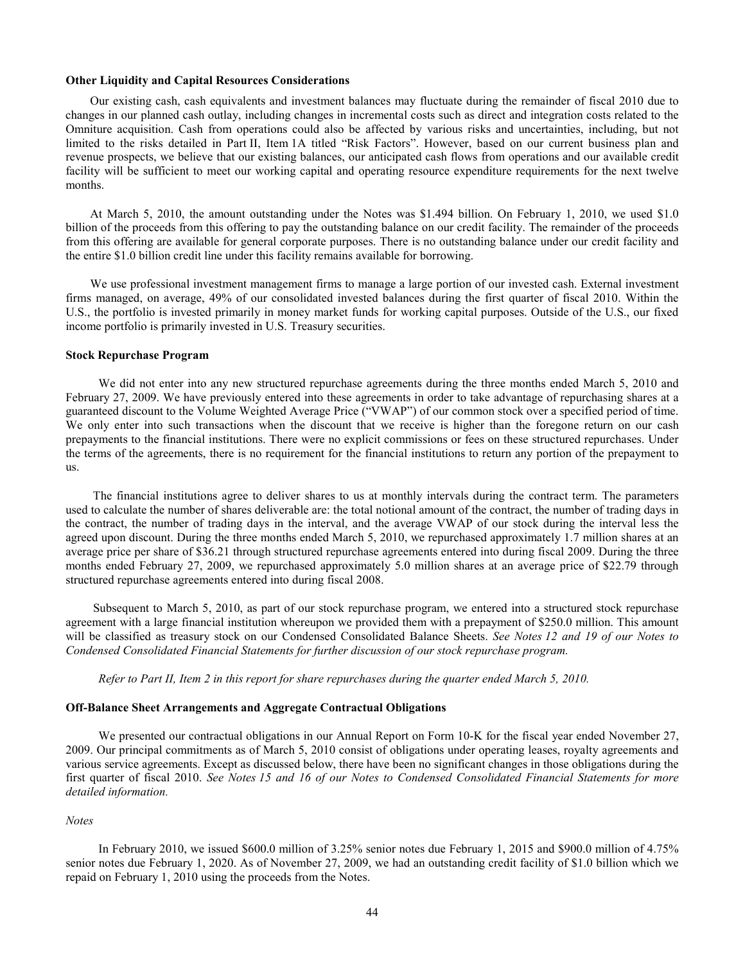#### **Other Liquidity and Capital Resources Considerations**

Our existing cash, cash equivalents and investment balances may fluctuate during the remainder of fiscal 2010 due to changes in our planned cash outlay, including changes in incremental costs such as direct and integration costs related to the Omniture acquisition. Cash from operations could also be affected by various risks and uncertainties, including, but not limited to the risks detailed in Part II, Item 1A titled "Risk Factors". However, based on our current business plan and revenue prospects, we believe that our existing balances, our anticipated cash flows from operations and our available credit facility will be sufficient to meet our working capital and operating resource expenditure requirements for the next twelve months.

At March 5, 2010, the amount outstanding under the Notes was \$1.494 billion. On February 1, 2010, we used \$1.0 billion of the proceeds from this offering to pay the outstanding balance on our credit facility. The remainder of the proceeds from this offering are available for general corporate purposes. There is no outstanding balance under our credit facility and the entire \$1.0 billion credit line under this facility remains available for borrowing.

We use professional investment management firms to manage a large portion of our invested cash. External investment firms managed, on average, 49% of our consolidated invested balances during the first quarter of fiscal 2010. Within the U.S., the portfolio is invested primarily in money market funds for working capital purposes. Outside of the U.S., our fixed income portfolio is primarily invested in U.S. Treasury securities.

#### **Stock Repurchase Program**

We did not enter into any new structured repurchase agreements during the three months ended March 5, 2010 and February 27, 2009. We have previously entered into these agreements in order to take advantage of repurchasing shares at a guaranteed discount to the Volume Weighted Average Price ("VWAP") of our common stock over a specified period of time. We only enter into such transactions when the discount that we receive is higher than the foregone return on our cash prepayments to the financial institutions. There were no explicit commissions or fees on these structured repurchases. Under the terms of the agreements, there is no requirement for the financial institutions to return any portion of the prepayment to us.

The financial institutions agree to deliver shares to us at monthly intervals during the contract term. The parameters used to calculate the number of shares deliverable are: the total notional amount of the contract, the number of trading days in the contract, the number of trading days in the interval, and the average VWAP of our stock during the interval less the agreed upon discount. During the three months ended March 5, 2010, we repurchased approximately 1.7 million shares at an average price per share of \$36.21 through structured repurchase agreements entered into during fiscal 2009. During the three months ended February 27, 2009, we repurchased approximately 5.0 million shares at an average price of \$22.79 through structured repurchase agreements entered into during fiscal 2008.

Subsequent to March 5, 2010, as part of our stock repurchase program, we entered into a structured stock repurchase agreement with a large financial institution whereupon we provided them with a prepayment of \$250.0 million. This amount will be classified as treasury stock on our Condensed Consolidated Balance Sheets. *See [Notes](#page-23-0) 12 and [19 of ou](#page-29-0)r Notes to Condensed Consolidated Financial Statements for further discussion of our stock repurchase program.*

*Refer to Part II, Item 2 in this report for share repurchases [during the quarter ended March 5, 2010.](#page-56-0)*

# **Off-Balance Sheet Arrangements and Aggregate Contractual Obligations**

We presented our contractual obligations in our Annual Report on Form 10-K for the fiscal year ended November 27, 2009. Our principal commitments as of March 5, 2010 consist of obligations under operating leases, royalty agreements and various service agreements. Except as discussed below, there have been no significant changes in those obligations during the first quarter of fiscal 2010. *See [Notes](#page-25-0) 15 and [16 of o](#page-27-0)ur Notes to Condensed Consolidated Financial Statements for more detailed information.*

# *Notes*

In February 2010, we issued \$600.0 million of 3.25% senior notes due February 1, 2015 and \$900.0 million of 4.75% senior notes due February 1, 2020. As of November 27, 2009, we had an outstanding credit facility of \$1.0 billion which we repaid on February 1, 2010 using the proceeds from the Notes.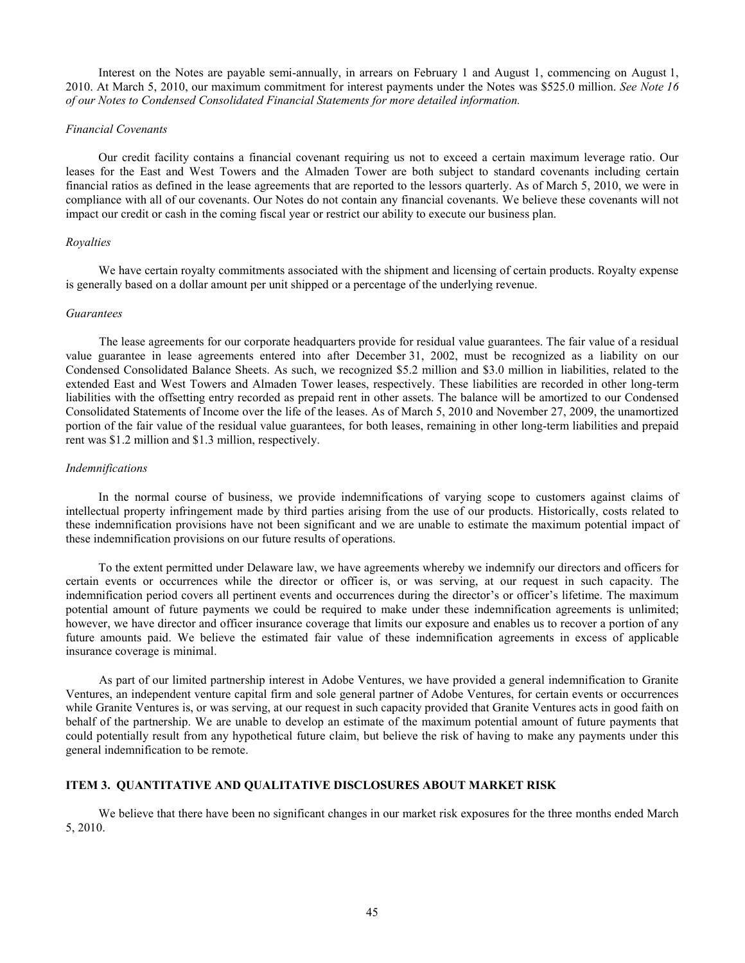<span id="page-44-0"></span>Interest on the Notes are payable semi-annually, in arrears on February 1 and August 1, commencing on August 1, 2010. At March 5, 2010, our maximum commitment for interest payments under the Notes was \$525.0 million. *[See Note](#page-27-0) 16 [of our Notes to Condensed Consolidated Financial Statements for more detailed information.](#page-27-0)*

#### *Financial Covenants*

Our credit facility contains a financial covenant requiring us not to exceed a certain maximum leverage ratio. Our leases for the East and West Towers and the Almaden Tower are both subject to standard covenants including certain financial ratios as defined in the lease agreements that are reported to the lessors quarterly. As of March 5, 2010, we were in compliance with all of our covenants. Our Notes do not contain any financial covenants. We believe these covenants will not impact our credit or cash in the coming fiscal year or restrict our ability to execute our business plan.

# *Royalties*

We have certain royalty commitments associated with the shipment and licensing of certain products. Royalty expense is generally based on a dollar amount per unit shipped or a percentage of the underlying revenue.

#### *Guarantees*

The lease agreements for our corporate headquarters provide for residual value guarantees. The fair value of a residual value guarantee in lease agreements entered into after December 31, 2002, must be recognized as a liability on our Condensed Consolidated Balance Sheets. As such, we recognized \$5.2 million and \$3.0 million in liabilities, related to the extended East and West Towers and Almaden Tower leases, respectively. These liabilities are recorded in other long-term liabilities with the offsetting entry recorded as prepaid rent in other assets. The balance will be amortized to our Condensed Consolidated Statements of Income over the life of the leases. As of March 5, 2010 and November 27, 2009, the unamortized portion of the fair value of the residual value guarantees, for both leases, remaining in other long-term liabilities and prepaid rent was \$1.2 million and \$1.3 million, respectively.

### *Indemnifications*

In the normal course of business, we provide indemnifications of varying scope to customers against claims of intellectual property infringement made by third parties arising from the use of our products. Historically, costs related to these indemnification provisions have not been significant and we are unable to estimate the maximum potential impact of these indemnification provisions on our future results of operations.

To the extent permitted under Delaware law, we have agreements whereby we indemnify our directors and officers for certain events or occurrences while the director or officer is, or was serving, at our request in such capacity. The indemnification period covers all pertinent events and occurrences during the director's or officer's lifetime. The maximum potential amount of future payments we could be required to make under these indemnification agreements is unlimited; however, we have director and officer insurance coverage that limits our exposure and enables us to recover a portion of any future amounts paid. We believe the estimated fair value of these indemnification agreements in excess of applicable insurance coverage is minimal.

As part of our limited partnership interest in Adobe Ventures, we have provided a general indemnification to Granite Ventures, an independent venture capital firm and sole general partner of Adobe Ventures, for certain events or occurrences while Granite Ventures is, or was serving, at our request in such capacity provided that Granite Ventures acts in good faith on behalf of the partnership. We are unable to develop an estimate of the maximum potential amount of future payments that could potentially result from any hypothetical future claim, but believe the risk of having to make any payments under this general indemnification to be remote.

# **ITEM 3. QUANTITATIVE AND QUALITATIVE DISCLOSURES ABOUT MARKET RISK**

We believe that there have been no significant changes in our market risk exposures for the three months ended March 5, 2010.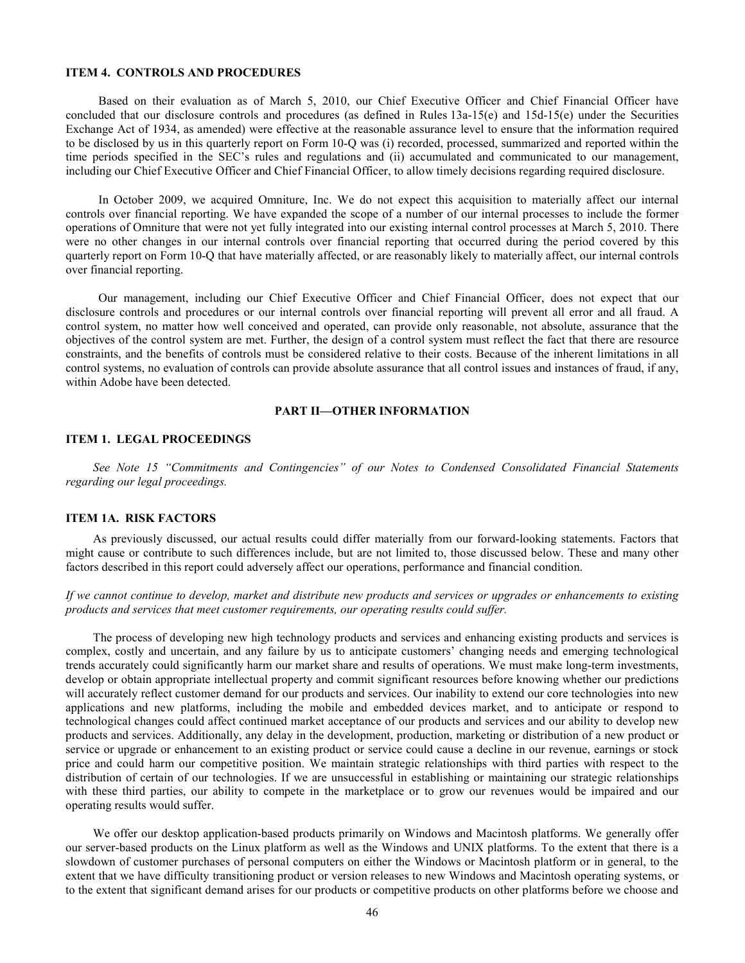# <span id="page-45-0"></span>**ITEM 4. CONTROLS AND PROCEDURES**

Based on their evaluation as of March 5, 2010, our Chief Executive Officer and Chief Financial Officer have concluded that our disclosure controls and procedures (as defined in Rules 13a-15(e) and 15d-15(e) under the Securities Exchange Act of 1934, as amended) were effective at the reasonable assurance level to ensure that the information required to be disclosed by us in this quarterly report on Form 10-Q was (i) recorded, processed, summarized and reported within the time periods specified in the SEC's rules and regulations and (ii) accumulated and communicated to our management, including our Chief Executive Officer and Chief Financial Officer, to allow timely decisions regarding required disclosure.

In October 2009, we acquired Omniture, Inc. We do not expect this acquisition to materially affect our internal controls over financial reporting. We have expanded the scope of a number of our internal processes to include the former operations of Omniture that were not yet fully integrated into our existing internal control processes at March 5, 2010. There were no other changes in our internal controls over financial reporting that occurred during the period covered by this quarterly report on Form 10-Q that have materially affected, or are reasonably likely to materially affect, our internal controls over financial reporting.

Our management, including our Chief Executive Officer and Chief Financial Officer, does not expect that our disclosure controls and procedures or our internal controls over financial reporting will prevent all error and all fraud. A control system, no matter how well conceived and operated, can provide only reasonable, not absolute, assurance that the objectives of the control system are met. Further, the design of a control system must reflect the fact that there are resource constraints, and the benefits of controls must be considered relative to their costs. Because of the inherent limitations in all control systems, no evaluation of controls can provide absolute assurance that all control issues and instances of fraud, if any, within Adobe have been detected.

# **PART II—OTHER INFORMATION**

#### **ITEM 1. LEGAL PROCEEDINGS**

*See Note 15 "Commitments and Contingencies" [of our Notes to Condensed Consolidated Financial Statements](#page-25-0)  regarding our legal proceedings.*

# **ITEM 1A. RISK FACTORS**

As previously discussed, our actual results could differ materially from our forward-looking statements. Factors that might cause or contribute to such differences include, but are not limited to, those discussed below. These and many other factors described in this report could adversely affect our operations, performance and financial condition.

*If we cannot continue to develop, market and distribute new products and services or upgrades or enhancements to existing products and services that meet customer requirements, our operating results could suffer.*

The process of developing new high technology products and services and enhancing existing products and services is complex, costly and uncertain, and any failure by us to anticipate customers' changing needs and emerging technological trends accurately could significantly harm our market share and results of operations. We must make long-term investments, develop or obtain appropriate intellectual property and commit significant resources before knowing whether our predictions will accurately reflect customer demand for our products and services. Our inability to extend our core technologies into new applications and new platforms, including the mobile and embedded devices market, and to anticipate or respond to technological changes could affect continued market acceptance of our products and services and our ability to develop new products and services. Additionally, any delay in the development, production, marketing or distribution of a new product or service or upgrade or enhancement to an existing product or service could cause a decline in our revenue, earnings or stock price and could harm our competitive position. We maintain strategic relationships with third parties with respect to the distribution of certain of our technologies. If we are unsuccessful in establishing or maintaining our strategic relationships with these third parties, our ability to compete in the marketplace or to grow our revenues would be impaired and our operating results would suffer.

We offer our desktop application-based products primarily on Windows and Macintosh platforms. We generally offer our server-based products on the Linux platform as well as the Windows and UNIX platforms. To the extent that there is a slowdown of customer purchases of personal computers on either the Windows or Macintosh platform or in general, to the extent that we have difficulty transitioning product or version releases to new Windows and Macintosh operating systems, or to the extent that significant demand arises for our products or competitive products on other platforms before we choose and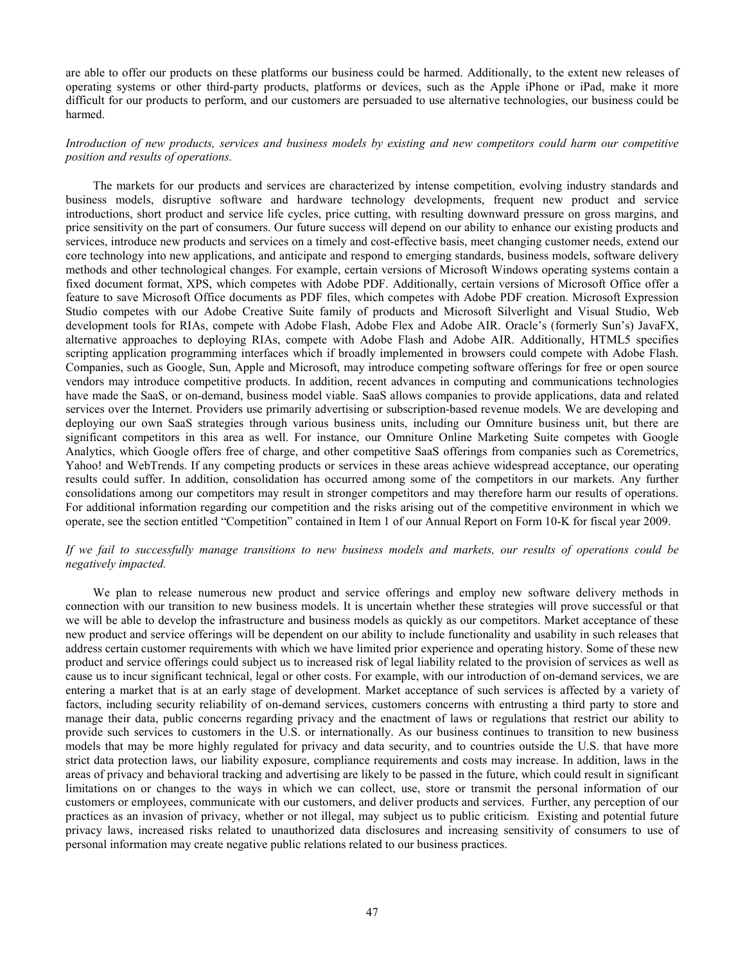are able to offer our products on these platforms our business could be harmed. Additionally, to the extent new releases of operating systems or other third-party products, platforms or devices, such as the Apple iPhone or iPad, make it more difficult for our products to perform, and our customers are persuaded to use alternative technologies, our business could be harmed.

*Introduction of new products, services and business models by existing and new competitors could harm our competitive position and results of operations.*

The markets for our products and services are characterized by intense competition, evolving industry standards and business models, disruptive software and hardware technology developments, frequent new product and service introductions, short product and service life cycles, price cutting, with resulting downward pressure on gross margins, and price sensitivity on the part of consumers. Our future success will depend on our ability to enhance our existing products and services, introduce new products and services on a timely and cost-effective basis, meet changing customer needs, extend our core technology into new applications, and anticipate and respond to emerging standards, business models, software delivery methods and other technological changes. For example, certain versions of Microsoft Windows operating systems contain a fixed document format, XPS, which competes with Adobe PDF. Additionally, certain versions of Microsoft Office offer a feature to save Microsoft Office documents as PDF files, which competes with Adobe PDF creation. Microsoft Expression Studio competes with our Adobe Creative Suite family of products and Microsoft Silverlight and Visual Studio, Web development tools for RIAs, compete with Adobe Flash, Adobe Flex and Adobe AIR. Oracle's (formerly Sun's) JavaFX, alternative approaches to deploying RIAs, compete with Adobe Flash and Adobe AIR. Additionally, HTML5 specifies scripting application programming interfaces which if broadly implemented in browsers could compete with Adobe Flash. Companies, such as Google, Sun, Apple and Microsoft, may introduce competing software offerings for free or open source vendors may introduce competitive products. In addition, recent advances in computing and communications technologies have made the SaaS, or on-demand, business model viable. SaaS allows companies to provide applications, data and related services over the Internet. Providers use primarily advertising or subscription-based revenue models. We are developing and deploying our own SaaS strategies through various business units, including our Omniture business unit, but there are significant competitors in this area as well. For instance, our Omniture Online Marketing Suite competes with Google Analytics, which Google offers free of charge, and other competitive SaaS offerings from companies such as Coremetrics, Yahoo! and WebTrends. If any competing products or services in these areas achieve widespread acceptance, our operating results could suffer. In addition, consolidation has occurred among some of the competitors in our markets. Any further consolidations among our competitors may result in stronger competitors and may therefore harm our results of operations. For additional information regarding our competition and the risks arising out of the competitive environment in which we operate, see the section entitled "Competition" contained in Item 1 of our Annual Report on Form 10-K for fiscal year 2009.

# *If we fail to successfully manage transitions to new business models and markets, our results of operations could be negatively impacted.*

We plan to release numerous new product and service offerings and employ new software delivery methods in connection with our transition to new business models. It is uncertain whether these strategies will prove successful or that we will be able to develop the infrastructure and business models as quickly as our competitors. Market acceptance of these new product and service offerings will be dependent on our ability to include functionality and usability in such releases that address certain customer requirements with which we have limited prior experience and operating history. Some of these new product and service offerings could subject us to increased risk of legal liability related to the provision of services as well as cause us to incur significant technical, legal or other costs. For example, with our introduction of on-demand services, we are entering a market that is at an early stage of development. Market acceptance of such services is affected by a variety of factors, including security reliability of on-demand services, customers concerns with entrusting a third party to store and manage their data, public concerns regarding privacy and the enactment of laws or regulations that restrict our ability to provide such services to customers in the U.S. or internationally. As our business continues to transition to new business models that may be more highly regulated for privacy and data security, and to countries outside the U.S. that have more strict data protection laws, our liability exposure, compliance requirements and costs may increase. In addition, laws in the areas of privacy and behavioral tracking and advertising are likely to be passed in the future, which could result in significant limitations on or changes to the ways in which we can collect, use, store or transmit the personal information of our customers or employees, communicate with our customers, and deliver products and services. Further, any perception of our practices as an invasion of privacy, whether or not illegal, may subject us to public criticism. Existing and potential future privacy laws, increased risks related to unauthorized data disclosures and increasing sensitivity of consumers to use of personal information may create negative public relations related to our business practices.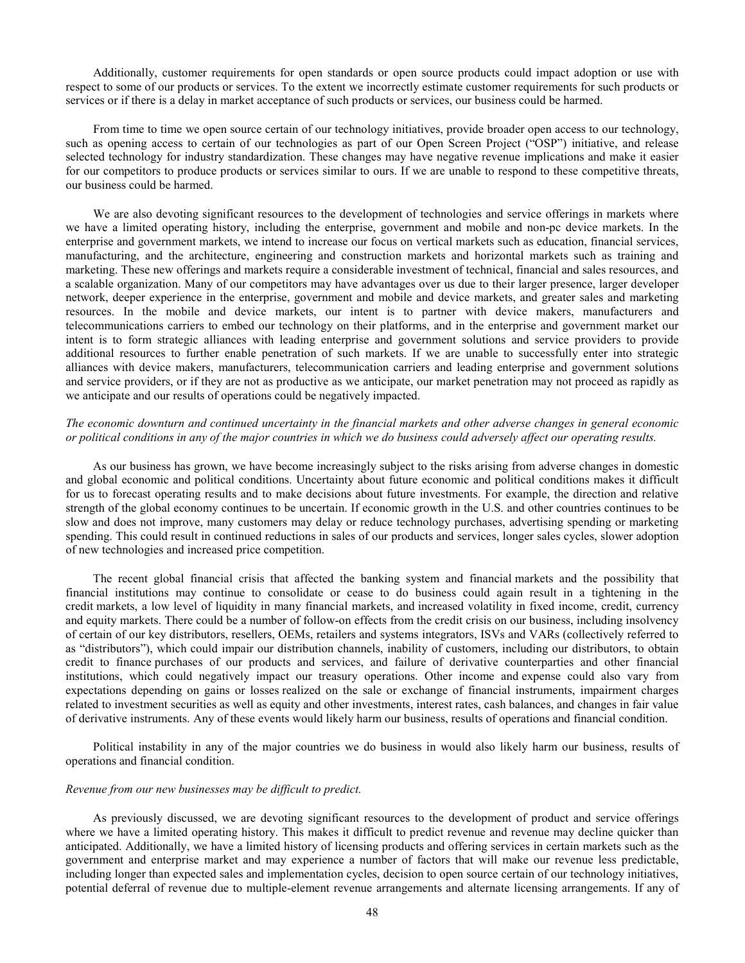Additionally, customer requirements for open standards or open source products could impact adoption or use with respect to some of our products or services. To the extent we incorrectly estimate customer requirements for such products or services or if there is a delay in market acceptance of such products or services, our business could be harmed.

 From time to time we open source certain of our technology initiatives, provide broader open access to our technology, such as opening access to certain of our technologies as part of our Open Screen Project ("OSP") initiative, and release selected technology for industry standardization. These changes may have negative revenue implications and make it easier for our competitors to produce products or services similar to ours. If we are unable to respond to these competitive threats, our business could be harmed.

We are also devoting significant resources to the development of technologies and service offerings in markets where we have a limited operating history, including the enterprise, government and mobile and non-pc device markets. In the enterprise and government markets, we intend to increase our focus on vertical markets such as education, financial services, manufacturing, and the architecture, engineering and construction markets and horizontal markets such as training and marketing. These new offerings and markets require a considerable investment of technical, financial and sales resources, and a scalable organization. Many of our competitors may have advantages over us due to their larger presence, larger developer network, deeper experience in the enterprise, government and mobile and device markets, and greater sales and marketing resources. In the mobile and device markets, our intent is to partner with device makers, manufacturers and telecommunications carriers to embed our technology on their platforms, and in the enterprise and government market our intent is to form strategic alliances with leading enterprise and government solutions and service providers to provide additional resources to further enable penetration of such markets. If we are unable to successfully enter into strategic alliances with device makers, manufacturers, telecommunication carriers and leading enterprise and government solutions and service providers, or if they are not as productive as we anticipate, our market penetration may not proceed as rapidly as we anticipate and our results of operations could be negatively impacted.

# *The economic downturn and continued uncertainty in the financial markets and other adverse changes in general economic or political conditions in any of the major countries in which we do business could adversely affect our operating results.*

As our business has grown, we have become increasingly subject to the risks arising from adverse changes in domestic and global economic and political conditions. Uncertainty about future economic and political conditions makes it difficult for us to forecast operating results and to make decisions about future investments. For example, the direction and relative strength of the global economy continues to be uncertain. If economic growth in the U.S. and other countries continues to be slow and does not improve, many customers may delay or reduce technology purchases, advertising spending or marketing spending. This could result in continued reductions in sales of our products and services, longer sales cycles, slower adoption of new technologies and increased price competition.

The recent global financial crisis that affected the banking system and financial markets and the possibility that financial institutions may continue to consolidate or cease to do business could again result in a tightening in the credit markets, a low level of liquidity in many financial markets, and increased volatility in fixed income, credit, currency and equity markets. There could be a number of follow-on effects from the credit crisis on our business, including insolvency of certain of our key distributors, resellers, OEMs, retailers and systems integrators, ISVs and VARs (collectively referred to as "distributors"), which could impair our distribution channels, inability of customers, including our distributors, to obtain credit to finance purchases of our products and services, and failure of derivative counterparties and other financial institutions, which could negatively impact our treasury operations. Other income and expense could also vary from expectations depending on gains or losses realized on the sale or exchange of financial instruments, impairment charges related to investment securities as well as equity and other investments, interest rates, cash balances, and changes in fair value of derivative instruments. Any of these events would likely harm our business, results of operations and financial condition.

Political instability in any of the major countries we do business in would also likely harm our business, results of operations and financial condition.

# *Revenue from our new businesses may be difficult to predict.*

As previously discussed, we are devoting significant resources to the development of product and service offerings where we have a limited operating history. This makes it difficult to predict revenue and revenue may decline quicker than anticipated. Additionally, we have a limited history of licensing products and offering services in certain markets such as the government and enterprise market and may experience a number of factors that will make our revenue less predictable, including longer than expected sales and implementation cycles, decision to open source certain of our technology initiatives, potential deferral of revenue due to multiple-element revenue arrangements and alternate licensing arrangements. If any of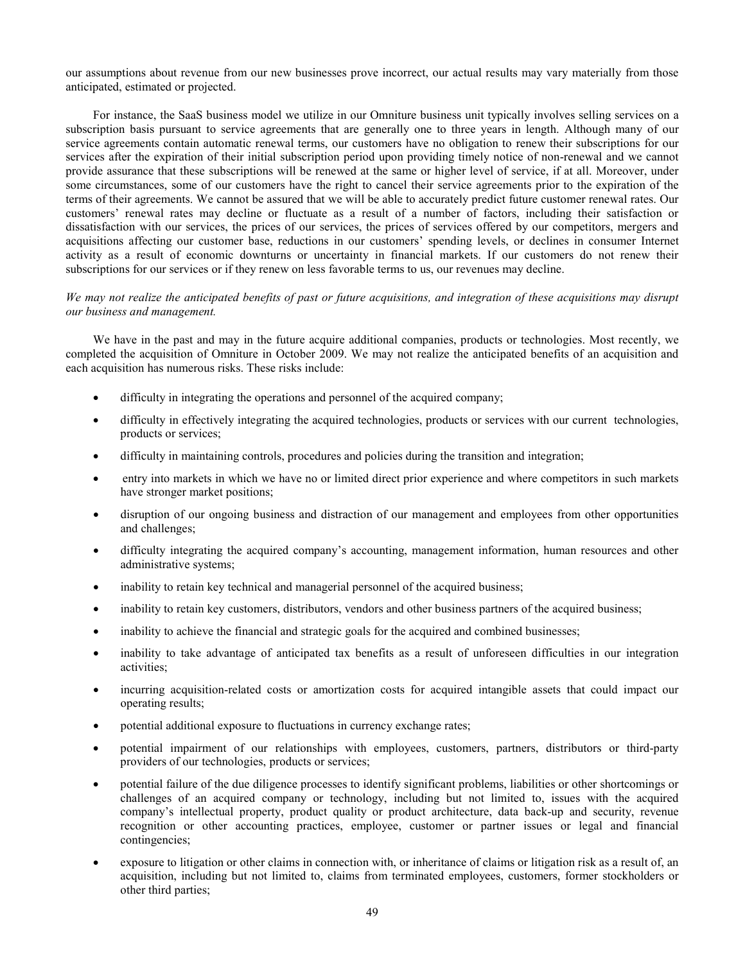our assumptions about revenue from our new businesses prove incorrect, our actual results may vary materially from those anticipated, estimated or projected.

For instance, the SaaS business model we utilize in our Omniture business unit typically involves selling services on a subscription basis pursuant to service agreements that are generally one to three years in length. Although many of our service agreements contain automatic renewal terms, our customers have no obligation to renew their subscriptions for our services after the expiration of their initial subscription period upon providing timely notice of non-renewal and we cannot provide assurance that these subscriptions will be renewed at the same or higher level of service, if at all. Moreover, under some circumstances, some of our customers have the right to cancel their service agreements prior to the expiration of the terms of their agreements. We cannot be assured that we will be able to accurately predict future customer renewal rates. Our customers' renewal rates may decline or fluctuate as a result of a number of factors, including their satisfaction or dissatisfaction with our services, the prices of our services, the prices of services offered by our competitors, mergers and acquisitions affecting our customer base, reductions in our customers' spending levels, or declines in consumer Internet activity as a result of economic downturns or uncertainty in financial markets. If our customers do not renew their subscriptions for our services or if they renew on less favorable terms to us, our revenues may decline.

# *We may not realize the anticipated benefits of past or future acquisitions, and integration of these acquisitions may disrupt our business and management.*

We have in the past and may in the future acquire additional companies, products or technologies. Most recently, we completed the acquisition of Omniture in October 2009. We may not realize the anticipated benefits of an acquisition and each acquisition has numerous risks. These risks include:

- difficulty in integrating the operations and personnel of the acquired company;
- difficulty in effectively integrating the acquired technologies, products or services with our current technologies, products or services;
- difficulty in maintaining controls, procedures and policies during the transition and integration;
- entry into markets in which we have no or limited direct prior experience and where competitors in such markets have stronger market positions;
- disruption of our ongoing business and distraction of our management and employees from other opportunities and challenges;
- difficulty integrating the acquired company's accounting, management information, human resources and other administrative systems;
- inability to retain key technical and managerial personnel of the acquired business;
- inability to retain key customers, distributors, vendors and other business partners of the acquired business;
- inability to achieve the financial and strategic goals for the acquired and combined businesses;
- inability to take advantage of anticipated tax benefits as a result of unforeseen difficulties in our integration activities;
- incurring acquisition-related costs or amortization costs for acquired intangible assets that could impact our operating results;
- potential additional exposure to fluctuations in currency exchange rates;
- potential impairment of our relationships with employees, customers, partners, distributors or third-party providers of our technologies, products or services;
- potential failure of the due diligence processes to identify significant problems, liabilities or other shortcomings or challenges of an acquired company or technology, including but not limited to, issues with the acquired company's intellectual property, product quality or product architecture, data back-up and security, revenue recognition or other accounting practices, employee, customer or partner issues or legal and financial contingencies;
- exposure to litigation or other claims in connection with, or inheritance of claims or litigation risk as a result of, an acquisition, including but not limited to, claims from terminated employees, customers, former stockholders or other third parties;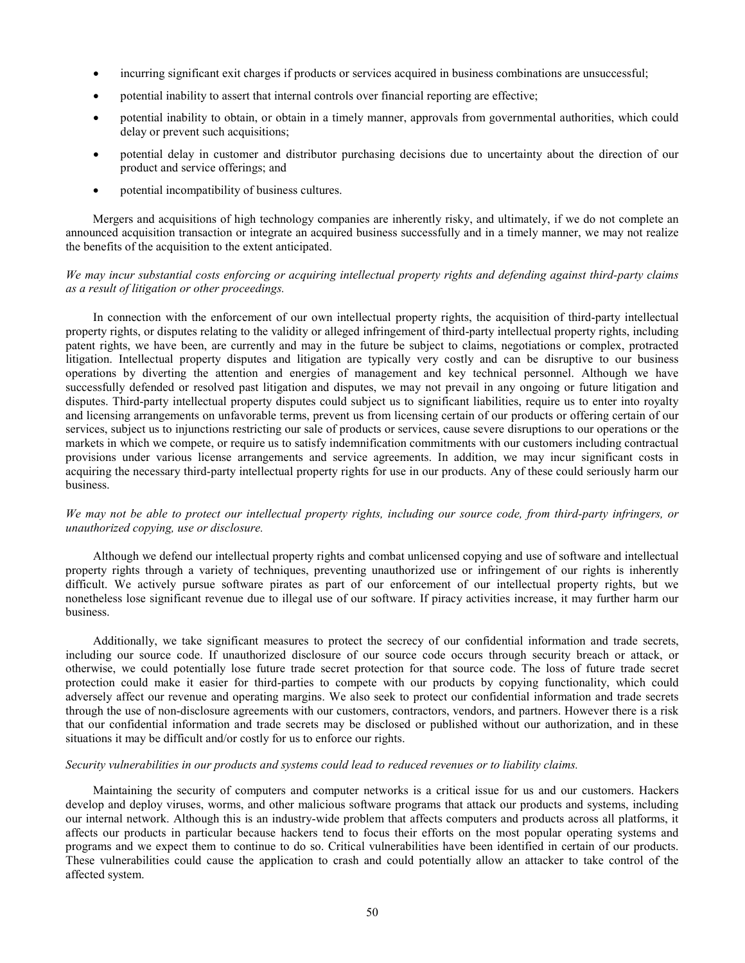- incurring significant exit charges if products or services acquired in business combinations are unsuccessful;
- potential inability to assert that internal controls over financial reporting are effective;
- potential inability to obtain, or obtain in a timely manner, approvals from governmental authorities, which could delay or prevent such acquisitions;
- potential delay in customer and distributor purchasing decisions due to uncertainty about the direction of our product and service offerings; and
- potential incompatibility of business cultures.

Mergers and acquisitions of high technology companies are inherently risky, and ultimately, if we do not complete an announced acquisition transaction or integrate an acquired business successfully and in a timely manner, we may not realize the benefits of the acquisition to the extent anticipated.

# *We may incur substantial costs enforcing or acquiring intellectual property rights and defending against third-party claims as a result of litigation or other proceedings.*

In connection with the enforcement of our own intellectual property rights, the acquisition of third-party intellectual property rights, or disputes relating to the validity or alleged infringement of third-party intellectual property rights, including patent rights, we have been, are currently and may in the future be subject to claims, negotiations or complex, protracted litigation. Intellectual property disputes and litigation are typically very costly and can be disruptive to our business operations by diverting the attention and energies of management and key technical personnel. Although we have successfully defended or resolved past litigation and disputes, we may not prevail in any ongoing or future litigation and disputes. Third-party intellectual property disputes could subject us to significant liabilities, require us to enter into royalty and licensing arrangements on unfavorable terms, prevent us from licensing certain of our products or offering certain of our services, subject us to injunctions restricting our sale of products or services, cause severe disruptions to our operations or the markets in which we compete, or require us to satisfy indemnification commitments with our customers including contractual provisions under various license arrangements and service agreements. In addition, we may incur significant costs in acquiring the necessary third-party intellectual property rights for use in our products. Any of these could seriously harm our business.

# *We may not be able to protect our intellectual property rights, including our source code, from third-party infringers, or unauthorized copying, use or disclosure.*

Although we defend our intellectual property rights and combat unlicensed copying and use of software and intellectual property rights through a variety of techniques, preventing unauthorized use or infringement of our rights is inherently difficult. We actively pursue software pirates as part of our enforcement of our intellectual property rights, but we nonetheless lose significant revenue due to illegal use of our software. If piracy activities increase, it may further harm our business.

Additionally, we take significant measures to protect the secrecy of our confidential information and trade secrets, including our source code. If unauthorized disclosure of our source code occurs through security breach or attack, or otherwise, we could potentially lose future trade secret protection for that source code. The loss of future trade secret protection could make it easier for third-parties to compete with our products by copying functionality, which could adversely affect our revenue and operating margins. We also seek to protect our confidential information and trade secrets through the use of non-disclosure agreements with our customers, contractors, vendors, and partners. However there is a risk that our confidential information and trade secrets may be disclosed or published without our authorization, and in these situations it may be difficult and/or costly for us to enforce our rights.

# *Security vulnerabilities in our products and systems could lead to reduced revenues or to liability claims.*

Maintaining the security of computers and computer networks is a critical issue for us and our customers. Hackers develop and deploy viruses, worms, and other malicious software programs that attack our products and systems, including our internal network. Although this is an industry-wide problem that affects computers and products across all platforms, it affects our products in particular because hackers tend to focus their efforts on the most popular operating systems and programs and we expect them to continue to do so. Critical vulnerabilities have been identified in certain of our products. These vulnerabilities could cause the application to crash and could potentially allow an attacker to take control of the affected system.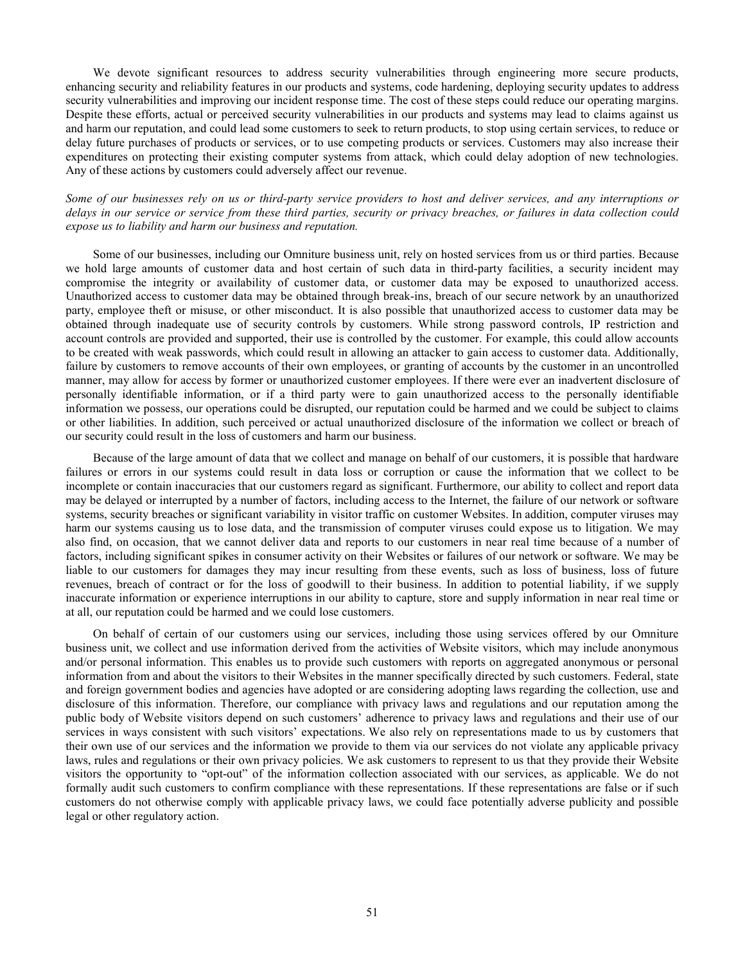We devote significant resources to address security vulnerabilities through engineering more secure products, enhancing security and reliability features in our products and systems, code hardening, deploying security updates to address security vulnerabilities and improving our incident response time. The cost of these steps could reduce our operating margins. Despite these efforts, actual or perceived security vulnerabilities in our products and systems may lead to claims against us and harm our reputation, and could lead some customers to seek to return products, to stop using certain services, to reduce or delay future purchases of products or services, or to use competing products or services. Customers may also increase their expenditures on protecting their existing computer systems from attack, which could delay adoption of new technologies. Any of these actions by customers could adversely affect our revenue.

*Some of our businesses rely on us or third-party service providers to host and deliver services, and any interruptions or delays in our service or service from these third parties, security or privacy breaches, or failures in data collection could expose us to liability and harm our business and reputation.*

Some of our businesses, including our Omniture business unit, rely on hosted services from us or third parties. Because we hold large amounts of customer data and host certain of such data in third-party facilities, a security incident may compromise the integrity or availability of customer data, or customer data may be exposed to unauthorized access. Unauthorized access to customer data may be obtained through break-ins, breach of our secure network by an unauthorized party, employee theft or misuse, or other misconduct. It is also possible that unauthorized access to customer data may be obtained through inadequate use of security controls by customers. While strong password controls, IP restriction and account controls are provided and supported, their use is controlled by the customer. For example, this could allow accounts to be created with weak passwords, which could result in allowing an attacker to gain access to customer data. Additionally, failure by customers to remove accounts of their own employees, or granting of accounts by the customer in an uncontrolled manner, may allow for access by former or unauthorized customer employees. If there were ever an inadvertent disclosure of personally identifiable information, or if a third party were to gain unauthorized access to the personally identifiable information we possess, our operations could be disrupted, our reputation could be harmed and we could be subject to claims or other liabilities. In addition, such perceived or actual unauthorized disclosure of the information we collect or breach of our security could result in the loss of customers and harm our business.

Because of the large amount of data that we collect and manage on behalf of our customers, it is possible that hardware failures or errors in our systems could result in data loss or corruption or cause the information that we collect to be incomplete or contain inaccuracies that our customers regard as significant. Furthermore, our ability to collect and report data may be delayed or interrupted by a number of factors, including access to the Internet, the failure of our network or software systems, security breaches or significant variability in visitor traffic on customer Websites. In addition, computer viruses may harm our systems causing us to lose data, and the transmission of computer viruses could expose us to litigation. We may also find, on occasion, that we cannot deliver data and reports to our customers in near real time because of a number of factors, including significant spikes in consumer activity on their Websites or failures of our network or software. We may be liable to our customers for damages they may incur resulting from these events, such as loss of business, loss of future revenues, breach of contract or for the loss of goodwill to their business. In addition to potential liability, if we supply inaccurate information or experience interruptions in our ability to capture, store and supply information in near real time or at all, our reputation could be harmed and we could lose customers.

On behalf of certain of our customers using our services, including those using services offered by our Omniture business unit, we collect and use information derived from the activities of Website visitors, which may include anonymous and/or personal information. This enables us to provide such customers with reports on aggregated anonymous or personal information from and about the visitors to their Websites in the manner specifically directed by such customers. Federal, state and foreign government bodies and agencies have adopted or are considering adopting laws regarding the collection, use and disclosure of this information. Therefore, our compliance with privacy laws and regulations and our reputation among the public body of Website visitors depend on such customers' adherence to privacy laws and regulations and their use of our services in ways consistent with such visitors' expectations. We also rely on representations made to us by customers that their own use of our services and the information we provide to them via our services do not violate any applicable privacy laws, rules and regulations or their own privacy policies. We ask customers to represent to us that they provide their Website visitors the opportunity to "opt-out" of the information collection associated with our services, as applicable. We do not formally audit such customers to confirm compliance with these representations. If these representations are false or if such customers do not otherwise comply with applicable privacy laws, we could face potentially adverse publicity and possible legal or other regulatory action.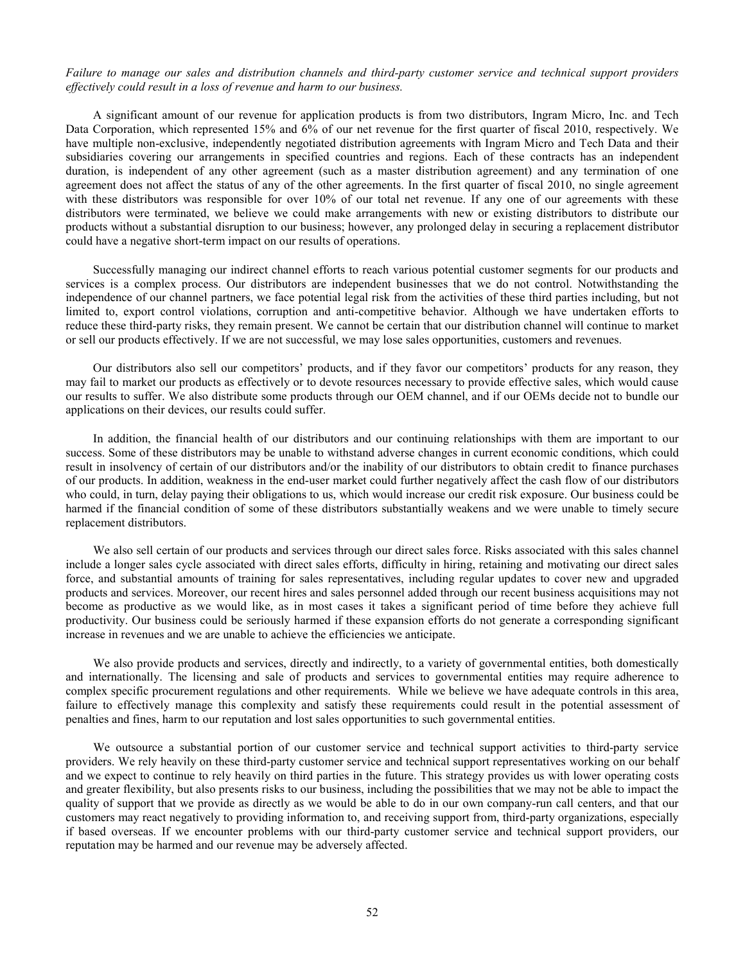# *Failure to manage our sales and distribution channels and third-party customer service and technical support providers effectively could result in a loss of revenue and harm to our business.*

A significant amount of our revenue for application products is from two distributors, Ingram Micro, Inc. and Tech Data Corporation, which represented 15% and 6% of our net revenue for the first quarter of fiscal 2010, respectively. We have multiple non-exclusive, independently negotiated distribution agreements with Ingram Micro and Tech Data and their subsidiaries covering our arrangements in specified countries and regions. Each of these contracts has an independent duration, is independent of any other agreement (such as a master distribution agreement) and any termination of one agreement does not affect the status of any of the other agreements. In the first quarter of fiscal 2010, no single agreement with these distributors was responsible for over 10% of our total net revenue. If any one of our agreements with these distributors were terminated, we believe we could make arrangements with new or existing distributors to distribute our products without a substantial disruption to our business; however, any prolonged delay in securing a replacement distributor could have a negative short-term impact on our results of operations.

Successfully managing our indirect channel efforts to reach various potential customer segments for our products and services is a complex process. Our distributors are independent businesses that we do not control. Notwithstanding the independence of our channel partners, we face potential legal risk from the activities of these third parties including, but not limited to, export control violations, corruption and anti-competitive behavior. Although we have undertaken efforts to reduce these third-party risks, they remain present. We cannot be certain that our distribution channel will continue to market or sell our products effectively. If we are not successful, we may lose sales opportunities, customers and revenues.

Our distributors also sell our competitors' products, and if they favor our competitors' products for any reason, they may fail to market our products as effectively or to devote resources necessary to provide effective sales, which would cause our results to suffer. We also distribute some products through our OEM channel, and if our OEMs decide not to bundle our applications on their devices, our results could suffer.

In addition, the financial health of our distributors and our continuing relationships with them are important to our success. Some of these distributors may be unable to withstand adverse changes in current economic conditions, which could result in insolvency of certain of our distributors and/or the inability of our distributors to obtain credit to finance purchases of our products. In addition, weakness in the end-user market could further negatively affect the cash flow of our distributors who could, in turn, delay paying their obligations to us, which would increase our credit risk exposure. Our business could be harmed if the financial condition of some of these distributors substantially weakens and we were unable to timely secure replacement distributors.

We also sell certain of our products and services through our direct sales force. Risks associated with this sales channel include a longer sales cycle associated with direct sales efforts, difficulty in hiring, retaining and motivating our direct sales force, and substantial amounts of training for sales representatives, including regular updates to cover new and upgraded products and services. Moreover, our recent hires and sales personnel added through our recent business acquisitions may not become as productive as we would like, as in most cases it takes a significant period of time before they achieve full productivity. Our business could be seriously harmed if these expansion efforts do not generate a corresponding significant increase in revenues and we are unable to achieve the efficiencies we anticipate.

We also provide products and services, directly and indirectly, to a variety of governmental entities, both domestically and internationally. The licensing and sale of products and services to governmental entities may require adherence to complex specific procurement regulations and other requirements. While we believe we have adequate controls in this area, failure to effectively manage this complexity and satisfy these requirements could result in the potential assessment of penalties and fines, harm to our reputation and lost sales opportunities to such governmental entities.

We outsource a substantial portion of our customer service and technical support activities to third-party service providers. We rely heavily on these third-party customer service and technical support representatives working on our behalf and we expect to continue to rely heavily on third parties in the future. This strategy provides us with lower operating costs and greater flexibility, but also presents risks to our business, including the possibilities that we may not be able to impact the quality of support that we provide as directly as we would be able to do in our own company-run call centers, and that our customers may react negatively to providing information to, and receiving support from, third-party organizations, especially if based overseas. If we encounter problems with our third-party customer service and technical support providers, our reputation may be harmed and our revenue may be adversely affected.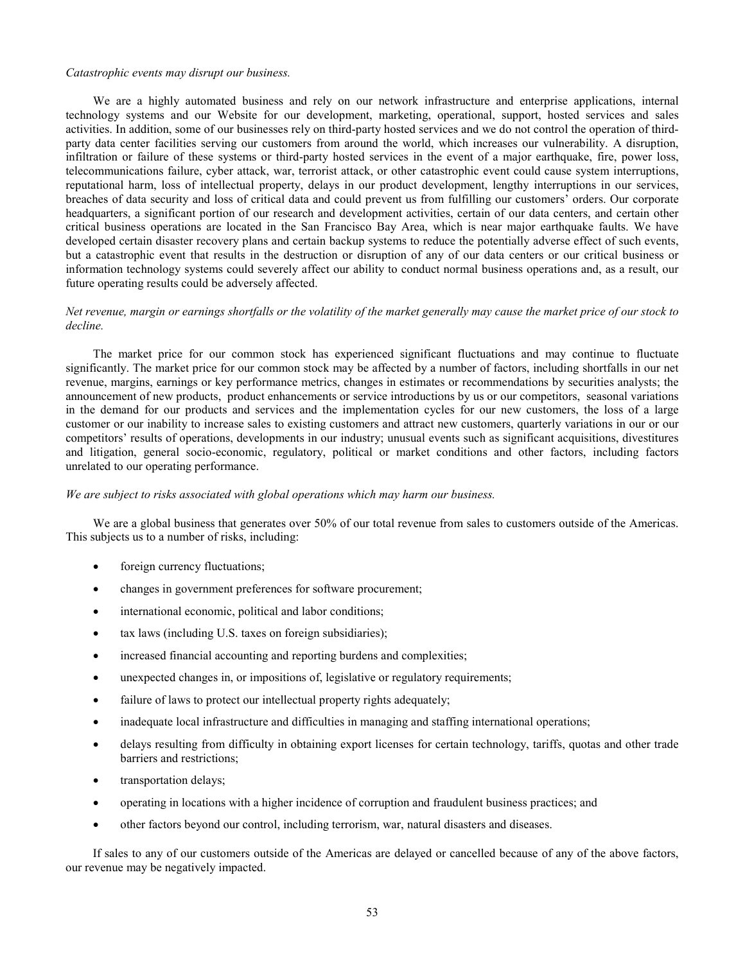#### *Catastrophic events may disrupt our business.*

We are a highly automated business and rely on our network infrastructure and enterprise applications, internal technology systems and our Website for our development, marketing, operational, support, hosted services and sales activities. In addition, some of our businesses rely on third-party hosted services and we do not control the operation of thirdparty data center facilities serving our customers from around the world, which increases our vulnerability. A disruption, infiltration or failure of these systems or third-party hosted services in the event of a major earthquake, fire, power loss, telecommunications failure, cyber attack, war, terrorist attack, or other catastrophic event could cause system interruptions, reputational harm, loss of intellectual property, delays in our product development, lengthy interruptions in our services, breaches of data security and loss of critical data and could prevent us from fulfilling our customers' orders. Our corporate headquarters, a significant portion of our research and development activities, certain of our data centers, and certain other critical business operations are located in the San Francisco Bay Area, which is near major earthquake faults. We have developed certain disaster recovery plans and certain backup systems to reduce the potentially adverse effect of such events, but a catastrophic event that results in the destruction or disruption of any of our data centers or our critical business or information technology systems could severely affect our ability to conduct normal business operations and, as a result, our future operating results could be adversely affected.

# *Net revenue, margin or earnings shortfalls or the volatility of the market generally may cause the market price of our stock to decline.*

The market price for our common stock has experienced significant fluctuations and may continue to fluctuate significantly. The market price for our common stock may be affected by a number of factors, including shortfalls in our net revenue, margins, earnings or key performance metrics, changes in estimates or recommendations by securities analysts; the announcement of new products, product enhancements or service introductions by us or our competitors, seasonal variations in the demand for our products and services and the implementation cycles for our new customers, the loss of a large customer or our inability to increase sales to existing customers and attract new customers, quarterly variations in our or our competitors' results of operations, developments in our industry; unusual events such as significant acquisitions, divestitures and litigation, general socio-economic, regulatory, political or market conditions and other factors, including factors unrelated to our operating performance.

### *We are subject to risks associated with global operations which may harm our business.*

We are a global business that generates over 50% of our total revenue from sales to customers outside of the Americas. This subjects us to a number of risks, including:

- foreign currency fluctuations;
- changes in government preferences for software procurement;
- international economic, political and labor conditions;
- tax laws (including U.S. taxes on foreign subsidiaries);
- increased financial accounting and reporting burdens and complexities;
- unexpected changes in, or impositions of, legislative or regulatory requirements;
- failure of laws to protect our intellectual property rights adequately;
- inadequate local infrastructure and difficulties in managing and staffing international operations;
- delays resulting from difficulty in obtaining export licenses for certain technology, tariffs, quotas and other trade barriers and restrictions;
- transportation delays;
- operating in locations with a higher incidence of corruption and fraudulent business practices; and
- other factors beyond our control, including terrorism, war, natural disasters and diseases.

If sales to any of our customers outside of the Americas are delayed or cancelled because of any of the above factors, our revenue may be negatively impacted.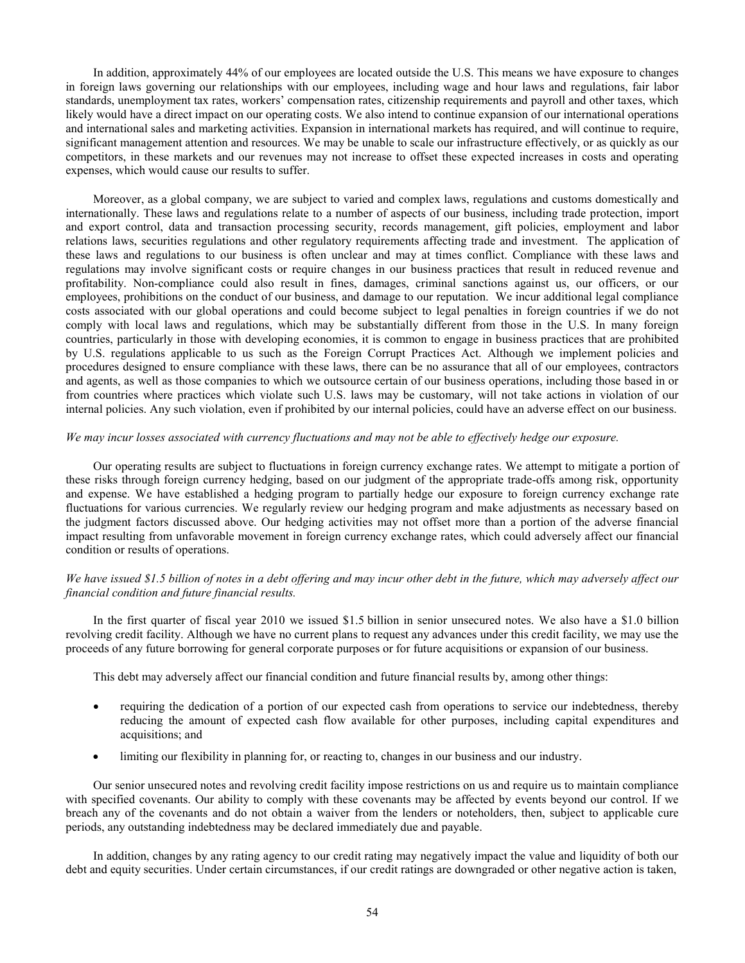In addition, approximately 44% of our employees are located outside the U.S. This means we have exposure to changes in foreign laws governing our relationships with our employees, including wage and hour laws and regulations, fair labor standards, unemployment tax rates, workers' compensation rates, citizenship requirements and payroll and other taxes, which likely would have a direct impact on our operating costs. We also intend to continue expansion of our international operations and international sales and marketing activities. Expansion in international markets has required, and will continue to require, significant management attention and resources. We may be unable to scale our infrastructure effectively, or as quickly as our competitors, in these markets and our revenues may not increase to offset these expected increases in costs and operating expenses, which would cause our results to suffer.

Moreover, as a global company, we are subject to varied and complex laws, regulations and customs domestically and internationally. These laws and regulations relate to a number of aspects of our business, including trade protection, import and export control, data and transaction processing security, records management, gift policies, employment and labor relations laws, securities regulations and other regulatory requirements affecting trade and investment. The application of these laws and regulations to our business is often unclear and may at times conflict. Compliance with these laws and regulations may involve significant costs or require changes in our business practices that result in reduced revenue and profitability. Non-compliance could also result in fines, damages, criminal sanctions against us, our officers, or our employees, prohibitions on the conduct of our business, and damage to our reputation. We incur additional legal compliance costs associated with our global operations and could become subject to legal penalties in foreign countries if we do not comply with local laws and regulations, which may be substantially different from those in the U.S. In many foreign countries, particularly in those with developing economies, it is common to engage in business practices that are prohibited by U.S. regulations applicable to us such as the Foreign Corrupt Practices Act. Although we implement policies and procedures designed to ensure compliance with these laws, there can be no assurance that all of our employees, contractors and agents, as well as those companies to which we outsource certain of our business operations, including those based in or from countries where practices which violate such U.S. laws may be customary, will not take actions in violation of our internal policies. Any such violation, even if prohibited by our internal policies, could have an adverse effect on our business.

# *We may incur losses associated with currency fluctuations and may not be able to effectively hedge our exposure.*

Our operating results are subject to fluctuations in foreign currency exchange rates. We attempt to mitigate a portion of these risks through foreign currency hedging, based on our judgment of the appropriate trade-offs among risk, opportunity and expense. We have established a hedging program to partially hedge our exposure to foreign currency exchange rate fluctuations for various currencies. We regularly review our hedging program and make adjustments as necessary based on the judgment factors discussed above. Our hedging activities may not offset more than a portion of the adverse financial impact resulting from unfavorable movement in foreign currency exchange rates, which could adversely affect our financial condition or results of operations.

# *We have issued \$1.5 billion of notes in a debt offering and may incur other debt in the future, which may adversely affect our financial condition and future financial results.*

In the first quarter of fiscal year 2010 we issued \$1.5 billion in senior unsecured notes. We also have a \$1.0 billion revolving credit facility. Although we have no current plans to request any advances under this credit facility, we may use the proceeds of any future borrowing for general corporate purposes or for future acquisitions or expansion of our business.

This debt may adversely affect our financial condition and future financial results by, among other things:

- requiring the dedication of a portion of our expected cash from operations to service our indebtedness, thereby reducing the amount of expected cash flow available for other purposes, including capital expenditures and acquisitions; and
- limiting our flexibility in planning for, or reacting to, changes in our business and our industry.

Our senior unsecured notes and revolving credit facility impose restrictions on us and require us to maintain compliance with specified covenants. Our ability to comply with these covenants may be affected by events beyond our control. If we breach any of the covenants and do not obtain a waiver from the lenders or noteholders, then, subject to applicable cure periods, any outstanding indebtedness may be declared immediately due and payable.

In addition, changes by any rating agency to our credit rating may negatively impact the value and liquidity of both our debt and equity securities. Under certain circumstances, if our credit ratings are downgraded or other negative action is taken,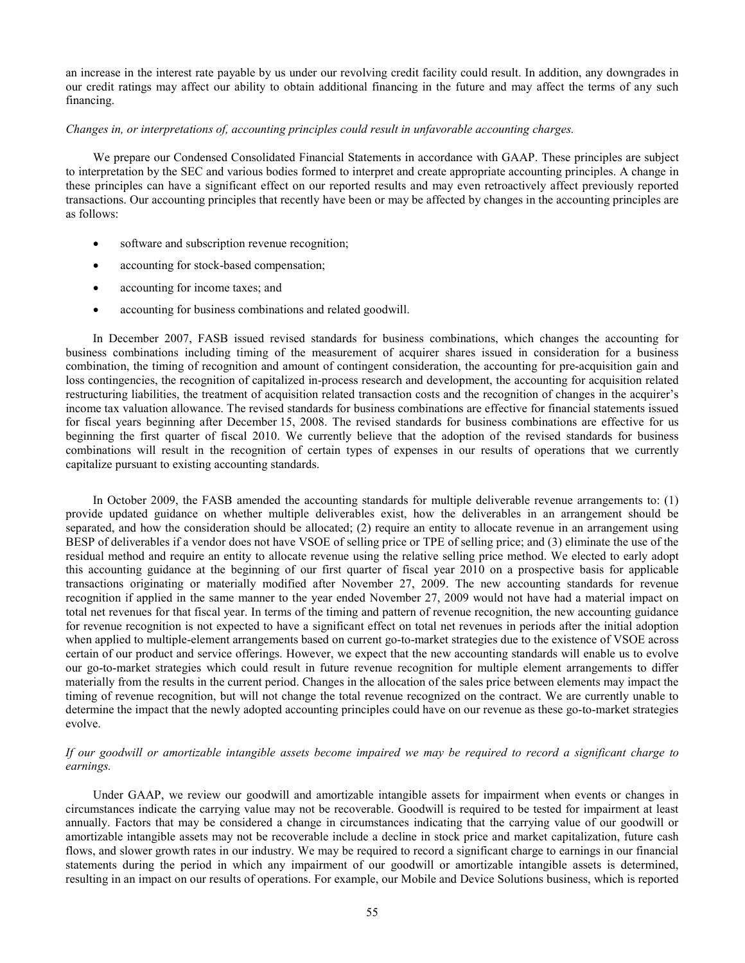an increase in the interest rate payable by us under our revolving credit facility could result. In addition, any downgrades in our credit ratings may affect our ability to obtain additional financing in the future and may affect the terms of any such financing.

# *Changes in, or interpretations of, accounting principles could result in unfavorable accounting charges.*

We prepare our Condensed Consolidated Financial Statements in accordance with GAAP. These principles are subject to interpretation by the SEC and various bodies formed to interpret and create appropriate accounting principles. A change in these principles can have a significant effect on our reported results and may even retroactively affect previously reported transactions. Our accounting principles that recently have been or may be affected by changes in the accounting principles are as follows:

- software and subscription revenue recognition;
- accounting for stock-based compensation;
- accounting for income taxes; and
- accounting for business combinations and related goodwill.

In December 2007, FASB issued revised standards for business combinations, which changes the accounting for business combinations including timing of the measurement of acquirer shares issued in consideration for a business combination, the timing of recognition and amount of contingent consideration, the accounting for pre-acquisition gain and loss contingencies, the recognition of capitalized in-process research and development, the accounting for acquisition related restructuring liabilities, the treatment of acquisition related transaction costs and the recognition of changes in the acquirer's income tax valuation allowance. The revised standards for business combinations are effective for financial statements issued for fiscal years beginning after December 15, 2008. The revised standards for business combinations are effective for us beginning the first quarter of fiscal 2010. We currently believe that the adoption of the revised standards for business combinations will result in the recognition of certain types of expenses in our results of operations that we currently capitalize pursuant to existing accounting standards.

In October 2009, the FASB amended the accounting standards for multiple deliverable revenue arrangements to: (1) provide updated guidance on whether multiple deliverables exist, how the deliverables in an arrangement should be separated, and how the consideration should be allocated; (2) require an entity to allocate revenue in an arrangement using BESP of deliverables if a vendor does not have VSOE of selling price or TPE of selling price; and (3) eliminate the use of the residual method and require an entity to allocate revenue using the relative selling price method. We elected to early adopt this accounting guidance at the beginning of our first quarter of fiscal year 2010 on a prospective basis for applicable transactions originating or materially modified after November 27, 2009. The new accounting standards for revenue recognition if applied in the same manner to the year ended November 27, 2009 would not have had a material impact on total net revenues for that fiscal year. In terms of the timing and pattern of revenue recognition, the new accounting guidance for revenue recognition is not expected to have a significant effect on total net revenues in periods after the initial adoption when applied to multiple-element arrangements based on current go-to-market strategies due to the existence of VSOE across certain of our product and service offerings. However, we expect that the new accounting standards will enable us to evolve our go-to-market strategies which could result in future revenue recognition for multiple element arrangements to differ materially from the results in the current period. Changes in the allocation of the sales price between elements may impact the timing of revenue recognition, but will not change the total revenue recognized on the contract. We are currently unable to determine the impact that the newly adopted accounting principles could have on our revenue as these go-to-market strategies evolve.

# *If our goodwill or amortizable intangible assets become impaired we may be required to record a significant charge to earnings.*

Under GAAP, we review our goodwill and amortizable intangible assets for impairment when events or changes in circumstances indicate the carrying value may not be recoverable. Goodwill is required to be tested for impairment at least annually. Factors that may be considered a change in circumstances indicating that the carrying value of our goodwill or amortizable intangible assets may not be recoverable include a decline in stock price and market capitalization, future cash flows, and slower growth rates in our industry. We may be required to record a significant charge to earnings in our financial statements during the period in which any impairment of our goodwill or amortizable intangible assets is determined, resulting in an impact on our results of operations. For example, our Mobile and Device Solutions business, which is reported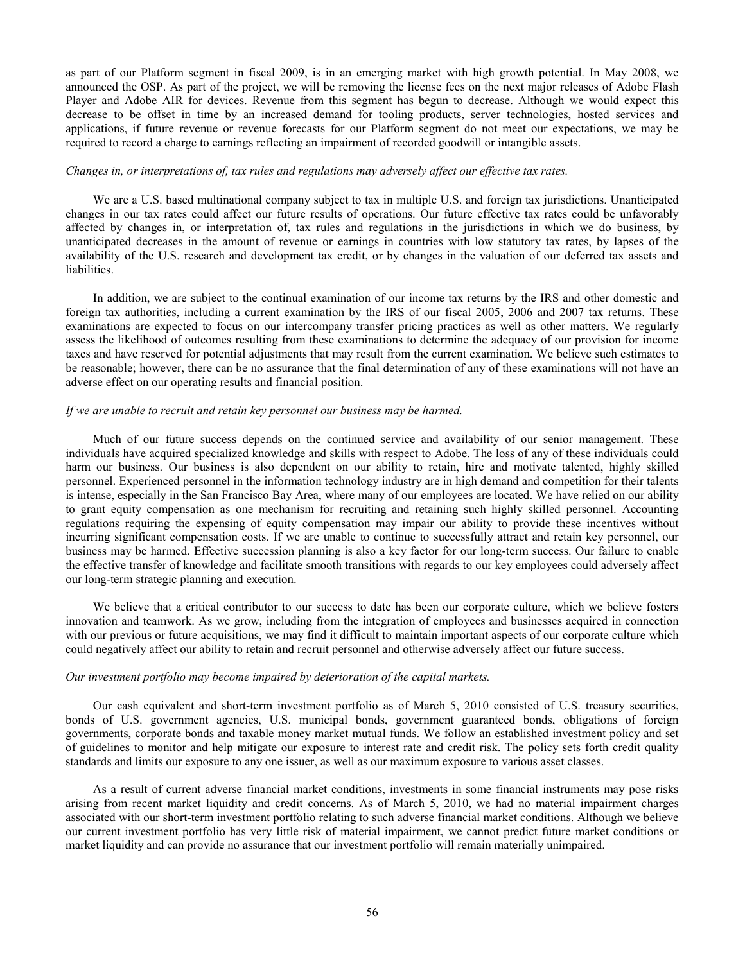as part of our Platform segment in fiscal 2009, is in an emerging market with high growth potential. In May 2008, we announced the OSP. As part of the project, we will be removing the license fees on the next major releases of Adobe Flash Player and Adobe AIR for devices. Revenue from this segment has begun to decrease. Although we would expect this decrease to be offset in time by an increased demand for tooling products, server technologies, hosted services and applications, if future revenue or revenue forecasts for our Platform segment do not meet our expectations, we may be required to record a charge to earnings reflecting an impairment of recorded goodwill or intangible assets.

# *Changes in, or interpretations of, tax rules and regulations may adversely affect our effective tax rates.*

We are a U.S. based multinational company subject to tax in multiple U.S. and foreign tax jurisdictions. Unanticipated changes in our tax rates could affect our future results of operations. Our future effective tax rates could be unfavorably affected by changes in, or interpretation of, tax rules and regulations in the jurisdictions in which we do business, by unanticipated decreases in the amount of revenue or earnings in countries with low statutory tax rates, by lapses of the availability of the U.S. research and development tax credit, or by changes in the valuation of our deferred tax assets and liabilities.

In addition, we are subject to the continual examination of our income tax returns by the IRS and other domestic and foreign tax authorities, including a current examination by the IRS of our fiscal 2005, 2006 and 2007 tax returns. These examinations are expected to focus on our intercompany transfer pricing practices as well as other matters. We regularly assess the likelihood of outcomes resulting from these examinations to determine the adequacy of our provision for income taxes and have reserved for potential adjustments that may result from the current examination. We believe such estimates to be reasonable; however, there can be no assurance that the final determination of any of these examinations will not have an adverse effect on our operating results and financial position.

#### *If we are unable to recruit and retain key personnel our business may be harmed.*

Much of our future success depends on the continued service and availability of our senior management. These individuals have acquired specialized knowledge and skills with respect to Adobe. The loss of any of these individuals could harm our business. Our business is also dependent on our ability to retain, hire and motivate talented, highly skilled personnel. Experienced personnel in the information technology industry are in high demand and competition for their talents is intense, especially in the San Francisco Bay Area, where many of our employees are located. We have relied on our ability to grant equity compensation as one mechanism for recruiting and retaining such highly skilled personnel. Accounting regulations requiring the expensing of equity compensation may impair our ability to provide these incentives without incurring significant compensation costs. If we are unable to continue to successfully attract and retain key personnel, our business may be harmed. Effective succession planning is also a key factor for our long-term success. Our failure to enable the effective transfer of knowledge and facilitate smooth transitions with regards to our key employees could adversely affect our long-term strategic planning and execution.

We believe that a critical contributor to our success to date has been our corporate culture, which we believe fosters innovation and teamwork. As we grow, including from the integration of employees and businesses acquired in connection with our previous or future acquisitions, we may find it difficult to maintain important aspects of our corporate culture which could negatively affect our ability to retain and recruit personnel and otherwise adversely affect our future success.

#### *Our investment portfolio may become impaired by deterioration of the capital markets.*

Our cash equivalent and short-term investment portfolio as of March 5, 2010 consisted of U.S. treasury securities, bonds of U.S. government agencies, U.S. municipal bonds, government guaranteed bonds, obligations of foreign governments, corporate bonds and taxable money market mutual funds. We follow an established investment policy and set of guidelines to monitor and help mitigate our exposure to interest rate and credit risk. The policy sets forth credit quality standards and limits our exposure to any one issuer, as well as our maximum exposure to various asset classes.

As a result of current adverse financial market conditions, investments in some financial instruments may pose risks arising from recent market liquidity and credit concerns. As of March 5, 2010, we had no material impairment charges associated with our short-term investment portfolio relating to such adverse financial market conditions. Although we believe our current investment portfolio has very little risk of material impairment, we cannot predict future market conditions or market liquidity and can provide no assurance that our investment portfolio will remain materially unimpaired.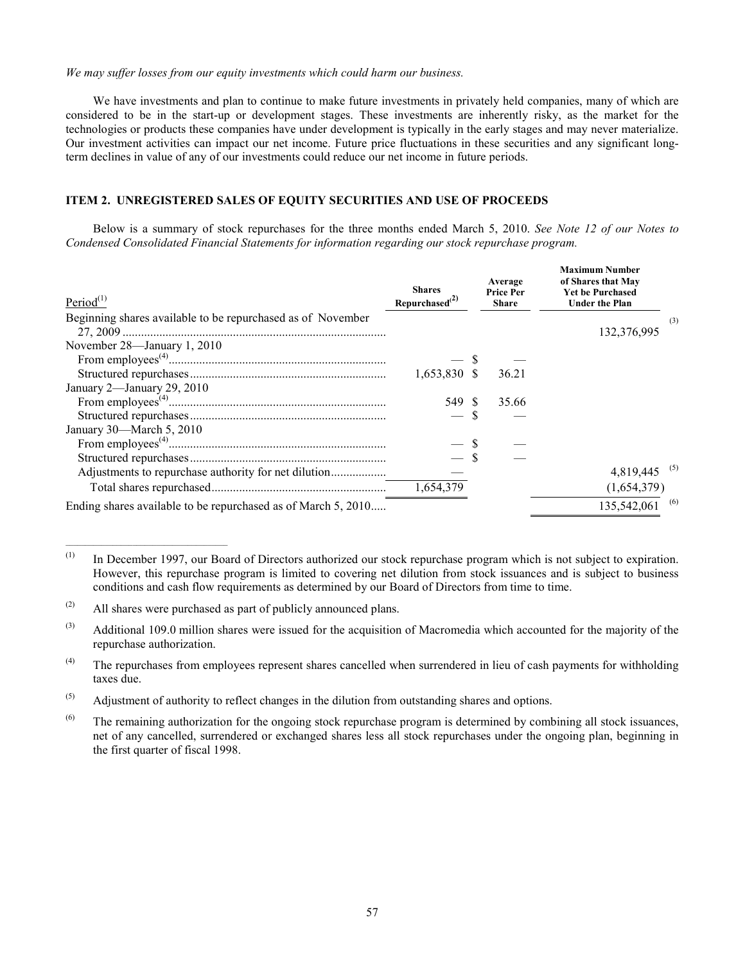# <span id="page-56-0"></span>*We may suffer losses from our equity investments which could harm our business.*

We have investments and plan to continue to make future investments in privately held companies, many of which are considered to be in the start-up or development stages. These investments are inherently risky, as the market for the technologies or products these companies have under development is typically in the early stages and may never materialize. Our investment activities can impact our net income. Future price fluctuations in these securities and any significant longterm declines in value of any of our investments could reduce our net income in future periods.

# **ITEM 2. UNREGISTERED SALES OF EQUITY SECURITIES AND USE OF PROCEEDS**

Below is a summary of stock repurchases for the three months ended March 5, 2010. *See Note [12 of our Notes to](#page-23-0)  [Condensed Consolidated Financial Statements for information regarding](#page-23-0) our stock repurchase program.*

| Period $(1)$                                                  | <b>Shares</b><br>Repurchased <sup>(2)</sup> | Average<br><b>Price Per</b><br><b>Share</b> | <b>Maximum Number</b><br>of Shares that May<br><b>Yet be Purchased</b><br><b>Under the Plan</b> |  |
|---------------------------------------------------------------|---------------------------------------------|---------------------------------------------|-------------------------------------------------------------------------------------------------|--|
| Beginning shares available to be repurchased as of November   |                                             |                                             | (3)                                                                                             |  |
|                                                               |                                             |                                             | 132,376,995                                                                                     |  |
| November 28—January 1, 2010                                   |                                             |                                             |                                                                                                 |  |
|                                                               |                                             |                                             |                                                                                                 |  |
|                                                               | 1,653,830 \$                                | 36.21                                       |                                                                                                 |  |
| January 2-January 29, 2010                                    |                                             |                                             |                                                                                                 |  |
|                                                               | 549 \$                                      | 35.66                                       |                                                                                                 |  |
|                                                               | $-$ \$                                      |                                             |                                                                                                 |  |
| January 30—March 5, 2010                                      |                                             |                                             |                                                                                                 |  |
|                                                               |                                             |                                             |                                                                                                 |  |
|                                                               | $-$ \$                                      |                                             |                                                                                                 |  |
|                                                               |                                             |                                             | 4,819,445 <sup>(5)</sup>                                                                        |  |
|                                                               | 1,654,379                                   |                                             | (1,654,379)                                                                                     |  |
| Ending shares available to be repurchased as of March 5, 2010 |                                             |                                             | $135,542,061$ <sup>(6)</sup>                                                                    |  |

<sup>(1)</sup> In December 1997, our Board of Directors authorized our stock repurchase program which is not subject to expiration. However, this repurchase program is limited to covering net dilution from stock issuances and is subject to business conditions and cash flow requirements as determined by our Board of Directors from time to time.

 $\mathcal{L}_\text{max} = \mathcal{L}_\text{max} = \mathcal{L}_\text{max} = \mathcal{L}_\text{max} = \mathcal{L}_\text{max} = \mathcal{L}_\text{max}$ 

 $(2)$  All shares were purchased as part of publicly announced plans.

 $^{(3)}$  Additional 109.0 million shares were issued for the acquisition of Macromedia which accounted for the majority of the repurchase authorization.

 $(4)$  The repurchases from employees represent shares cancelled when surrendered in lieu of cash payments for withholding taxes due.

 $^{(5)}$  Adjustment of authority to reflect changes in the dilution from outstanding shares and options.

 $^{(6)}$  The remaining authorization for the ongoing stock repurchase program is determined by combining all stock issuances, net of any cancelled, surrendered or exchanged shares less all stock repurchases under the ongoing plan, beginning in the first quarter of fiscal 1998.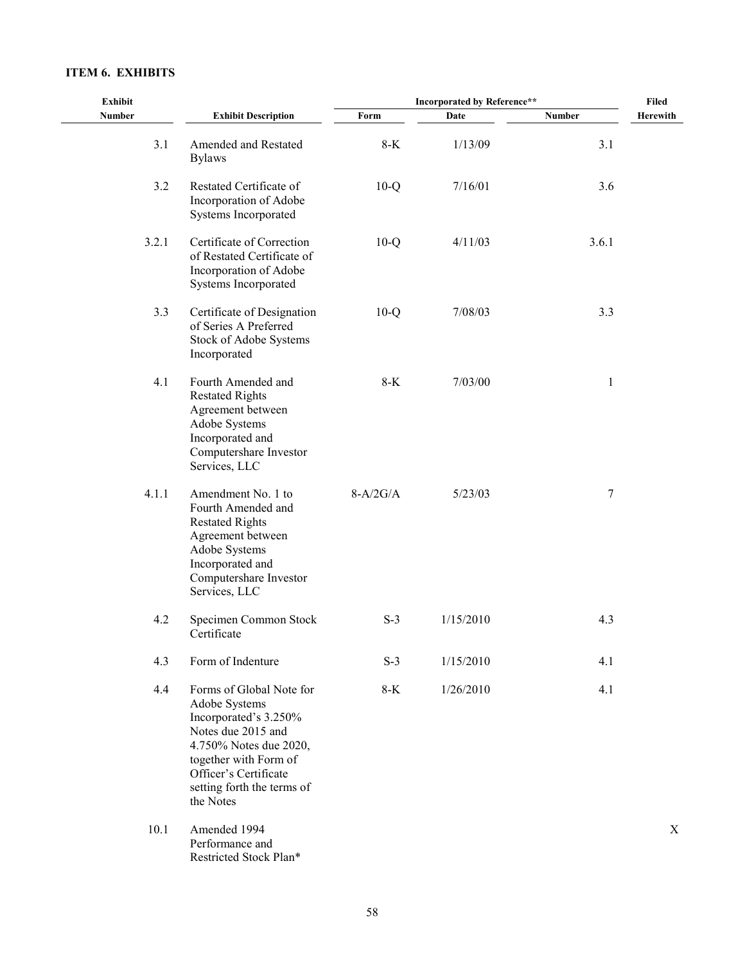# <span id="page-57-0"></span>**ITEM 6. EXHIBITS**

| <b>Exhibit</b> |                                                                                                                                                                                                                 | <b>Incorporated by Reference**</b> | <b>Filed</b> |               |          |
|----------------|-----------------------------------------------------------------------------------------------------------------------------------------------------------------------------------------------------------------|------------------------------------|--------------|---------------|----------|
| Number         | <b>Exhibit Description</b>                                                                                                                                                                                      | Form                               | Date         | <b>Number</b> | Herewith |
| 3.1            | Amended and Restated<br><b>Bylaws</b>                                                                                                                                                                           | $8-K$                              | 1/13/09      | 3.1           |          |
| 3.2            | Restated Certificate of<br>Incorporation of Adobe<br>Systems Incorporated                                                                                                                                       | $10-Q$                             | 7/16/01      | 3.6           |          |
| 3.2.1          | Certificate of Correction<br>of Restated Certificate of<br>Incorporation of Adobe<br>Systems Incorporated                                                                                                       | $10-Q$                             | 4/11/03      | 3.6.1         |          |
| 3.3            | Certificate of Designation<br>of Series A Preferred<br>Stock of Adobe Systems<br>Incorporated                                                                                                                   | $10-Q$                             | 7/08/03      | 3.3           |          |
| 4.1            | Fourth Amended and<br><b>Restated Rights</b><br>Agreement between<br>Adobe Systems<br>Incorporated and<br>Computershare Investor<br>Services, LLC                                                               | $8-K$                              | 7/03/00      | 1             |          |
| 4.1.1          | Amendment No. 1 to<br>Fourth Amended and<br><b>Restated Rights</b><br>Agreement between<br>Adobe Systems<br>Incorporated and<br>Computershare Investor<br>Services, LLC                                         | $8-A/2G/A$                         | 5/23/03      | 7             |          |
| 4.2            | Specimen Common Stock<br>Certificate                                                                                                                                                                            | $S-3$                              | 1/15/2010    | 4.3           |          |
| 4.3            | Form of Indenture                                                                                                                                                                                               | $S-3$                              | 1/15/2010    | 4.1           |          |
| 4.4            | Forms of Global Note for<br>Adobe Systems<br>Incorporated's 3.250%<br>Notes due 2015 and<br>4.750% Notes due 2020,<br>together with Form of<br>Officer's Certificate<br>setting forth the terms of<br>the Notes | $8-K$                              | 1/26/2010    | 4.1           |          |
| 10.1           | Amended 1994<br>Performance and<br>Restricted Stock Plan*                                                                                                                                                       |                                    |              |               | X        |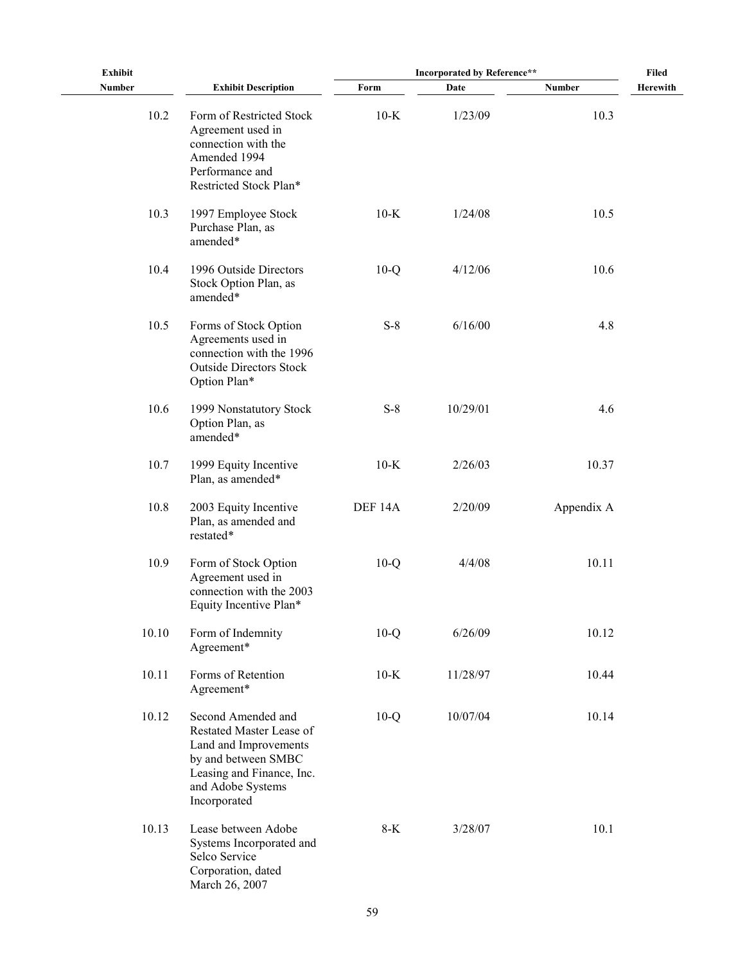| <b>Exhibit</b> |                                                                                                                                                                  | <b>Incorporated by Reference**</b> | Filed    |            |          |
|----------------|------------------------------------------------------------------------------------------------------------------------------------------------------------------|------------------------------------|----------|------------|----------|
| <b>Number</b>  | <b>Exhibit Description</b>                                                                                                                                       | Form                               | Date     | Number     | Herewith |
| 10.2           | Form of Restricted Stock<br>Agreement used in<br>connection with the<br>Amended 1994<br>Performance and<br>Restricted Stock Plan*                                | $10-K$                             | 1/23/09  | 10.3       |          |
| 10.3           | 1997 Employee Stock<br>Purchase Plan, as<br>amended*                                                                                                             | $10-K$                             | 1/24/08  | 10.5       |          |
| 10.4           | 1996 Outside Directors<br>Stock Option Plan, as<br>amended*                                                                                                      | $10-Q$                             | 4/12/06  | 10.6       |          |
| 10.5           | Forms of Stock Option<br>Agreements used in<br>connection with the 1996<br><b>Outside Directors Stock</b><br>Option Plan*                                        | $S-8$                              | 6/16/00  | 4.8        |          |
| 10.6           | 1999 Nonstatutory Stock<br>Option Plan, as<br>amended*                                                                                                           | $S-8$                              | 10/29/01 | 4.6        |          |
| 10.7           | 1999 Equity Incentive<br>Plan, as amended*                                                                                                                       | $10-K$                             | 2/26/03  | 10.37      |          |
| 10.8           | 2003 Equity Incentive<br>Plan, as amended and<br>restated*                                                                                                       | DEF 14A                            | 2/20/09  | Appendix A |          |
| 10.9           | Form of Stock Option<br>Agreement used in<br>connection with the 2003<br>Equity Incentive Plan*                                                                  | $10-Q$                             | 4/4/08   | 10.11      |          |
| 10.10          | Form of Indemnity<br>Agreement*                                                                                                                                  | $10-Q$                             | 6/26/09  | 10.12      |          |
| 10.11          | Forms of Retention<br>Agreement*                                                                                                                                 | $10-K$                             | 11/28/97 | 10.44      |          |
| 10.12          | Second Amended and<br>Restated Master Lease of<br>Land and Improvements<br>by and between SMBC<br>Leasing and Finance, Inc.<br>and Adobe Systems<br>Incorporated | $10-Q$                             | 10/07/04 | 10.14      |          |
| 10.13          | Lease between Adobe<br>Systems Incorporated and<br>Selco Service<br>Corporation, dated<br>March 26, 2007                                                         | $8-K$                              | 3/28/07  | 10.1       |          |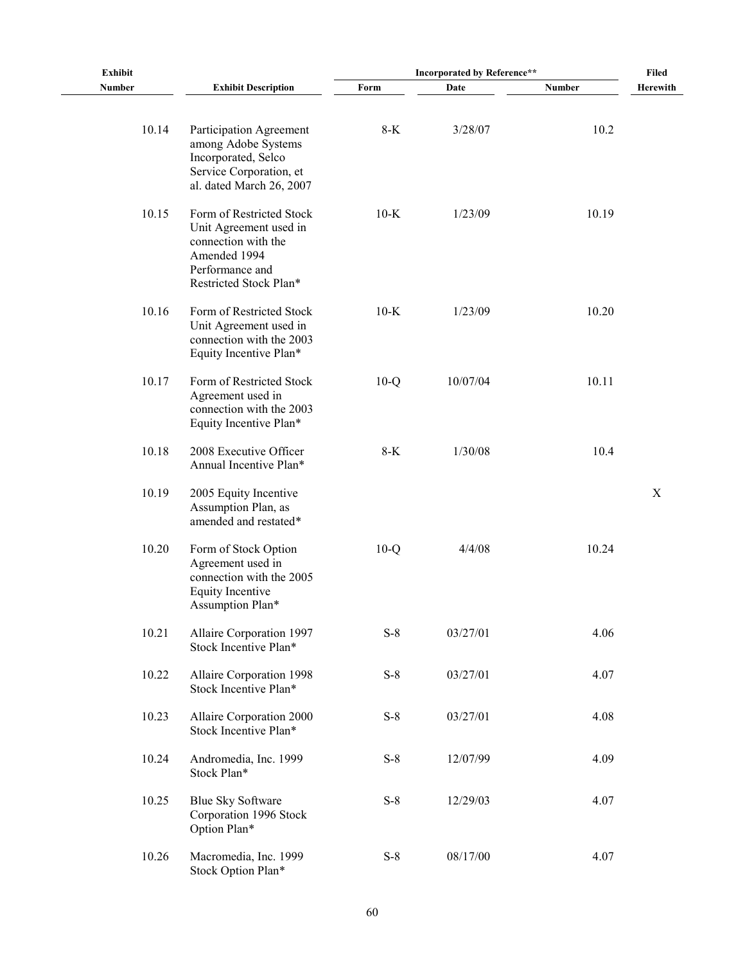| Exhibit | <b>Incorporated by Reference**</b>                                                                                                     |        |          |        |          |  |  |  |  |  | <b>Filed</b> |
|---------|----------------------------------------------------------------------------------------------------------------------------------------|--------|----------|--------|----------|--|--|--|--|--|--------------|
| Number  | <b>Exhibit Description</b>                                                                                                             | Form   | Date     | Number | Herewith |  |  |  |  |  |              |
| 10.14   | Participation Agreement<br>among Adobe Systems<br>Incorporated, Selco<br>Service Corporation, et<br>al. dated March 26, 2007           | 8-K    | 3/28/07  | 10.2   |          |  |  |  |  |  |              |
| 10.15   | Form of Restricted Stock<br>Unit Agreement used in<br>connection with the<br>Amended 1994<br>Performance and<br>Restricted Stock Plan* | $10-K$ | 1/23/09  | 10.19  |          |  |  |  |  |  |              |
| 10.16   | Form of Restricted Stock<br>Unit Agreement used in<br>connection with the 2003<br>Equity Incentive Plan*                               | $10-K$ | 1/23/09  | 10.20  |          |  |  |  |  |  |              |
| 10.17   | Form of Restricted Stock<br>Agreement used in<br>connection with the 2003<br>Equity Incentive Plan*                                    | $10-Q$ | 10/07/04 | 10.11  |          |  |  |  |  |  |              |
| 10.18   | 2008 Executive Officer<br>Annual Incentive Plan*                                                                                       | $8-K$  | 1/30/08  | 10.4   |          |  |  |  |  |  |              |
| 10.19   | 2005 Equity Incentive<br>Assumption Plan, as<br>amended and restated*                                                                  |        |          |        | X        |  |  |  |  |  |              |
| 10.20   | Form of Stock Option<br>Agreement used in<br>connection with the 2005<br><b>Equity Incentive</b><br>Assumption Plan*                   | $10-Q$ | 4/4/08   | 10.24  |          |  |  |  |  |  |              |
| 10.21   | Allaire Corporation 1997<br>Stock Incentive Plan*                                                                                      | $S-8$  | 03/27/01 | 4.06   |          |  |  |  |  |  |              |
| 10.22   | Allaire Corporation 1998<br>Stock Incentive Plan*                                                                                      | $S-8$  | 03/27/01 | 4.07   |          |  |  |  |  |  |              |
| 10.23   | Allaire Corporation 2000<br>Stock Incentive Plan*                                                                                      | $S-8$  | 03/27/01 | 4.08   |          |  |  |  |  |  |              |
| 10.24   | Andromedia, Inc. 1999<br>Stock Plan*                                                                                                   | $S-8$  | 12/07/99 | 4.09   |          |  |  |  |  |  |              |
| 10.25   | <b>Blue Sky Software</b><br>Corporation 1996 Stock<br>Option Plan*                                                                     | $S-8$  | 12/29/03 | 4.07   |          |  |  |  |  |  |              |
| 10.26   | Macromedia, Inc. 1999<br>Stock Option Plan*                                                                                            | $S-8$  | 08/17/00 | 4.07   |          |  |  |  |  |  |              |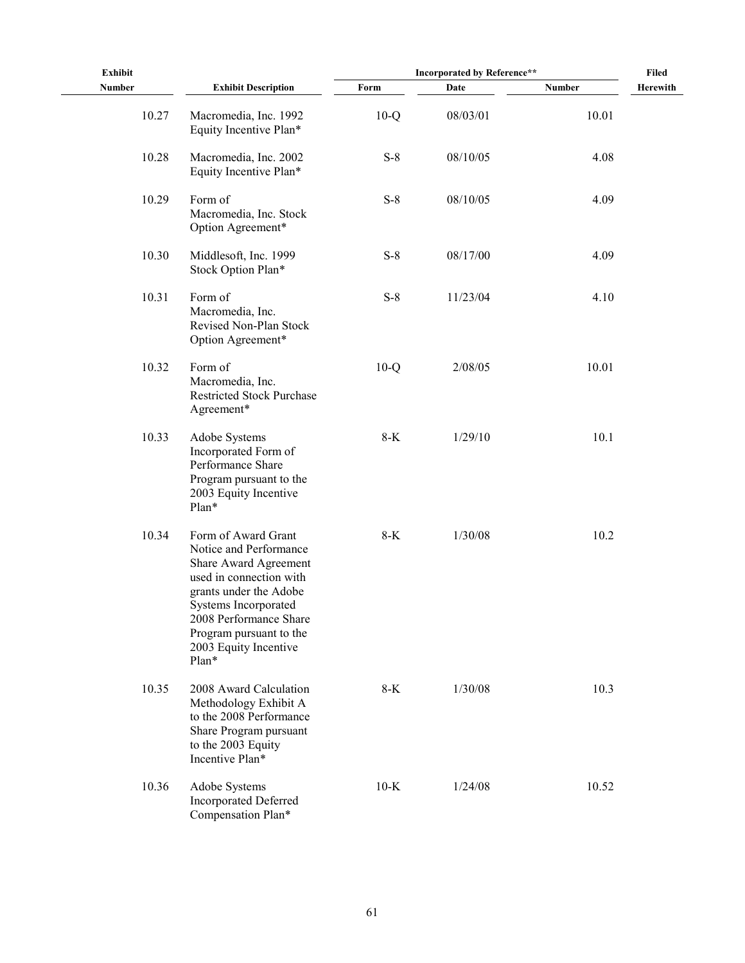| <b>Exhibit</b> |                                                                                                                                                                                                                                            | <b>Incorporated by Reference**</b> | Filed    |               |          |
|----------------|--------------------------------------------------------------------------------------------------------------------------------------------------------------------------------------------------------------------------------------------|------------------------------------|----------|---------------|----------|
| <b>Number</b>  | <b>Exhibit Description</b>                                                                                                                                                                                                                 | Form                               | Date     | <b>Number</b> | Herewith |
| 10.27          | Macromedia, Inc. 1992<br>Equity Incentive Plan*                                                                                                                                                                                            | $10-Q$                             | 08/03/01 | 10.01         |          |
| 10.28          | Macromedia, Inc. 2002<br>Equity Incentive Plan*                                                                                                                                                                                            | $S-8$                              | 08/10/05 | 4.08          |          |
| 10.29          | Form of<br>Macromedia, Inc. Stock<br>Option Agreement*                                                                                                                                                                                     | $S-8$                              | 08/10/05 | 4.09          |          |
| 10.30          | Middlesoft, Inc. 1999<br>Stock Option Plan*                                                                                                                                                                                                | $S-8$                              | 08/17/00 | 4.09          |          |
| 10.31          | Form of<br>Macromedia, Inc.<br>Revised Non-Plan Stock<br>Option Agreement*                                                                                                                                                                 | $S-8$                              | 11/23/04 | 4.10          |          |
| 10.32          | Form of<br>Macromedia, Inc.<br><b>Restricted Stock Purchase</b><br>Agreement*                                                                                                                                                              | $10-Q$                             | 2/08/05  | 10.01         |          |
| 10.33          | Adobe Systems<br>Incorporated Form of<br>Performance Share<br>Program pursuant to the<br>2003 Equity Incentive<br>Plan*                                                                                                                    | $8-K$                              | 1/29/10  | 10.1          |          |
| 10.34          | Form of Award Grant<br>Notice and Performance<br>Share Award Agreement<br>used in connection with<br>grants under the Adobe<br>Systems Incorporated<br>2008 Performance Share<br>Program pursuant to the<br>2003 Equity Incentive<br>Plan* | $8-K$                              | 1/30/08  | 10.2          |          |
| 10.35          | 2008 Award Calculation<br>Methodology Exhibit A<br>to the 2008 Performance<br>Share Program pursuant<br>to the 2003 Equity<br>Incentive Plan*                                                                                              | $8-K$                              | 1/30/08  | 10.3          |          |
| 10.36          | Adobe Systems<br><b>Incorporated Deferred</b><br>Compensation Plan*                                                                                                                                                                        | $10-K$                             | 1/24/08  | 10.52         |          |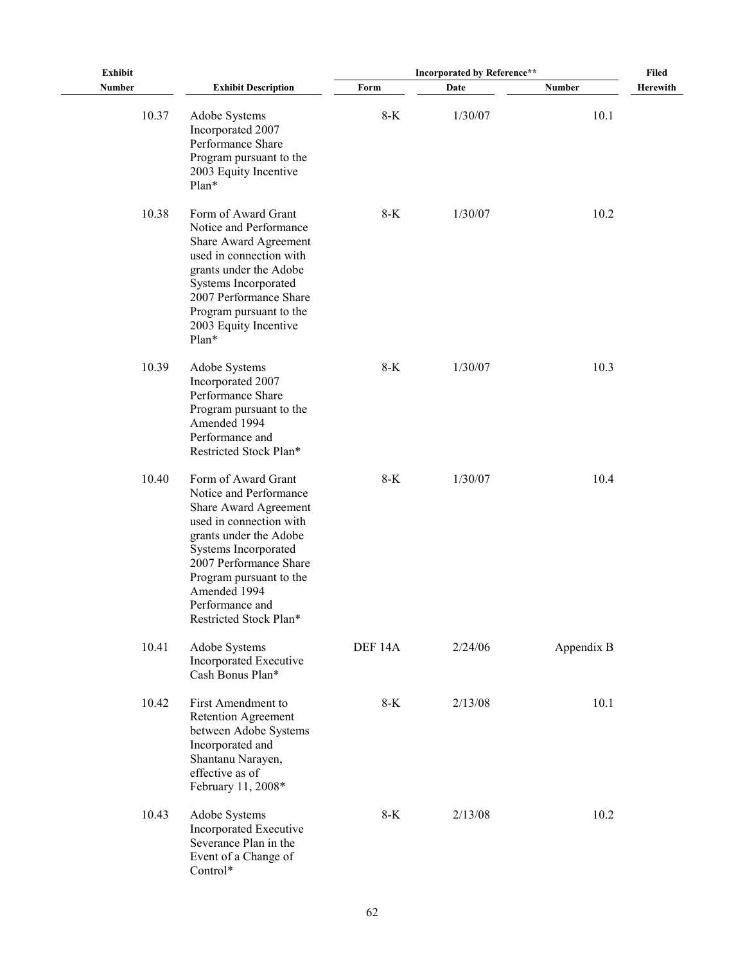| <b>Exhibit</b> |                                                                                                                                                                                                                                                                       | Incorporated by Reference** |         |            | <b>Filed</b>    |
|----------------|-----------------------------------------------------------------------------------------------------------------------------------------------------------------------------------------------------------------------------------------------------------------------|-----------------------------|---------|------------|-----------------|
| Number         | <b>Exhibit Description</b>                                                                                                                                                                                                                                            | Form                        | Date    | Number     | <b>Herewith</b> |
| 10.37          | Adobe Systems<br>Incorporated 2007<br>Performance Share<br>Program pursuant to the<br>2003 Equity Incentive<br>Plan*                                                                                                                                                  | $8-K$                       | 1/30/07 | 10.1       |                 |
| 10.38          | Form of Award Grant<br>Notice and Performance<br>Share Award Agreement<br>used in connection with<br>grants under the Adobe<br>Systems Incorporated<br>2007 Performance Share<br>Program pursuant to the<br>2003 Equity Incentive<br>Plan*                            | $8-K$                       | 1/30/07 | 10.2       |                 |
| 10.39          | Adobe Systems<br>Incorporated 2007<br>Performance Share<br>Program pursuant to the<br>Amended 1994<br>Performance and<br>Restricted Stock Plan*                                                                                                                       | $8-K$                       | 1/30/07 | 10.3       |                 |
| 10.40          | Form of Award Grant<br>Notice and Performance<br>Share Award Agreement<br>used in connection with<br>grants under the Adobe<br>Systems Incorporated<br>2007 Performance Share<br>Program pursuant to the<br>Amended 1994<br>Performance and<br>Restricted Stock Plan* | $8-K$                       | 1/30/07 | 10.4       |                 |
| 10.41          | Adobe Systems<br>Incorporated Executive<br>Cash Bonus Plan*                                                                                                                                                                                                           | DEF 14A                     | 2/24/06 | Appendix B |                 |
| 10.42          | First Amendment to<br>Retention Agreement<br>between Adobe Systems<br>Incorporated and<br>Shantanu Narayen,<br>effective as of<br>February 11, 2008*                                                                                                                  | $8-K$                       | 2/13/08 | 10.1       |                 |
| 10.43          | Adobe Systems<br>Incorporated Executive<br>Severance Plan in the<br>Event of a Change of<br>Control*                                                                                                                                                                  | $8-K$                       | 2/13/08 | 10.2       |                 |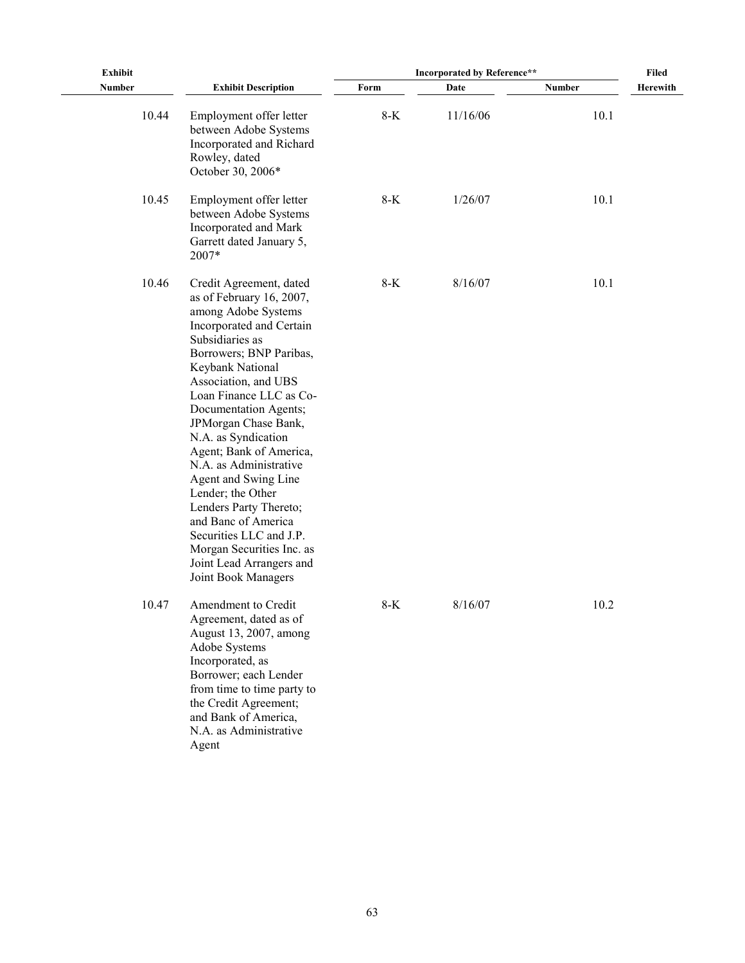| <b>Exhibit</b> |                                                                                                                                                                                                                                                                                                                                                                                                                                                                                                                                                                   |       | <b>Incorporated by Reference**</b> |               | Filed           |
|----------------|-------------------------------------------------------------------------------------------------------------------------------------------------------------------------------------------------------------------------------------------------------------------------------------------------------------------------------------------------------------------------------------------------------------------------------------------------------------------------------------------------------------------------------------------------------------------|-------|------------------------------------|---------------|-----------------|
| <b>Number</b>  | <b>Exhibit Description</b>                                                                                                                                                                                                                                                                                                                                                                                                                                                                                                                                        | Form  | Date                               | <b>Number</b> | <b>Herewith</b> |
| 10.44          | Employment offer letter<br>between Adobe Systems<br>Incorporated and Richard<br>Rowley, dated<br>October 30, 2006*                                                                                                                                                                                                                                                                                                                                                                                                                                                | $8-K$ | 11/16/06                           | 10.1          |                 |
| 10.45          | Employment offer letter<br>between Adobe Systems<br>Incorporated and Mark<br>Garrett dated January 5,<br>2007*                                                                                                                                                                                                                                                                                                                                                                                                                                                    | $8-K$ | 1/26/07                            | 10.1          |                 |
| 10.46          | Credit Agreement, dated<br>as of February 16, 2007,<br>among Adobe Systems<br>Incorporated and Certain<br>Subsidiaries as<br>Borrowers; BNP Paribas,<br>Keybank National<br>Association, and UBS<br>Loan Finance LLC as Co-<br>Documentation Agents;<br>JPMorgan Chase Bank,<br>N.A. as Syndication<br>Agent; Bank of America,<br>N.A. as Administrative<br>Agent and Swing Line<br>Lender; the Other<br>Lenders Party Thereto;<br>and Banc of America<br>Securities LLC and J.P.<br>Morgan Securities Inc. as<br>Joint Lead Arrangers and<br>Joint Book Managers | $8-K$ | 8/16/07                            | 10.1          |                 |
| 10.47          | Amendment to Credit<br>Agreement, dated as of<br>August 13, 2007, among<br>Adobe Systems<br>Incorporated, as<br>Borrower; each Lender<br>from time to time party to<br>the Credit Agreement;<br>and Bank of America,<br>N.A. as Administrative<br>Agent                                                                                                                                                                                                                                                                                                           | $8-K$ | 8/16/07                            | 10.2          |                 |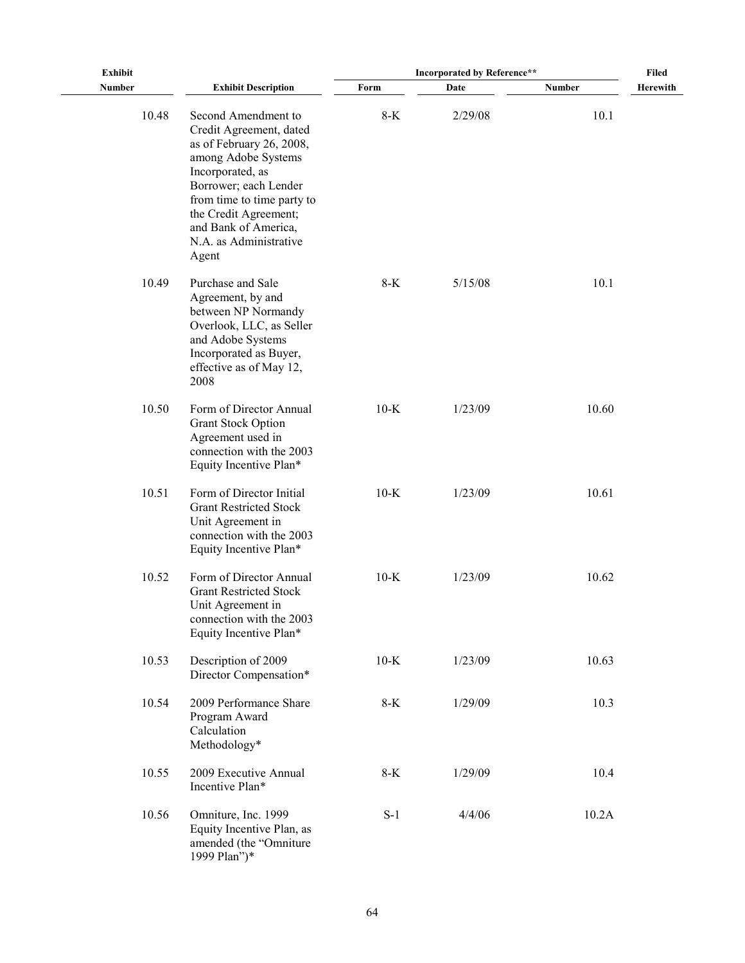| <b>Exhibit</b> |                                                                                                                                                                                                                                                                  | <b>Incorporated by Reference**</b> | <b>Filed</b> |               |          |
|----------------|------------------------------------------------------------------------------------------------------------------------------------------------------------------------------------------------------------------------------------------------------------------|------------------------------------|--------------|---------------|----------|
| Number         | <b>Exhibit Description</b>                                                                                                                                                                                                                                       | Form                               | Date         | <b>Number</b> | Herewith |
| 10.48          | Second Amendment to<br>Credit Agreement, dated<br>as of February 26, 2008,<br>among Adobe Systems<br>Incorporated, as<br>Borrower; each Lender<br>from time to time party to<br>the Credit Agreement;<br>and Bank of America,<br>N.A. as Administrative<br>Agent | $8-K$                              | 2/29/08      | 10.1          |          |
| 10.49          | Purchase and Sale<br>Agreement, by and<br>between NP Normandy<br>Overlook, LLC, as Seller<br>and Adobe Systems<br>Incorporated as Buyer,<br>effective as of May 12,<br>2008                                                                                      | $8-K$                              | 5/15/08      | 10.1          |          |
| 10.50          | Form of Director Annual<br><b>Grant Stock Option</b><br>Agreement used in<br>connection with the 2003<br>Equity Incentive Plan*                                                                                                                                  | $10-K$                             | 1/23/09      | 10.60         |          |
| 10.51          | Form of Director Initial<br><b>Grant Restricted Stock</b><br>Unit Agreement in<br>connection with the 2003<br>Equity Incentive Plan*                                                                                                                             | $10-K$                             | 1/23/09      | 10.61         |          |
| 10.52          | Form of Director Annual<br><b>Grant Restricted Stock</b><br>Unit Agreement in<br>connection with the 2003<br>Equity Incentive Plan*                                                                                                                              | $10-K$                             | 1/23/09      | 10.62         |          |
| 10.53          | Description of 2009<br>Director Compensation*                                                                                                                                                                                                                    | $10-K$                             | 1/23/09      | 10.63         |          |
| 10.54          | 2009 Performance Share<br>Program Award<br>Calculation<br>Methodology*                                                                                                                                                                                           | $8-K$                              | 1/29/09      | 10.3          |          |
| 10.55          | 2009 Executive Annual<br>Incentive Plan*                                                                                                                                                                                                                         | $8-K$                              | 1/29/09      | 10.4          |          |
| 10.56          | Omniture, Inc. 1999<br>Equity Incentive Plan, as<br>amended (the "Omniture<br>1999 Plan")*                                                                                                                                                                       | $S-1$                              | 4/4/06       | 10.2A         |          |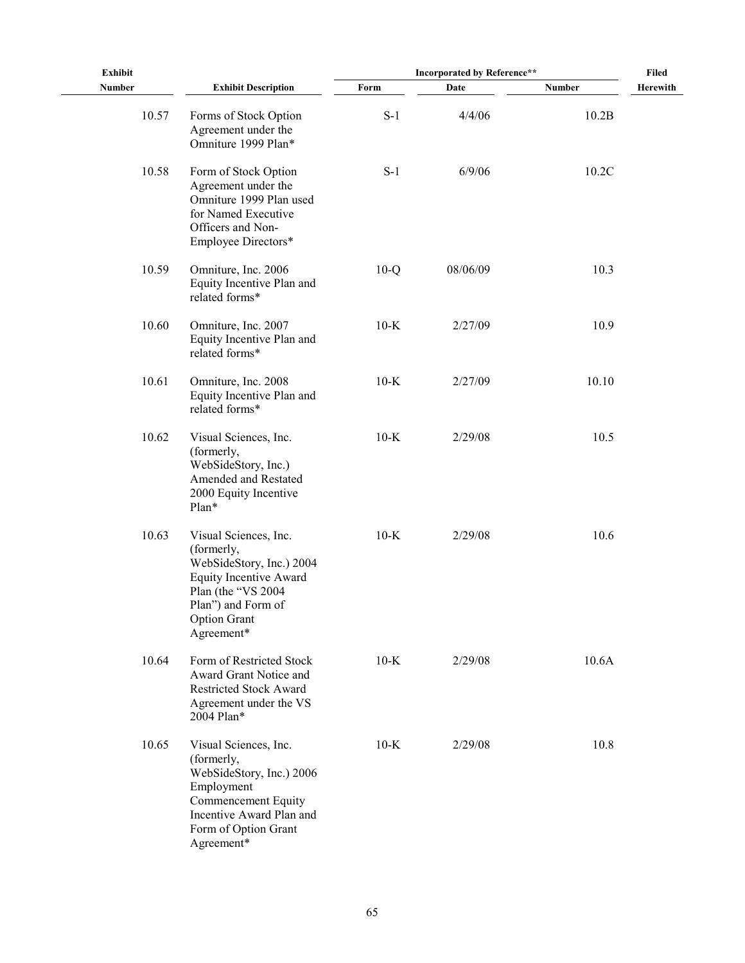| <b>Exhibit</b> |                                                                                                                                                                            | <b>Incorporated by Reference**</b> | <b>Filed</b> |        |          |
|----------------|----------------------------------------------------------------------------------------------------------------------------------------------------------------------------|------------------------------------|--------------|--------|----------|
| <b>Number</b>  | <b>Exhibit Description</b>                                                                                                                                                 | Form                               | Date         | Number | Herewith |
| 10.57          | Forms of Stock Option<br>Agreement under the<br>Omniture 1999 Plan*                                                                                                        | $S-1$                              | 4/4/06       | 10.2B  |          |
| 10.58          | Form of Stock Option<br>Agreement under the<br>Omniture 1999 Plan used<br>for Named Executive<br>Officers and Non-<br>Employee Directors*                                  | $S-1$                              | 6/9/06       | 10.2C  |          |
| 10.59          | Omniture, Inc. 2006<br>Equity Incentive Plan and<br>related forms*                                                                                                         | $10-Q$                             | 08/06/09     | 10.3   |          |
| 10.60          | Omniture, Inc. 2007<br>Equity Incentive Plan and<br>related forms*                                                                                                         | $10-K$                             | 2/27/09      | 10.9   |          |
| 10.61          | Omniture, Inc. 2008<br>Equity Incentive Plan and<br>related forms*                                                                                                         | $10-K$                             | 2/27/09      | 10.10  |          |
| 10.62          | Visual Sciences, Inc.<br>(formerly,<br>WebSideStory, Inc.)<br>Amended and Restated<br>2000 Equity Incentive<br>Plan*                                                       | $10-K$                             | 2/29/08      | 10.5   |          |
| 10.63          | Visual Sciences, Inc.<br>(formerly,<br>WebSideStory, Inc.) 2004<br>Equity Incentive Award<br>Plan (the "VS 2004<br>Plan") and Form of<br><b>Option Grant</b><br>Agreement* | $10-K$                             | 2/29/08      | 10.6   |          |
| 10.64          | Form of Restricted Stock<br>Award Grant Notice and<br><b>Restricted Stock Award</b><br>Agreement under the VS<br>2004 Plan*                                                | $10-K$                             | 2/29/08      | 10.6A  |          |
| 10.65          | Visual Sciences, Inc.<br>(formerly,<br>WebSideStory, Inc.) 2006<br>Employment<br>Commencement Equity<br>Incentive Award Plan and<br>Form of Option Grant<br>Agreement*     | $10-K$                             | 2/29/08      | 10.8   |          |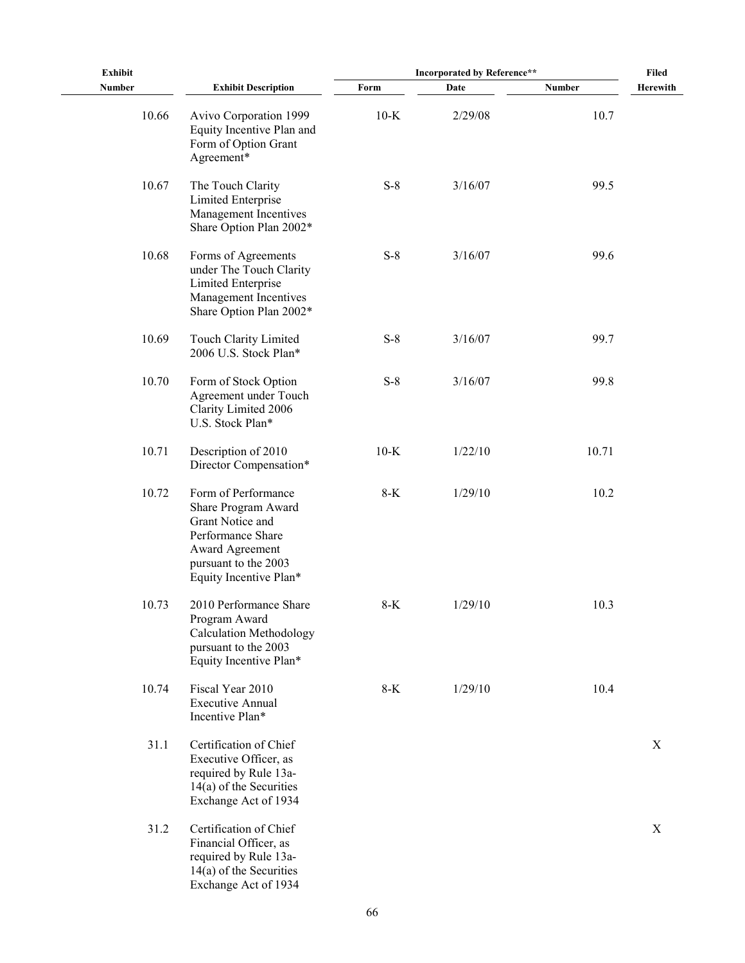| <b>Exhibit</b> |                                                                                                                                                          | <b>Incorporated by Reference**</b> | Filed   |               |          |
|----------------|----------------------------------------------------------------------------------------------------------------------------------------------------------|------------------------------------|---------|---------------|----------|
| <b>Number</b>  | <b>Exhibit Description</b>                                                                                                                               | Form                               | Date    | <b>Number</b> | Herewith |
| 10.66          | Avivo Corporation 1999<br>Equity Incentive Plan and<br>Form of Option Grant<br>Agreement*                                                                | $10-K$                             | 2/29/08 | 10.7          |          |
| 10.67          | The Touch Clarity<br><b>Limited Enterprise</b><br>Management Incentives<br>Share Option Plan 2002*                                                       | $S-8$                              | 3/16/07 | 99.5          |          |
| 10.68          | Forms of Agreements<br>under The Touch Clarity<br>Limited Enterprise<br>Management Incentives<br>Share Option Plan 2002*                                 | $S-8$                              | 3/16/07 | 99.6          |          |
| 10.69          | Touch Clarity Limited<br>2006 U.S. Stock Plan*                                                                                                           | $S-8$                              | 3/16/07 | 99.7          |          |
| 10.70          | Form of Stock Option<br>Agreement under Touch<br>Clarity Limited 2006<br>U.S. Stock Plan*                                                                | $S-8$                              | 3/16/07 | 99.8          |          |
| 10.71          | Description of 2010<br>Director Compensation*                                                                                                            | $10-K$                             | 1/22/10 | 10.71         |          |
| 10.72          | Form of Performance<br>Share Program Award<br>Grant Notice and<br>Performance Share<br>Award Agreement<br>pursuant to the 2003<br>Equity Incentive Plan* | $8-K$                              | 1/29/10 | 10.2          |          |
| 10.73          | 2010 Performance Share<br>Program Award<br><b>Calculation Methodology</b><br>pursuant to the 2003<br>Equity Incentive Plan*                              | $8-K$                              | 1/29/10 | 10.3          |          |
| 10.74          | Fiscal Year 2010<br><b>Executive Annual</b><br>Incentive Plan*                                                                                           | $8-K$                              | 1/29/10 | 10.4          |          |
| 31.1           | Certification of Chief<br>Executive Officer, as<br>required by Rule 13a-<br>$14(a)$ of the Securities<br>Exchange Act of 1934                            |                                    |         |               | X        |
| 31.2           | Certification of Chief<br>Financial Officer, as<br>required by Rule 13a-<br>$14(a)$ of the Securities<br>Exchange Act of 1934                            |                                    |         |               | X        |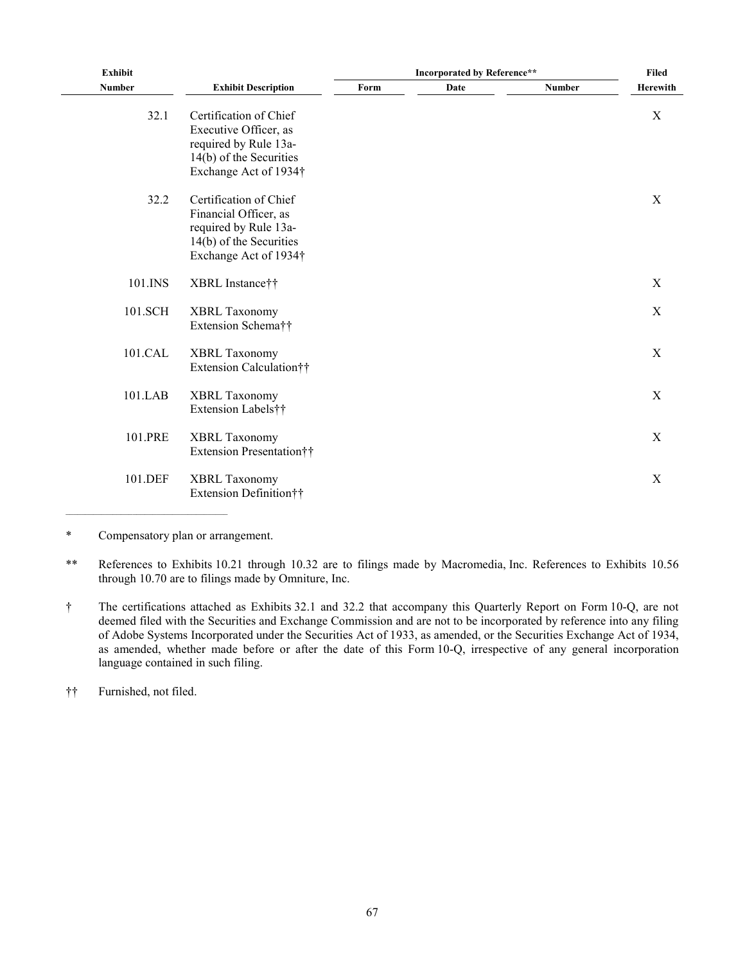| <b>Exhibit</b> |                                                                                                                              |      | <b>Filed</b> |               |                           |
|----------------|------------------------------------------------------------------------------------------------------------------------------|------|--------------|---------------|---------------------------|
| <b>Number</b>  | <b>Exhibit Description</b>                                                                                                   | Form | Date         | <b>Number</b> | <b>Herewith</b>           |
| 32.1           | Certification of Chief<br>Executive Officer, as<br>required by Rule 13a-<br>14(b) of the Securities<br>Exchange Act of 1934† |      |              |               | $\mathbf X$               |
| 32.2           | Certification of Chief<br>Financial Officer, as<br>required by Rule 13a-<br>14(b) of the Securities<br>Exchange Act of 1934† |      |              |               | $\mathbf X$               |
| 101.INS        | XBRL Instance††                                                                                                              |      |              |               | $\mathbf X$               |
| 101.SCH        | <b>XBRL Taxonomy</b><br>Extension Schema††                                                                                   |      |              |               | $\mathbf X$               |
| 101.CAL        | <b>XBRL Taxonomy</b><br>Extension Calculation††                                                                              |      |              |               | $\mathbf X$               |
| 101.LAB        | <b>XBRL Taxonomy</b><br>Extension Labels††                                                                                   |      |              |               | $\mathbf X$               |
| 101.PRE        | <b>XBRL Taxonomy</b><br>Extension Presentation††                                                                             |      |              |               | $\mathbf X$               |
| 101.DEF        | <b>XBRL Taxonomy</b><br>Extension Definition††                                                                               |      |              |               | $\boldsymbol{\mathrm{X}}$ |
|                |                                                                                                                              |      |              |               |                           |

\* Compensatory plan or arrangement.

\*\* References to Exhibits 10.21 through 10.32 are to filings made by Macromedia, Inc. References to Exhibits 10.56 through 10.70 are to filings made by Omniture, Inc.

† The certifications attached as Exhibits 32.1 and 32.2 that accompany this Quarterly Report on Form 10-Q, are not deemed filed with the Securities and Exchange Commission and are not to be incorporated by reference into any filing of Adobe Systems Incorporated under the Securities Act of 1933, as amended, or the Securities Exchange Act of 1934, as amended, whether made before or after the date of this Form 10-Q, irrespective of any general incorporation language contained in such filing.

†† Furnished, not filed.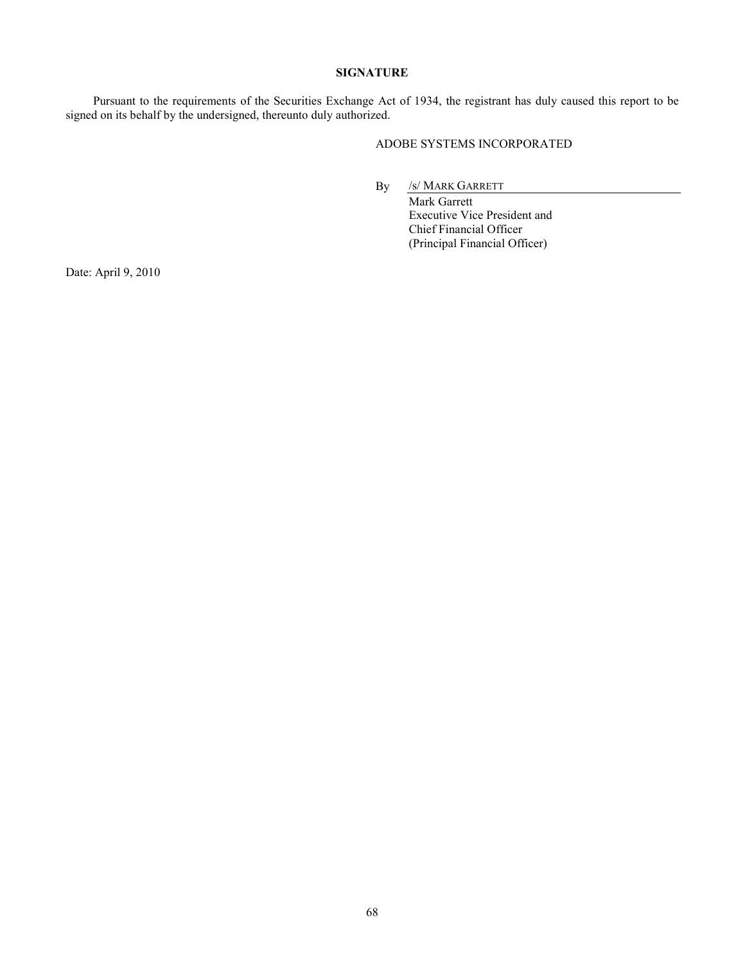# **SIGNATURE**

<span id="page-67-0"></span>Pursuant to the requirements of the Securities Exchange Act of 1934, the registrant has duly caused this report to be signed on its behalf by the undersigned, thereunto duly authorized.

# ADOBE SYSTEMS INCORPORATED

By /s/ MARK GARRETT

Mark Garrett Executive Vice President and Chief Financial Officer (Principal Financial Officer)

Date: April 9, 2010